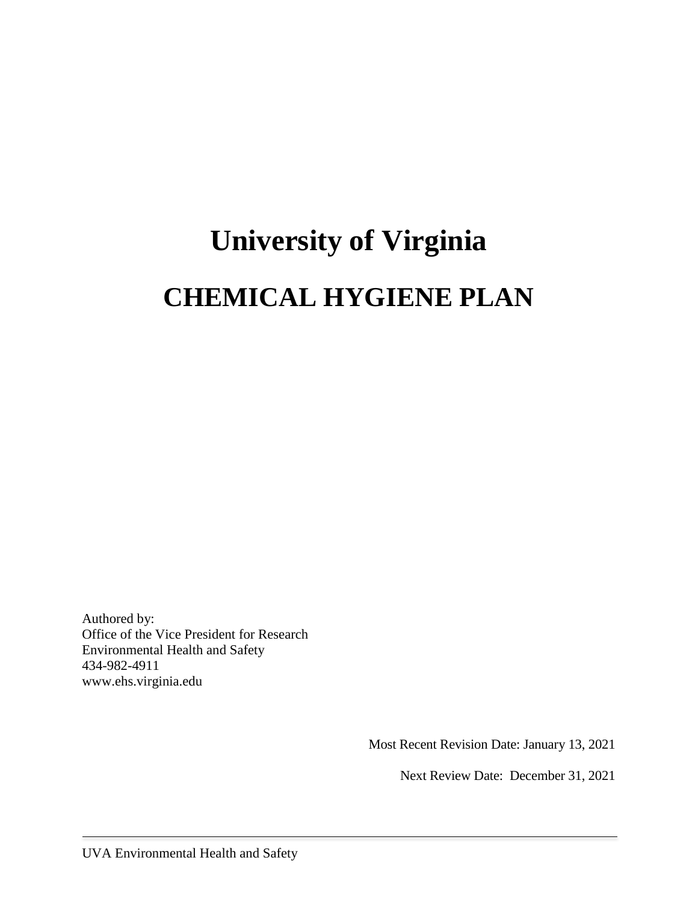# **University of Virginia CHEMICAL HYGIENE PLAN**

Authored by: Office of the Vice President for Research Environmental Health and Safety 434-982-4911 www.ehs.virginia.edu

Most Recent Revision Date: January 13, 2021

Next Review Date: December 31, 2021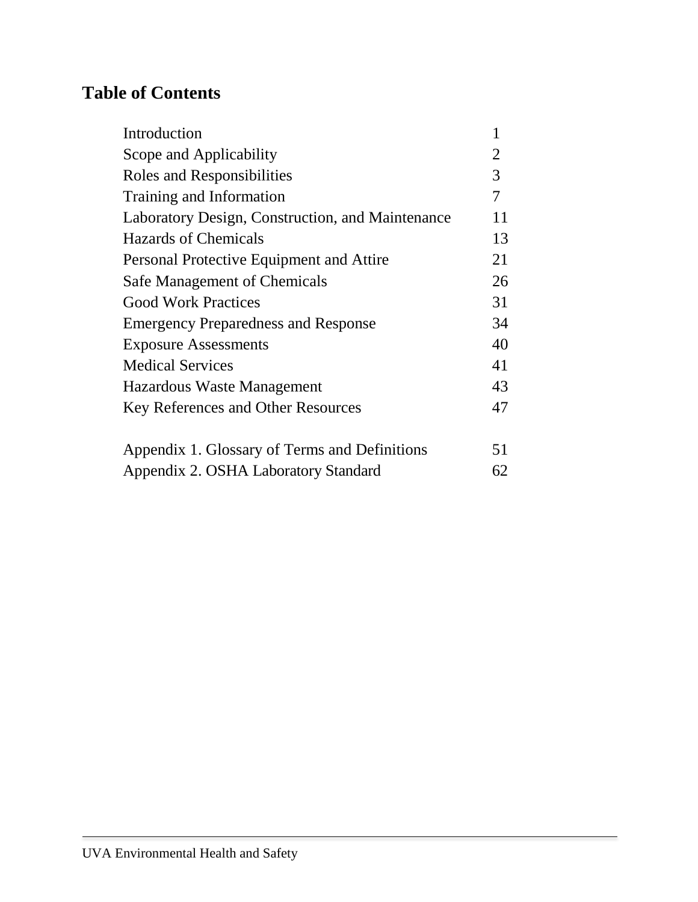# **Table of Contents**

| Introduction                                     |    |
|--------------------------------------------------|----|
| Scope and Applicability                          | 2  |
| Roles and Responsibilities                       | 3  |
| Training and Information                         | 7  |
| Laboratory Design, Construction, and Maintenance | 11 |
| Hazards of Chemicals                             | 13 |
| Personal Protective Equipment and Attire         | 21 |
| Safe Management of Chemicals                     | 26 |
| <b>Good Work Practices</b>                       | 31 |
| <b>Emergency Preparedness and Response</b>       | 34 |
| <b>Exposure Assessments</b>                      | 40 |
| <b>Medical Services</b>                          | 41 |
| Hazardous Waste Management                       | 43 |
| Key References and Other Resources               | 47 |
| Appendix 1. Glossary of Terms and Definitions    | 51 |

| . |                                      |    |
|---|--------------------------------------|----|
|   | Appendix 2. OSHA Laboratory Standard | 62 |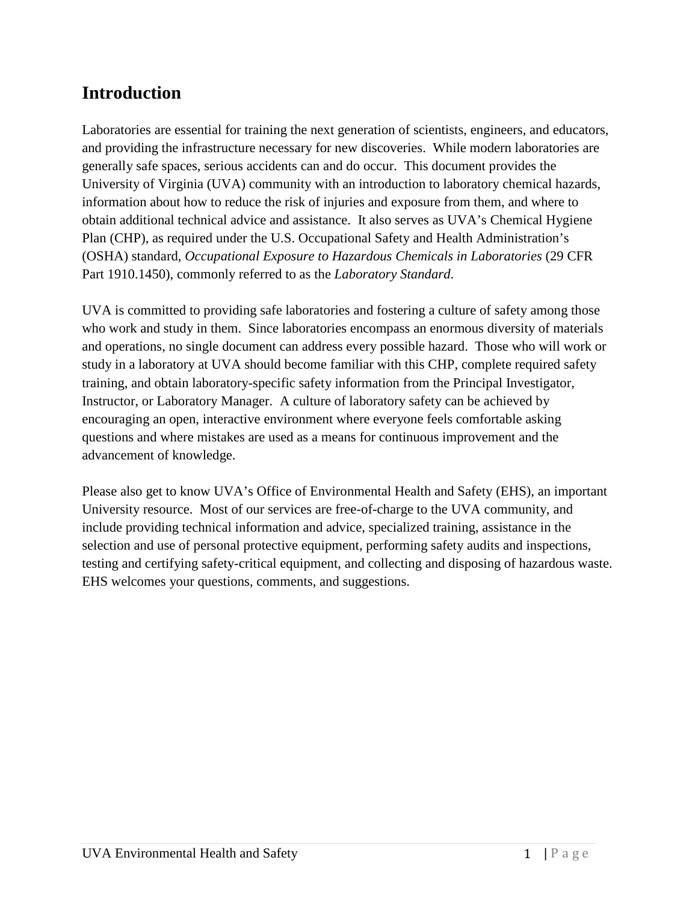# **Introduction**

Laboratories are essential for training the next generation of scientists, engineers, and educators, and providing the infrastructure necessary for new discoveries. While modern laboratories are generally safe spaces, serious accidents can and do occur. This document provides the University of Virginia (UVA) community with an introduction to laboratory chemical hazards, information about how to reduce the risk of injuries and exposure from them, and where to obtain additional technical advice and assistance. It also serves as UVA's Chemical Hygiene Plan (CHP), as required under the U.S. Occupational Safety and Health Administration's (OSHA) standard, *Occupational Exposure to Hazardous Chemicals in Laboratories* (29 CFR Part 1910.1450), commonly referred to as the *Laboratory Standard*.

UVA is committed to providing safe laboratories and fostering a culture of safety among those who work and study in them. Since laboratories encompass an enormous diversity of materials and operations, no single document can address every possible hazard. Those who will work or study in a laboratory at UVA should become familiar with this CHP, complete required safety training, and obtain laboratory-specific safety information from the Principal Investigator, Instructor, or Laboratory Manager. A culture of laboratory safety can be achieved by encouraging an open, interactive environment where everyone feels comfortable asking questions and where mistakes are used as a means for continuous improvement and the advancement of knowledge.

Please also get to know UVA's Office of Environmental Health and Safety (EHS), an important University resource. Most of our services are free-of-charge to the UVA community, and include providing technical information and advice, specialized training, assistance in the selection and use of personal protective equipment, performing safety audits and inspections, testing and certifying safety-critical equipment, and collecting and disposing of hazardous waste. EHS welcomes your questions, comments, and suggestions.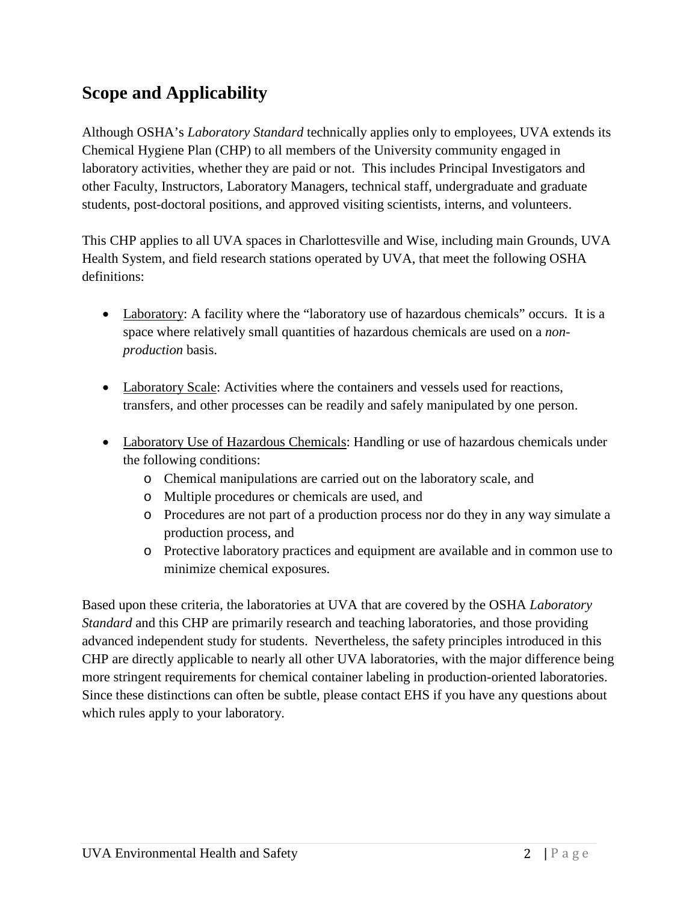# **Scope and Applicability**

Although OSHA's *Laboratory Standard* technically applies only to employees, UVA extends its Chemical Hygiene Plan (CHP) to all members of the University community engaged in laboratory activities, whether they are paid or not. This includes Principal Investigators and other Faculty, Instructors, Laboratory Managers, technical staff, undergraduate and graduate students, post-doctoral positions, and approved visiting scientists, interns, and volunteers.

This CHP applies to all UVA spaces in Charlottesville and Wise, including main Grounds, UVA Health System, and field research stations operated by UVA, that meet the following OSHA definitions:

- Laboratory: A facility where the "laboratory use of hazardous chemicals" occurs. It is a space where relatively small quantities of hazardous chemicals are used on a *nonproduction* basis.
- Laboratory Scale: Activities where the containers and vessels used for reactions, transfers, and other processes can be readily and safely manipulated by one person.
- Laboratory Use of Hazardous Chemicals: Handling or use of hazardous chemicals under the following conditions:
	- o Chemical manipulations are carried out on the laboratory scale, and
	- o Multiple procedures or chemicals are used, and
	- o Procedures are not part of a production process nor do they in any way simulate a production process, and
	- o Protective laboratory practices and equipment are available and in common use to minimize chemical exposures.

Based upon these criteria, the laboratories at UVA that are covered by the OSHA *Laboratory Standard* and this CHP are primarily research and teaching laboratories, and those providing advanced independent study for students. Nevertheless, the safety principles introduced in this CHP are directly applicable to nearly all other UVA laboratories, with the major difference being more stringent requirements for chemical container labeling in production-oriented laboratories. Since these distinctions can often be subtle, please contact EHS if you have any questions about which rules apply to your laboratory.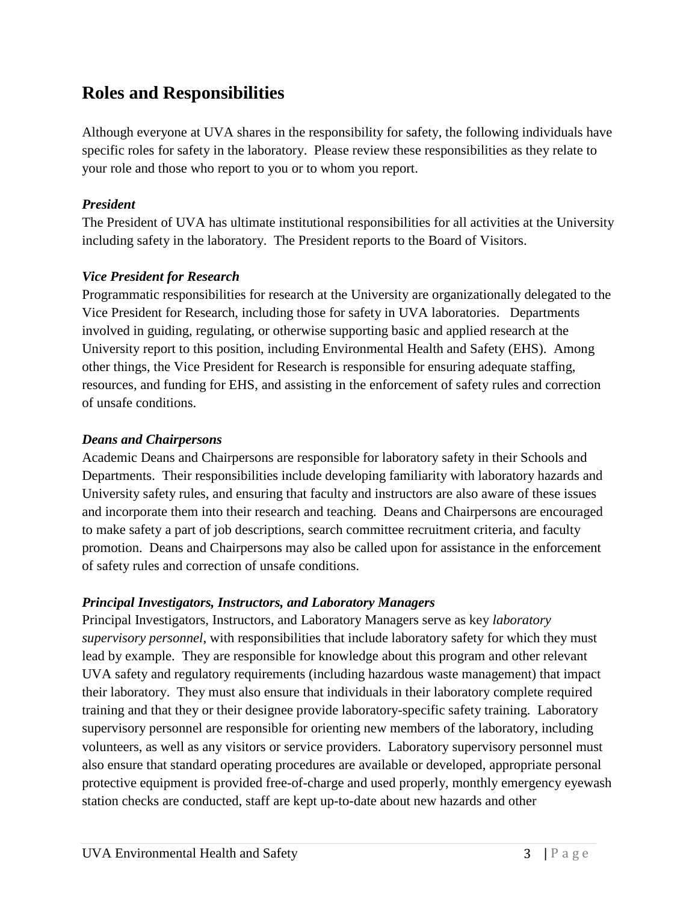# **Roles and Responsibilities**

Although everyone at UVA shares in the responsibility for safety, the following individuals have specific roles for safety in the laboratory. Please review these responsibilities as they relate to your role and those who report to you or to whom you report.

# *President*

The President of UVA has ultimate institutional responsibilities for all activities at the University including safety in the laboratory. The President reports to the Board of Visitors.

# *Vice President for Research*

Programmatic responsibilities for research at the University are organizationally delegated to the Vice President for Research, including those for safety in UVA laboratories. Departments involved in guiding, regulating, or otherwise supporting basic and applied research at the University report to this position, including Environmental Health and Safety (EHS). Among other things, the Vice President for Research is responsible for ensuring adequate staffing, resources, and funding for EHS, and assisting in the enforcement of safety rules and correction of unsafe conditions.

# *Deans and Chairpersons*

Academic Deans and Chairpersons are responsible for laboratory safety in their Schools and Departments. Their responsibilities include developing familiarity with laboratory hazards and University safety rules, and ensuring that faculty and instructors are also aware of these issues and incorporate them into their research and teaching. Deans and Chairpersons are encouraged to make safety a part of job descriptions, search committee recruitment criteria, and faculty promotion. Deans and Chairpersons may also be called upon for assistance in the enforcement of safety rules and correction of unsafe conditions.

#### *Principal Investigators, Instructors, and Laboratory Managers*

Principal Investigators, Instructors, and Laboratory Managers serve as key *laboratory supervisory personnel*, with responsibilities that include laboratory safety for which they must lead by example. They are responsible for knowledge about this program and other relevant UVA safety and regulatory requirements (including hazardous waste management) that impact their laboratory. They must also ensure that individuals in their laboratory complete required training and that they or their designee provide laboratory-specific safety training. Laboratory supervisory personnel are responsible for orienting new members of the laboratory, including volunteers, as well as any visitors or service providers. Laboratory supervisory personnel must also ensure that standard operating procedures are available or developed, appropriate personal protective equipment is provided free-of-charge and used properly, monthly emergency eyewash station checks are conducted, staff are kept up-to-date about new hazards and other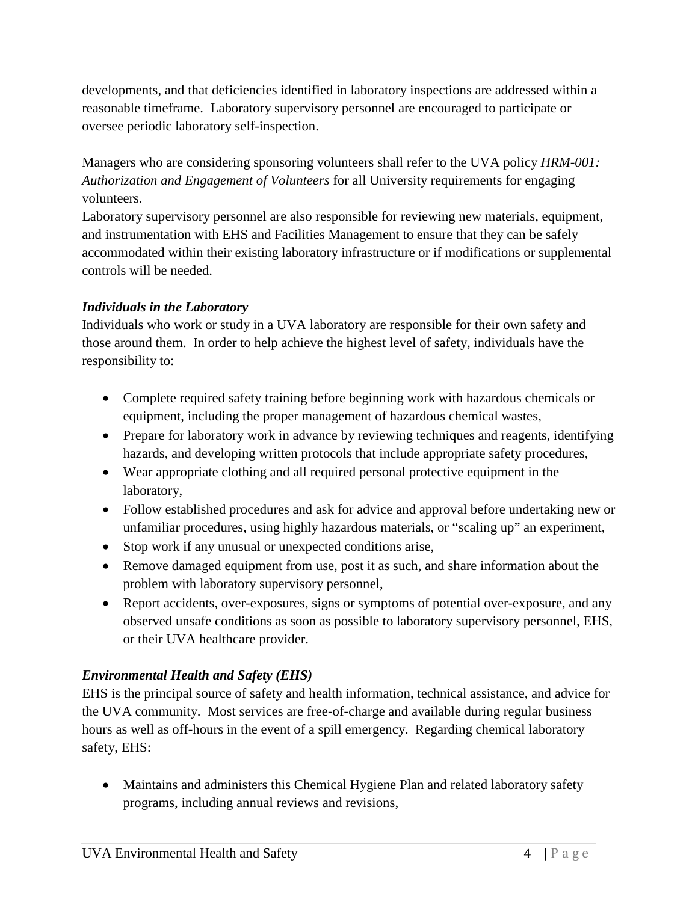developments, and that deficiencies identified in laboratory inspections are addressed within a reasonable timeframe. Laboratory supervisory personnel are encouraged to participate or oversee periodic laboratory self-inspection.

Managers who are considering sponsoring volunteers shall refer to the UVA policy *HRM-001: Authorization and Engagement of Volunteers* for all University requirements for engaging volunteers.

Laboratory supervisory personnel are also responsible for reviewing new materials, equipment, and instrumentation with EHS and Facilities Management to ensure that they can be safely accommodated within their existing laboratory infrastructure or if modifications or supplemental controls will be needed.

#### *Individuals in the Laboratory*

Individuals who work or study in a UVA laboratory are responsible for their own safety and those around them. In order to help achieve the highest level of safety, individuals have the responsibility to:

- Complete required safety training before beginning work with hazardous chemicals or equipment, including the proper management of hazardous chemical wastes,
- Prepare for laboratory work in advance by reviewing techniques and reagents, identifying hazards, and developing written protocols that include appropriate safety procedures,
- Wear appropriate clothing and all required personal protective equipment in the laboratory,
- Follow established procedures and ask for advice and approval before undertaking new or unfamiliar procedures, using highly hazardous materials, or "scaling up" an experiment,
- Stop work if any unusual or unexpected conditions arise,
- Remove damaged equipment from use, post it as such, and share information about the problem with laboratory supervisory personnel,
- Report accidents, over-exposures, signs or symptoms of potential over-exposure, and any observed unsafe conditions as soon as possible to laboratory supervisory personnel, EHS, or their UVA healthcare provider.

# *Environmental Health and Safety (EHS)*

EHS is the principal source of safety and health information, technical assistance, and advice for the UVA community. Most services are free-of-charge and available during regular business hours as well as off-hours in the event of a spill emergency. Regarding chemical laboratory safety, EHS:

• Maintains and administers this Chemical Hygiene Plan and related laboratory safety programs, including annual reviews and revisions,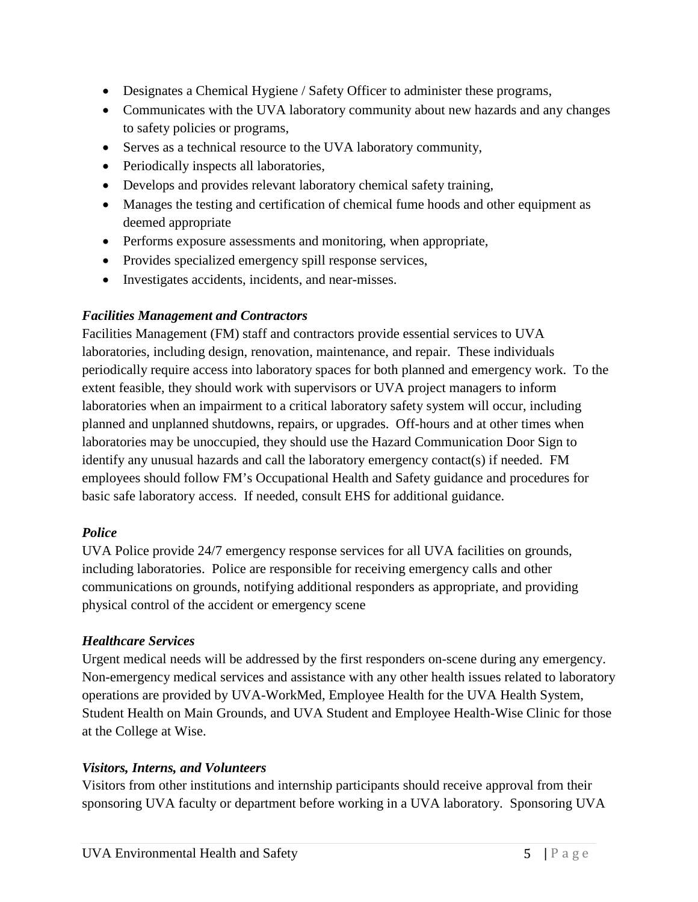- Designates a Chemical Hygiene / Safety Officer to administer these programs,
- Communicates with the UVA laboratory community about new hazards and any changes to safety policies or programs,
- Serves as a technical resource to the UVA laboratory community,
- Periodically inspects all laboratories,
- Develops and provides relevant laboratory chemical safety training,
- Manages the testing and certification of chemical fume hoods and other equipment as deemed appropriate
- Performs exposure assessments and monitoring, when appropriate,
- Provides specialized emergency spill response services,
- Investigates accidents, incidents, and near-misses.

# *Facilities Management and Contractors*

Facilities Management (FM) staff and contractors provide essential services to UVA laboratories, including design, renovation, maintenance, and repair. These individuals periodically require access into laboratory spaces for both planned and emergency work. To the extent feasible, they should work with supervisors or UVA project managers to inform laboratories when an impairment to a critical laboratory safety system will occur, including planned and unplanned shutdowns, repairs, or upgrades. Off-hours and at other times when laboratories may be unoccupied, they should use the Hazard Communication Door Sign to identify any unusual hazards and call the laboratory emergency contact(s) if needed. FM employees should follow FM's Occupational Health and Safety guidance and procedures for basic safe laboratory access. If needed, consult EHS for additional guidance.

# *Police*

UVA Police provide 24/7 emergency response services for all UVA facilities on grounds, including laboratories. Police are responsible for receiving emergency calls and other communications on grounds, notifying additional responders as appropriate, and providing physical control of the accident or emergency scene

#### *Healthcare Services*

Urgent medical needs will be addressed by the first responders on-scene during any emergency. Non-emergency medical services and assistance with any other health issues related to laboratory operations are provided by UVA-WorkMed, Employee Health for the UVA Health System, Student Health on Main Grounds, and UVA Student and Employee Health-Wise Clinic for those at the College at Wise.

# *Visitors, Interns, and Volunteers*

Visitors from other institutions and internship participants should receive approval from their sponsoring UVA faculty or department before working in a UVA laboratory. Sponsoring UVA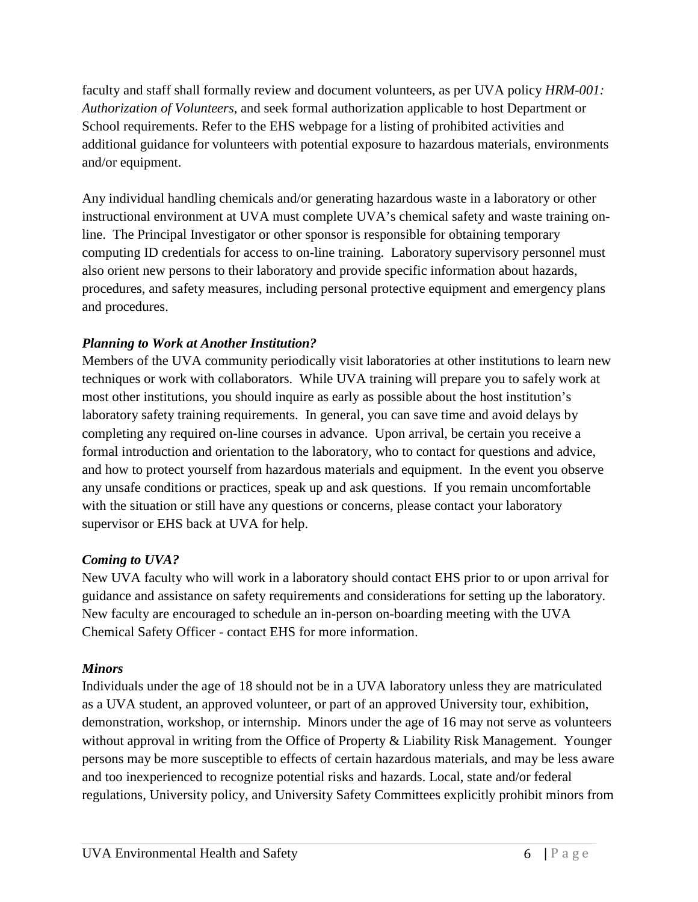faculty and staff shall formally review and document volunteers, as per UVA policy *HRM-001: Authorization of Volunteers*, and seek formal authorization applicable to host Department or School requirements. Refer to the EHS webpage for a listing of prohibited activities and additional guidance for volunteers with potential exposure to hazardous materials, environments and/or equipment.

Any individual handling chemicals and/or generating hazardous waste in a laboratory or other instructional environment at UVA must complete UVA's chemical safety and waste training online. The Principal Investigator or other sponsor is responsible for obtaining temporary computing ID credentials for access to on-line training. Laboratory supervisory personnel must also orient new persons to their laboratory and provide specific information about hazards, procedures, and safety measures, including personal protective equipment and emergency plans and procedures.

# *Planning to Work at Another Institution?*

Members of the UVA community periodically visit laboratories at other institutions to learn new techniques or work with collaborators. While UVA training will prepare you to safely work at most other institutions, you should inquire as early as possible about the host institution's laboratory safety training requirements. In general, you can save time and avoid delays by completing any required on-line courses in advance. Upon arrival, be certain you receive a formal introduction and orientation to the laboratory, who to contact for questions and advice, and how to protect yourself from hazardous materials and equipment. In the event you observe any unsafe conditions or practices, speak up and ask questions. If you remain uncomfortable with the situation or still have any questions or concerns, please contact your laboratory supervisor or EHS back at UVA for help.

# *Coming to UVA?*

New UVA faculty who will work in a laboratory should contact EHS prior to or upon arrival for guidance and assistance on safety requirements and considerations for setting up the laboratory. New faculty are encouraged to schedule an in-person on-boarding meeting with the UVA Chemical Safety Officer - contact EHS for more information.

# *Minors*

Individuals under the age of 18 should not be in a UVA laboratory unless they are matriculated as a UVA student, an approved volunteer, or part of an approved University tour, exhibition, demonstration, workshop, or internship. Minors under the age of 16 may not serve as volunteers without approval in writing from the Office of Property & Liability Risk Management. Younger persons may be more susceptible to effects of certain hazardous materials, and may be less aware and too inexperienced to recognize potential risks and hazards. Local, state and/or federal regulations, University policy, and University Safety Committees explicitly prohibit minors from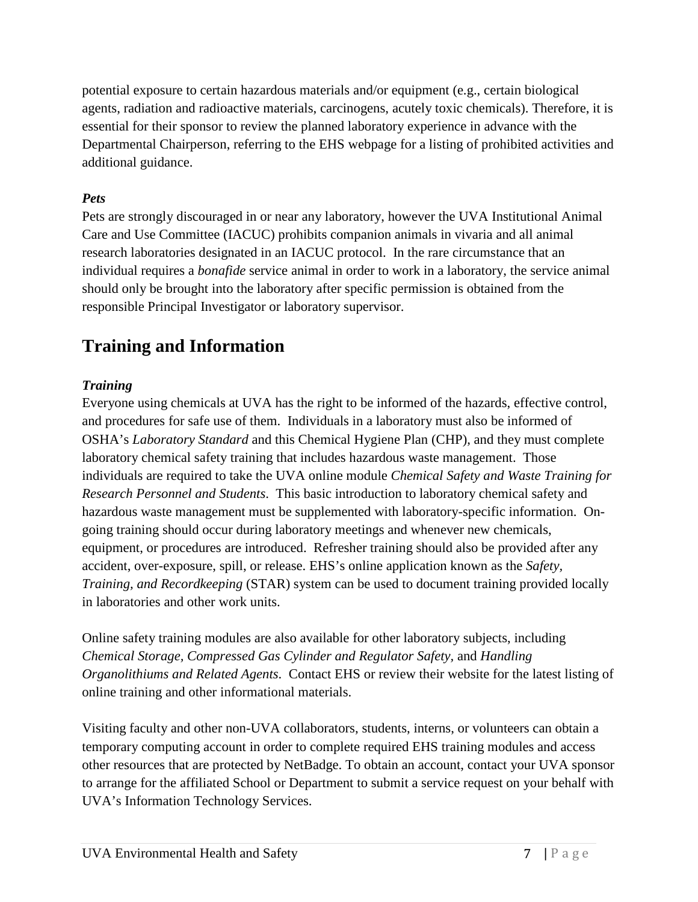potential exposure to certain hazardous materials and/or equipment (e.g., certain biological agents, radiation and radioactive materials, carcinogens, acutely toxic chemicals). Therefore, it is essential for their sponsor to review the planned laboratory experience in advance with the Departmental Chairperson, referring to the EHS webpage for a listing of prohibited activities and additional guidance.

## *Pets*

Pets are strongly discouraged in or near any laboratory, however the UVA Institutional Animal Care and Use Committee (IACUC) prohibits companion animals in vivaria and all animal research laboratories designated in an IACUC protocol. In the rare circumstance that an individual requires a *bonafide* service animal in order to work in a laboratory, the service animal should only be brought into the laboratory after specific permission is obtained from the responsible Principal Investigator or laboratory supervisor.

# **Training and Information**

# *Training*

Everyone using chemicals at UVA has the right to be informed of the hazards, effective control, and procedures for safe use of them. Individuals in a laboratory must also be informed of OSHA's *Laboratory Standard* and this Chemical Hygiene Plan (CHP), and they must complete laboratory chemical safety training that includes hazardous waste management. Those individuals are required to take the UVA online module *Chemical Safety and Waste Training for Research Personnel and Students*. This basic introduction to laboratory chemical safety and hazardous waste management must be supplemented with laboratory-specific information. Ongoing training should occur during laboratory meetings and whenever new chemicals, equipment, or procedures are introduced. Refresher training should also be provided after any accident, over-exposure, spill, or release. EHS's online application known as the *Safety, Training, and Recordkeeping* (STAR) system can be used to document training provided locally in laboratories and other work units.

Online safety training modules are also available for other laboratory subjects, including *Chemical Storage, Compressed Gas Cylinder and Regulator Safety,* and *Handling Organolithiums and Related Agents*. Contact EHS or review their website for the latest listing of online training and other informational materials.

Visiting faculty and other non-UVA collaborators, students, interns, or volunteers can obtain a temporary computing account in order to complete required EHS training modules and access other resources that are protected by NetBadge. To obtain an account, contact your UVA sponsor to arrange for the affiliated School or Department to submit a service request on your behalf with UVA's Information Technology Services.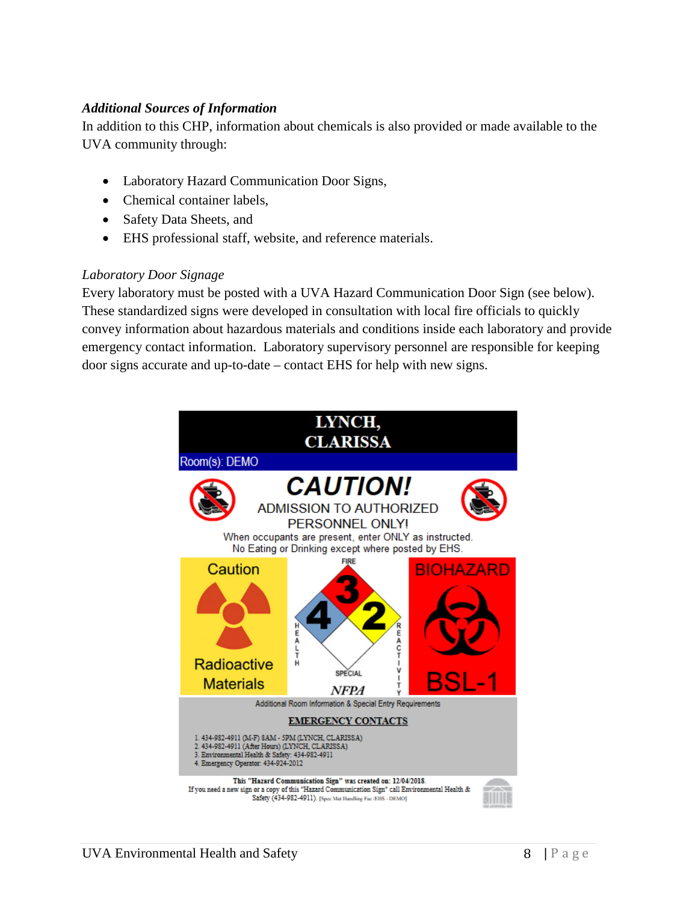#### *Additional Sources of Information*

In addition to this CHP, information about chemicals is also provided or made available to the UVA community through:

- Laboratory Hazard Communication Door Signs,
- Chemical container labels,
- Safety Data Sheets, and
- EHS professional staff, website, and reference materials.

#### *Laboratory Door Signage*

Every laboratory must be posted with a UVA Hazard Communication Door Sign (see below). These standardized signs were developed in consultation with local fire officials to quickly convey information about hazardous materials and conditions inside each laboratory and provide emergency contact information. Laboratory supervisory personnel are responsible for keeping door signs accurate and up-to-date – contact EHS for help with new signs.

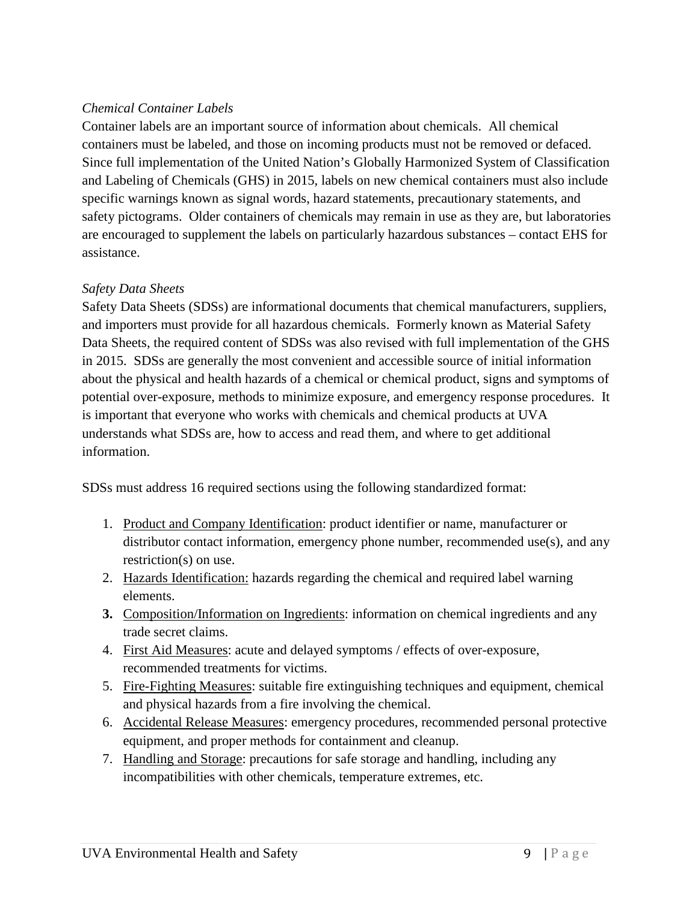#### *Chemical Container Labels*

Container labels are an important source of information about chemicals. All chemical containers must be labeled, and those on incoming products must not be removed or defaced. Since full implementation of the United Nation's Globally Harmonized System of Classification and Labeling of Chemicals (GHS) in 2015, labels on new chemical containers must also include specific warnings known as signal words, hazard statements, precautionary statements, and safety pictograms. Older containers of chemicals may remain in use as they are, but laboratories are encouraged to supplement the labels on particularly hazardous substances – contact EHS for assistance.

#### *Safety Data Sheets*

Safety Data Sheets (SDSs) are informational documents that chemical manufacturers, suppliers, and importers must provide for all hazardous chemicals. Formerly known as Material Safety Data Sheets, the required content of SDSs was also revised with full implementation of the GHS in 2015. SDSs are generally the most convenient and accessible source of initial information about the physical and health hazards of a chemical or chemical product, signs and symptoms of potential over-exposure, methods to minimize exposure, and emergency response procedures. It is important that everyone who works with chemicals and chemical products at UVA understands what SDSs are, how to access and read them, and where to get additional information.

SDSs must address 16 required sections using the following standardized format:

- 1. Product and Company Identification: product identifier or name, manufacturer or distributor contact information, emergency phone number, recommended use(s), and any restriction(s) on use.
- 2. Hazards Identification: hazards regarding the chemical and required label warning elements.
- **3.** Composition/Information on Ingredients: information on chemical ingredients and any trade secret claims.
- 4. First Aid Measures: acute and delayed symptoms / effects of over-exposure, recommended treatments for victims.
- 5. Fire-Fighting Measures: suitable fire extinguishing techniques and equipment, chemical and physical hazards from a fire involving the chemical.
- 6. Accidental Release Measures: emergency procedures, recommended personal protective equipment, and proper methods for containment and cleanup.
- 7. Handling and Storage: precautions for safe storage and handling, including any incompatibilities with other chemicals, temperature extremes, etc.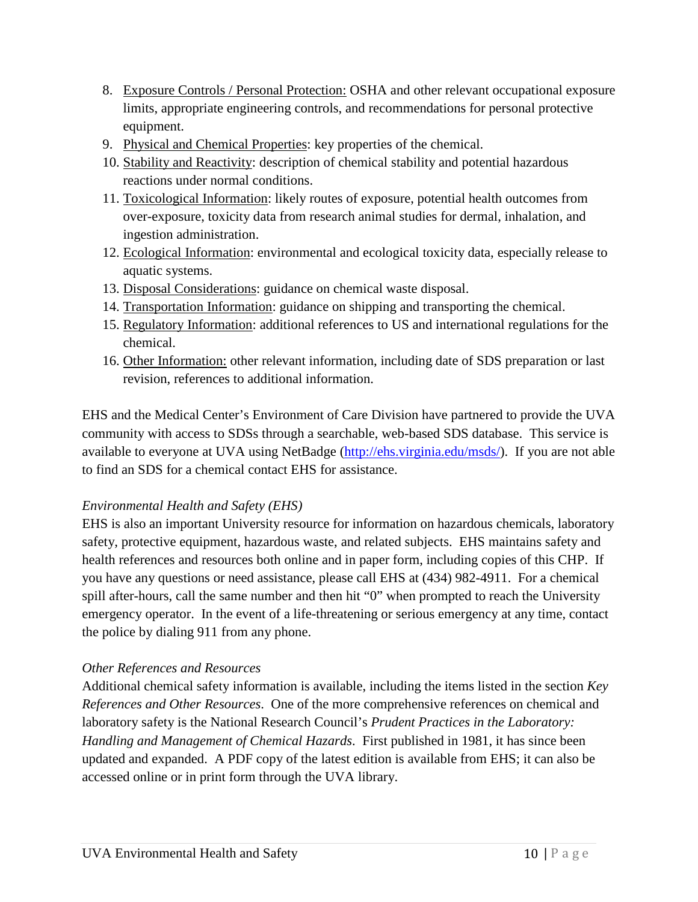- 8. Exposure Controls / Personal Protection: OSHA and other relevant occupational exposure limits, appropriate engineering controls, and recommendations for personal protective equipment.
- 9. Physical and Chemical Properties: key properties of the chemical.
- 10. Stability and Reactivity: description of chemical stability and potential hazardous reactions under normal conditions.
- 11. Toxicological Information: likely routes of exposure, potential health outcomes from over-exposure, toxicity data from research animal studies for dermal, inhalation, and ingestion administration.
- 12. Ecological Information: environmental and ecological toxicity data, especially release to aquatic systems.
- 13. Disposal Considerations: guidance on chemical waste disposal.
- 14. Transportation Information: guidance on shipping and transporting the chemical.
- 15. Regulatory Information: additional references to US and international regulations for the chemical.
- 16. Other Information: other relevant information, including date of SDS preparation or last revision, references to additional information.

EHS and the Medical Center's Environment of Care Division have partnered to provide the UVA community with access to SDSs through a searchable, web-based SDS database. This service is available to everyone at UVA using NetBadge [\(http://ehs.virginia.edu/msds/\)](http://ehs.virginia.edu/msds/). If you are not able to find an SDS for a chemical contact EHS for assistance.

# *Environmental Health and Safety (EHS)*

EHS is also an important University resource for information on hazardous chemicals, laboratory safety, protective equipment, hazardous waste, and related subjects. EHS maintains safety and health references and resources both online and in paper form, including copies of this CHP. If you have any questions or need assistance, please call EHS at (434) 982-4911. For a chemical spill after-hours, call the same number and then hit "0" when prompted to reach the University emergency operator. In the event of a life-threatening or serious emergency at any time, contact the police by dialing 911 from any phone.

# *Other References and Resources*

Additional chemical safety information is available, including the items listed in the section *Key References and Other Resources*. One of the more comprehensive references on chemical and laboratory safety is the National Research Council's *Prudent Practices in the Laboratory: Handling and Management of Chemical Hazards*. First published in 1981, it has since been updated and expanded. A PDF copy of the latest edition is available from EHS; it can also be accessed online or in print form through the UVA library.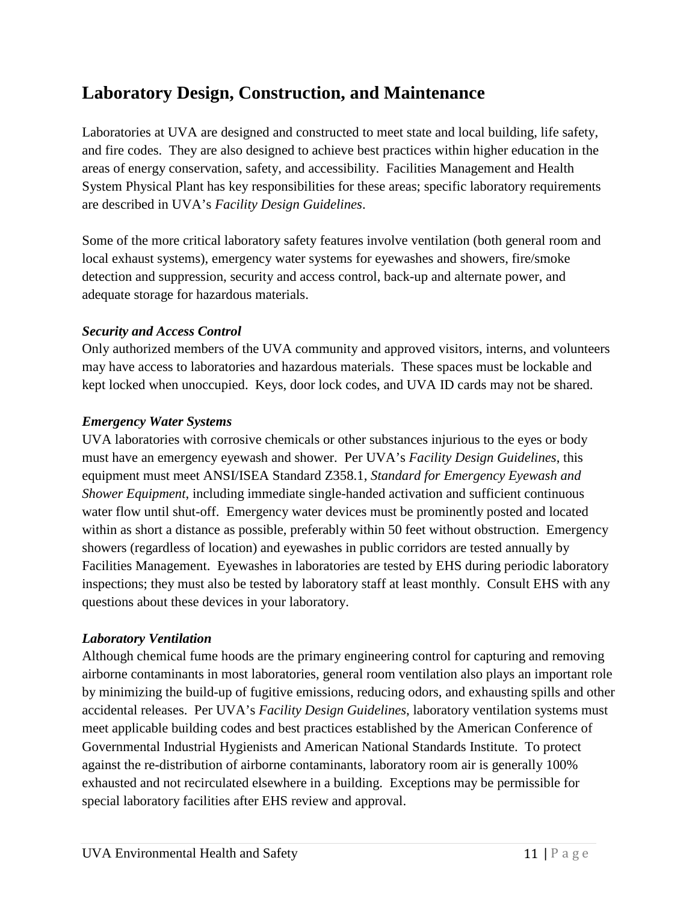# **Laboratory Design, Construction, and Maintenance**

Laboratories at UVA are designed and constructed to meet state and local building, life safety, and fire codes. They are also designed to achieve best practices within higher education in the areas of energy conservation, safety, and accessibility. Facilities Management and Health System Physical Plant has key responsibilities for these areas; specific laboratory requirements are described in UVA's *Facility Design Guidelines*.

Some of the more critical laboratory safety features involve ventilation (both general room and local exhaust systems), emergency water systems for eyewashes and showers, fire/smoke detection and suppression, security and access control, back-up and alternate power, and adequate storage for hazardous materials.

# *Security and Access Control*

Only authorized members of the UVA community and approved visitors, interns, and volunteers may have access to laboratories and hazardous materials. These spaces must be lockable and kept locked when unoccupied. Keys, door lock codes, and UVA ID cards may not be shared.

# *Emergency Water Systems*

UVA laboratories with corrosive chemicals or other substances injurious to the eyes or body must have an emergency eyewash and shower. Per UVA's *Facility Design Guidelines*, this equipment must meet ANSI/ISEA Standard Z358.1, *Standard for Emergency Eyewash and Shower Equipment*, including immediate single-handed activation and sufficient continuous water flow until shut-off. Emergency water devices must be prominently posted and located within as short a distance as possible, preferably within 50 feet without obstruction. Emergency showers (regardless of location) and eyewashes in public corridors are tested annually by Facilities Management. Eyewashes in laboratories are tested by EHS during periodic laboratory inspections; they must also be tested by laboratory staff at least monthly. Consult EHS with any questions about these devices in your laboratory.

# *Laboratory Ventilation*

Although chemical fume hoods are the primary engineering control for capturing and removing airborne contaminants in most laboratories, general room ventilation also plays an important role by minimizing the build-up of fugitive emissions, reducing odors, and exhausting spills and other accidental releases. Per UVA's *Facility Design Guidelines*, laboratory ventilation systems must meet applicable building codes and best practices established by the American Conference of Governmental Industrial Hygienists and American National Standards Institute. To protect against the re-distribution of airborne contaminants, laboratory room air is generally 100% exhausted and not recirculated elsewhere in a building. Exceptions may be permissible for special laboratory facilities after EHS review and approval.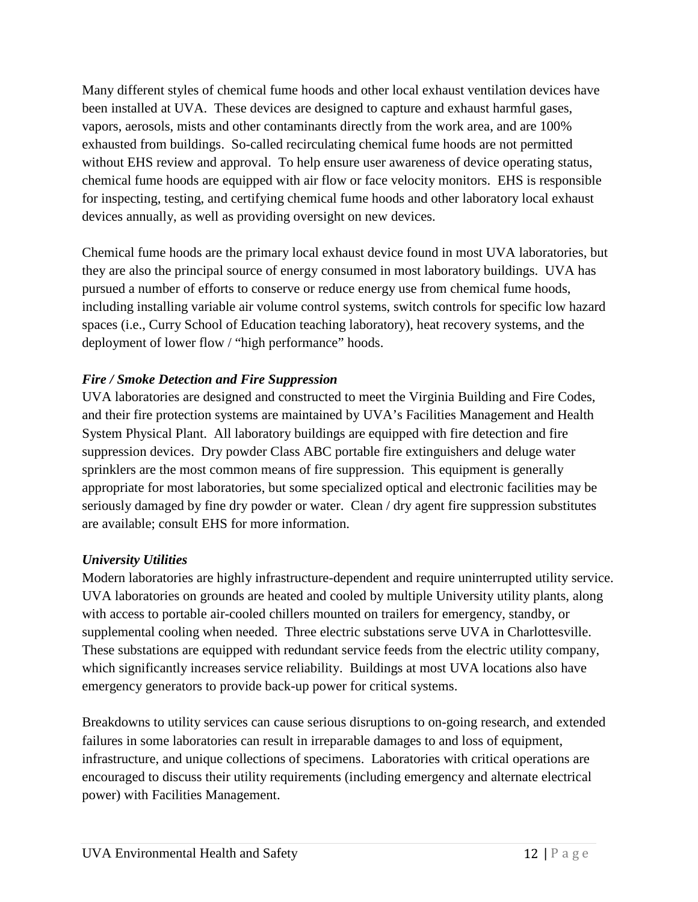Many different styles of chemical fume hoods and other local exhaust ventilation devices have been installed at UVA. These devices are designed to capture and exhaust harmful gases, vapors, aerosols, mists and other contaminants directly from the work area, and are 100% exhausted from buildings. So-called recirculating chemical fume hoods are not permitted without EHS review and approval. To help ensure user awareness of device operating status, chemical fume hoods are equipped with air flow or face velocity monitors. EHS is responsible for inspecting, testing, and certifying chemical fume hoods and other laboratory local exhaust devices annually, as well as providing oversight on new devices.

Chemical fume hoods are the primary local exhaust device found in most UVA laboratories, but they are also the principal source of energy consumed in most laboratory buildings. UVA has pursued a number of efforts to conserve or reduce energy use from chemical fume hoods, including installing variable air volume control systems, switch controls for specific low hazard spaces (i.e., Curry School of Education teaching laboratory), heat recovery systems, and the deployment of lower flow / "high performance" hoods.

# *Fire / Smoke Detection and Fire Suppression*

UVA laboratories are designed and constructed to meet the Virginia Building and Fire Codes, and their fire protection systems are maintained by UVA's Facilities Management and Health System Physical Plant. All laboratory buildings are equipped with fire detection and fire suppression devices. Dry powder Class ABC portable fire extinguishers and deluge water sprinklers are the most common means of fire suppression. This equipment is generally appropriate for most laboratories, but some specialized optical and electronic facilities may be seriously damaged by fine dry powder or water. Clean / dry agent fire suppression substitutes are available; consult EHS for more information.

# *University Utilities*

Modern laboratories are highly infrastructure-dependent and require uninterrupted utility service. UVA laboratories on grounds are heated and cooled by multiple University utility plants, along with access to portable air-cooled chillers mounted on trailers for emergency, standby, or supplemental cooling when needed. Three electric substations serve UVA in Charlottesville. These substations are equipped with redundant service feeds from the electric utility company, which significantly increases service reliability. Buildings at most UVA locations also have emergency generators to provide back-up power for critical systems.

Breakdowns to utility services can cause serious disruptions to on-going research, and extended failures in some laboratories can result in irreparable damages to and loss of equipment, infrastructure, and unique collections of specimens. Laboratories with critical operations are encouraged to discuss their utility requirements (including emergency and alternate electrical power) with Facilities Management.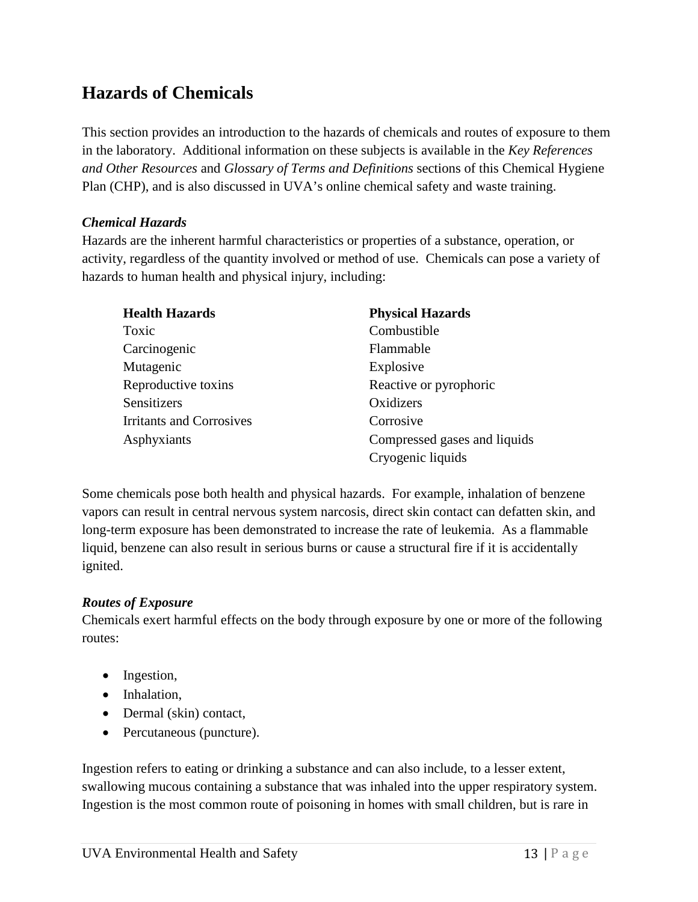# **Hazards of Chemicals**

This section provides an introduction to the hazards of chemicals and routes of exposure to them in the laboratory. Additional information on these subjects is available in the *Key References and Other Resources* and *Glossary of Terms and Definitions* sections of this Chemical Hygiene Plan (CHP), and is also discussed in UVA's online chemical safety and waste training.

## *Chemical Hazards*

Hazards are the inherent harmful characteristics or properties of a substance, operation, or activity, regardless of the quantity involved or method of use. Chemicals can pose a variety of hazards to human health and physical injury, including:

| <b>Health Hazards</b>           | <b>Physical Hazards</b>      |
|---------------------------------|------------------------------|
| Toxic                           | Combustible                  |
| Carcinogenic                    | Flammable                    |
| Mutagenic                       | Explosive                    |
| Reproductive toxins             | Reactive or pyrophoric       |
| Sensitizers                     | Oxidizers                    |
| <b>Irritants and Corrosives</b> | Corrosive                    |
| Asphyxiants                     | Compressed gases and liquids |
|                                 | Cryogenic liquids            |

Some chemicals pose both health and physical hazards. For example, inhalation of benzene vapors can result in central nervous system narcosis, direct skin contact can defatten skin, and long-term exposure has been demonstrated to increase the rate of leukemia. As a flammable liquid, benzene can also result in serious burns or cause a structural fire if it is accidentally ignited.

# *Routes of Exposure*

Chemicals exert harmful effects on the body through exposure by one or more of the following routes:

- Ingestion,
- Inhalation,
- Dermal (skin) contact,
- Percutaneous (puncture).

Ingestion refers to eating or drinking a substance and can also include, to a lesser extent, swallowing mucous containing a substance that was inhaled into the upper respiratory system. Ingestion is the most common route of poisoning in homes with small children, but is rare in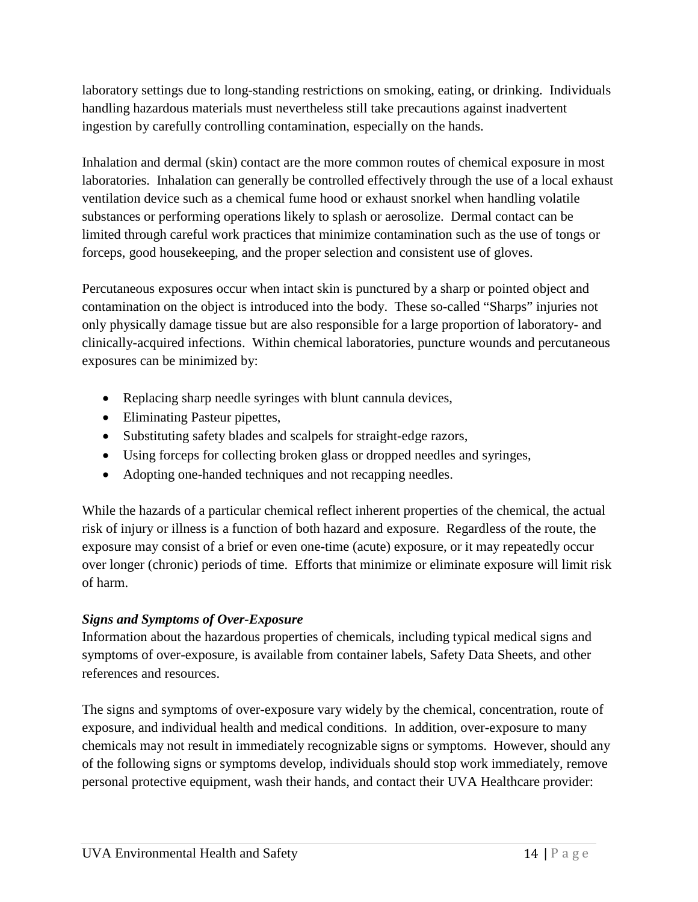laboratory settings due to long-standing restrictions on smoking, eating, or drinking. Individuals handling hazardous materials must nevertheless still take precautions against inadvertent ingestion by carefully controlling contamination, especially on the hands.

Inhalation and dermal (skin) contact are the more common routes of chemical exposure in most laboratories. Inhalation can generally be controlled effectively through the use of a local exhaust ventilation device such as a chemical fume hood or exhaust snorkel when handling volatile substances or performing operations likely to splash or aerosolize. Dermal contact can be limited through careful work practices that minimize contamination such as the use of tongs or forceps, good housekeeping, and the proper selection and consistent use of gloves.

Percutaneous exposures occur when intact skin is punctured by a sharp or pointed object and contamination on the object is introduced into the body. These so-called "Sharps" injuries not only physically damage tissue but are also responsible for a large proportion of laboratory- and clinically-acquired infections. Within chemical laboratories, puncture wounds and percutaneous exposures can be minimized by:

- Replacing sharp needle syringes with blunt cannula devices,
- Eliminating Pasteur pipettes,
- Substituting safety blades and scalpels for straight-edge razors,
- Using forceps for collecting broken glass or dropped needles and syringes,
- Adopting one-handed techniques and not recapping needles.

While the hazards of a particular chemical reflect inherent properties of the chemical, the actual risk of injury or illness is a function of both hazard and exposure. Regardless of the route, the exposure may consist of a brief or even one-time (acute) exposure, or it may repeatedly occur over longer (chronic) periods of time. Efforts that minimize or eliminate exposure will limit risk of harm.

# *Signs and Symptoms of Over-Exposure*

Information about the hazardous properties of chemicals, including typical medical signs and symptoms of over-exposure, is available from container labels, Safety Data Sheets, and other references and resources.

The signs and symptoms of over-exposure vary widely by the chemical, concentration, route of exposure, and individual health and medical conditions. In addition, over-exposure to many chemicals may not result in immediately recognizable signs or symptoms. However, should any of the following signs or symptoms develop, individuals should stop work immediately, remove personal protective equipment, wash their hands, and contact their UVA Healthcare provider: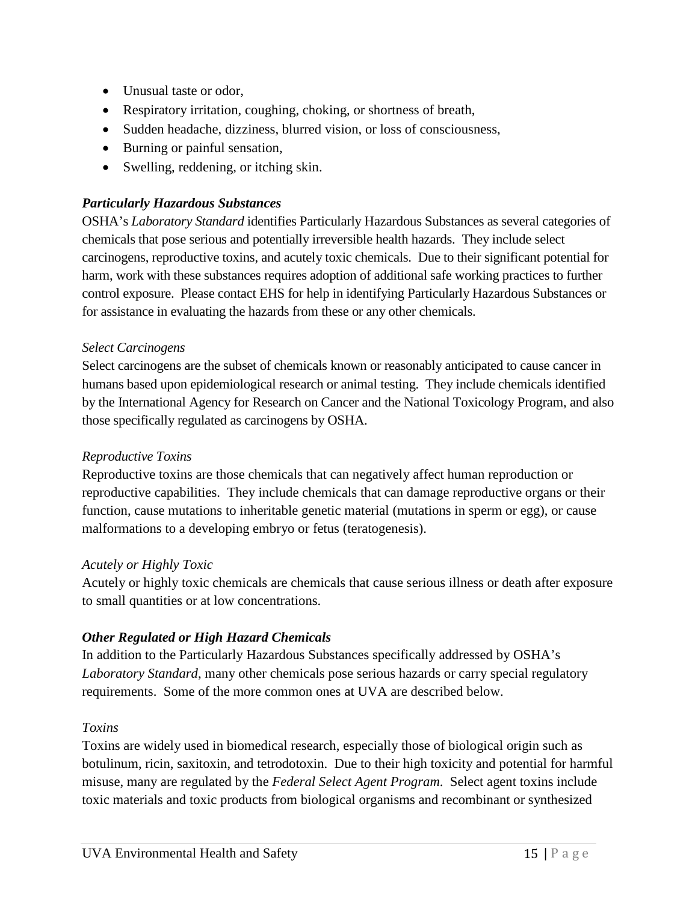- Unusual taste or odor,
- Respiratory irritation, coughing, choking, or shortness of breath,
- Sudden headache, dizziness, blurred vision, or loss of consciousness,
- Burning or painful sensation,
- Swelling, reddening, or itching skin.

## *Particularly Hazardous Substances*

OSHA's *Laboratory Standard* identifies Particularly Hazardous Substances as several categories of chemicals that pose serious and potentially irreversible health hazards. They include select carcinogens, reproductive toxins, and acutely toxic chemicals. Due to their significant potential for harm, work with these substances requires adoption of additional safe working practices to further control exposure. Please contact EHS for help in identifying Particularly Hazardous Substances or for assistance in evaluating the hazards from these or any other chemicals.

# *Select Carcinogens*

Select carcinogens are the subset of chemicals known or reasonably anticipated to cause cancer in humans based upon epidemiological research or animal testing. They include chemicals identified by the International Agency for Research on Cancer and the National Toxicology Program, and also those specifically regulated as carcinogens by OSHA.

#### *Reproductive Toxins*

Reproductive toxins are those chemicals that can negatively affect human reproduction or reproductive capabilities. They include chemicals that can damage reproductive organs or their function, cause mutations to inheritable genetic material (mutations in sperm or egg), or cause malformations to a developing embryo or fetus (teratogenesis).

#### *Acutely or Highly Toxic*

Acutely or highly toxic chemicals are chemicals that cause serious illness or death after exposure to small quantities or at low concentrations.

# *Other Regulated or High Hazard Chemicals*

In addition to the Particularly Hazardous Substances specifically addressed by OSHA's *Laboratory Standard*, many other chemicals pose serious hazards or carry special regulatory requirements. Some of the more common ones at UVA are described below.

#### *Toxins*

Toxins are widely used in biomedical research, especially those of biological origin such as botulinum, ricin, saxitoxin, and tetrodotoxin. Due to their high toxicity and potential for harmful misuse, many are regulated by the *Federal Select Agent Program*. Select agent toxins include toxic materials and toxic products from biological organisms and recombinant or synthesized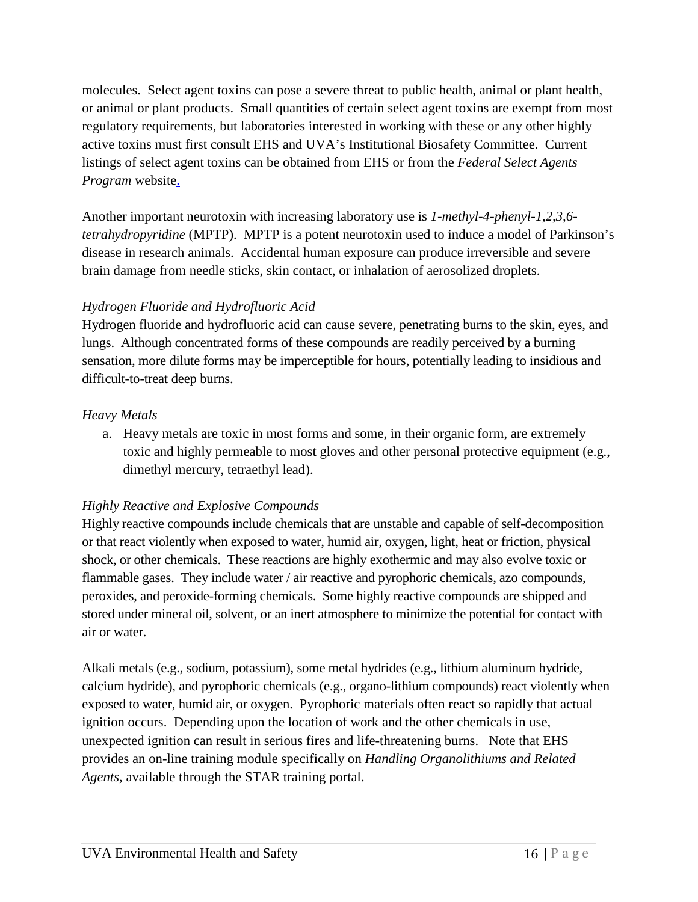molecules. Select agent toxins can pose a severe threat to public health, animal or plant health, or animal or plant products. Small quantities of certain select agent toxins are exempt from most regulatory requirements, but laboratories interested in working with these or any other highly active toxins must first consult EHS and UVA's Institutional Biosafety Committee. Current listings of select agent toxins can be obtained from EHS or from the *Federal Select Agents Program* website.

Another important neurotoxin with increasing laboratory use is *1-methyl-4-phenyl-1,2,3,6 tetrahydropyridine* (MPTP). MPTP is a potent neurotoxin used to induce a model of Parkinson's disease in research animals. Accidental human exposure can produce irreversible and severe brain damage from needle sticks, skin contact, or inhalation of aerosolized droplets.

# *Hydrogen Fluoride and Hydrofluoric Acid*

Hydrogen fluoride and hydrofluoric acid can cause severe, penetrating burns to the skin, eyes, and lungs. Although concentrated forms of these compounds are readily perceived by a burning sensation, more dilute forms may be imperceptible for hours, potentially leading to insidious and difficult-to-treat deep burns.

# *Heavy Metals*

a. Heavy metals are toxic in most forms and some, in their organic form, are extremely toxic and highly permeable to most gloves and other personal protective equipment (e.g., dimethyl mercury, tetraethyl lead).

# *Highly Reactive and Explosive Compounds*

Highly reactive compounds include chemicals that are unstable and capable of self-decomposition or that react violently when exposed to water, humid air, oxygen, light, heat or friction, physical shock, or other chemicals. These reactions are highly exothermic and may also evolve toxic or flammable gases. They include water / air reactive and pyrophoric chemicals, azo compounds, peroxides, and peroxide-forming chemicals. Some highly reactive compounds are shipped and stored under mineral oil, solvent, or an inert atmosphere to minimize the potential for contact with air or water.

Alkali metals (e.g., sodium, potassium), some metal hydrides (e.g., lithium aluminum hydride, calcium hydride), and pyrophoric chemicals (e.g., organo-lithium compounds) react violently when exposed to water, humid air, or oxygen. Pyrophoric materials often react so rapidly that actual ignition occurs. Depending upon the location of work and the other chemicals in use, unexpected ignition can result in serious fires and life-threatening burns. Note that EHS provides an on-line training module specifically on *Handling Organolithiums and Related Agents*, available through the STAR training portal.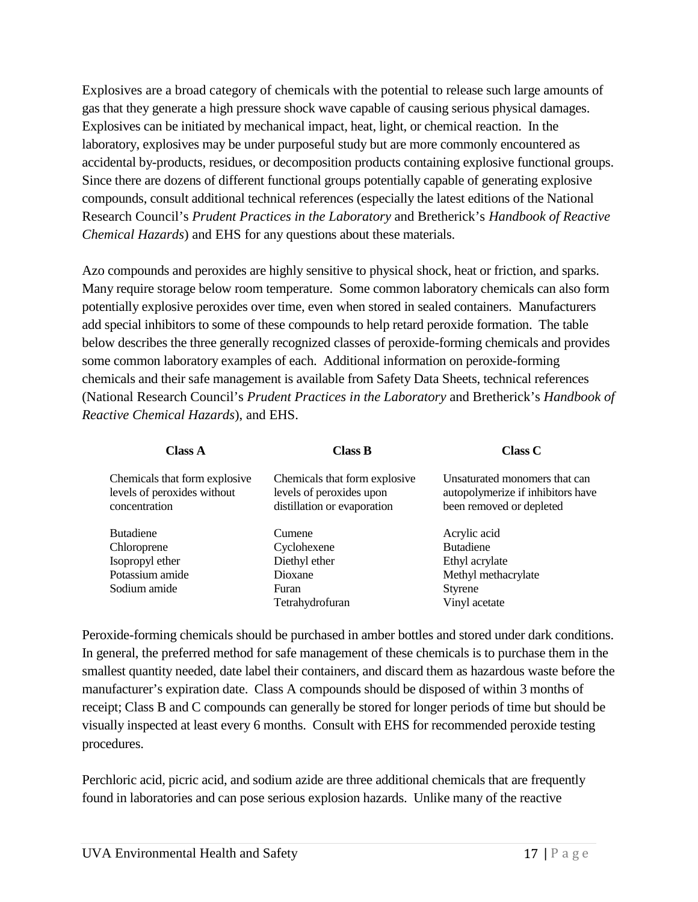Explosives are a broad category of chemicals with the potential to release such large amounts of gas that they generate a high pressure shock wave capable of causing serious physical damages. Explosives can be initiated by mechanical impact, heat, light, or chemical reaction. In the laboratory, explosives may be under purposeful study but are more commonly encountered as accidental by-products, residues, or decomposition products containing explosive functional groups. Since there are dozens of different functional groups potentially capable of generating explosive compounds, consult additional technical references (especially the latest editions of the National Research Council's *Prudent Practices in the Laboratory* and Bretherick's *Handbook of Reactive Chemical Hazards*) and EHS for any questions about these materials.

Azo compounds and peroxides are highly sensitive to physical shock, heat or friction, and sparks. Many require storage below room temperature. Some common laboratory chemicals can also form potentially explosive peroxides over time, even when stored in sealed containers. Manufacturers add special inhibitors to some of these compounds to help retard peroxide formation. The table below describes the three generally recognized classes of peroxide-forming chemicals and provides some common laboratory examples of each. Additional information on peroxide-forming chemicals and their safe management is available from Safety Data Sheets, technical references (National Research Council's *Prudent Practices in the Laboratory* and Bretherick's *Handbook of Reactive Chemical Hazards*), and EHS.

| <b>Class A</b>                                                                | <b>Class B</b>                                                                           | Class C                                                                                        |
|-------------------------------------------------------------------------------|------------------------------------------------------------------------------------------|------------------------------------------------------------------------------------------------|
| Chemicals that form explosive<br>levels of peroxides without<br>concentration | Chemicals that form explosive<br>levels of peroxides upon<br>distillation or evaporation | Unsaturated monomers that can<br>autopolymerize if inhibitors have<br>been removed or depleted |
| <b>Butadiene</b>                                                              | Cumene                                                                                   | Acrylic acid                                                                                   |
| Chloroprene                                                                   | Cyclohexene                                                                              | <b>Butadiene</b>                                                                               |
| Isopropyl ether                                                               | Diethyl ether                                                                            | Ethyl acrylate                                                                                 |
| Potassium amide                                                               | Dioxane                                                                                  | Methyl methacrylate                                                                            |
| Sodium amide                                                                  | Furan                                                                                    | <b>Styrene</b>                                                                                 |
|                                                                               | Tetrahydrofuran                                                                          | Vinyl acetate                                                                                  |

Peroxide-forming chemicals should be purchased in amber bottles and stored under dark conditions. In general, the preferred method for safe management of these chemicals is to purchase them in the smallest quantity needed, date label their containers, and discard them as hazardous waste before the manufacturer's expiration date. Class A compounds should be disposed of within 3 months of receipt; Class B and C compounds can generally be stored for longer periods of time but should be visually inspected at least every 6 months. Consult with EHS for recommended peroxide testing procedures.

Perchloric acid, picric acid, and sodium azide are three additional chemicals that are frequently found in laboratories and can pose serious explosion hazards. Unlike many of the reactive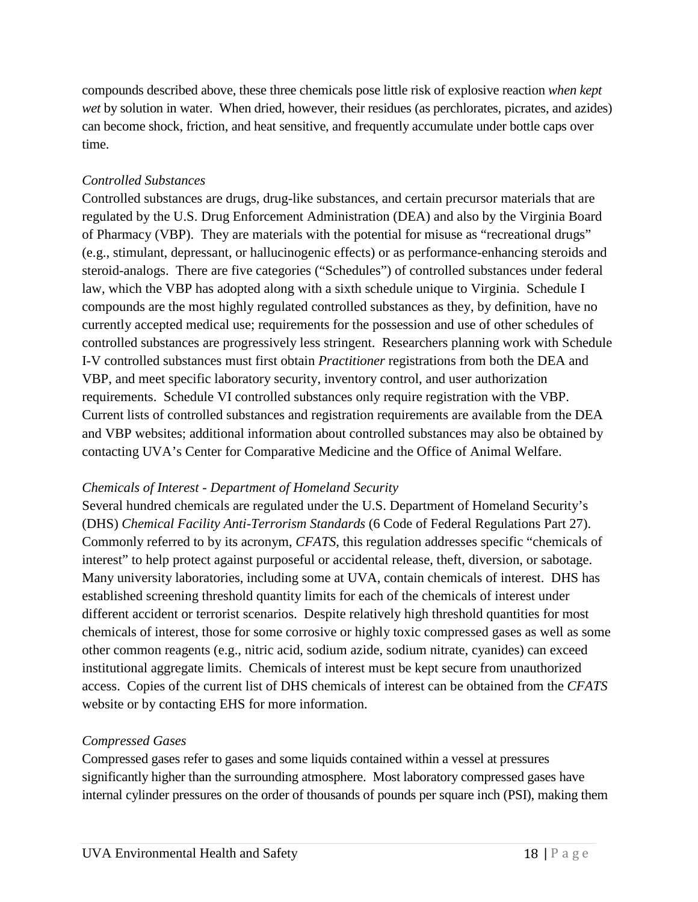compounds described above, these three chemicals pose little risk of explosive reaction *when kept wet* by solution in water. When dried, however, their residues (as perchlorates, picrates, and azides) can become shock, friction, and heat sensitive, and frequently accumulate under bottle caps over time.

#### *Controlled Substances*

Controlled substances are drugs, drug-like substances, and certain precursor materials that are regulated by the U.S. Drug Enforcement Administration (DEA) and also by the Virginia Board of Pharmacy (VBP). They are materials with the potential for misuse as "recreational drugs" (e.g., stimulant, depressant, or hallucinogenic effects) or as performance-enhancing steroids and steroid-analogs. There are five categories ("Schedules") of controlled substances under federal law, which the VBP has adopted along with a sixth schedule unique to Virginia. Schedule I compounds are the most highly regulated controlled substances as they, by definition, have no currently accepted medical use; requirements for the possession and use of other schedules of controlled substances are progressively less stringent. Researchers planning work with Schedule I-V controlled substances must first obtain *Practitioner* registrations from both the DEA and VBP, and meet specific laboratory security, inventory control, and user authorization requirements. Schedule VI controlled substances only require registration with the VBP. Current lists of controlled substances and registration requirements are available from the DEA and VBP websites; additional information about controlled substances may also be obtained by contacting UVA's Center for Comparative Medicine and the Office of Animal Welfare.

#### *Chemicals of Interest - Department of Homeland Security*

Several hundred chemicals are regulated under the U.S. Department of Homeland Security's (DHS) *Chemical Facility Anti-Terrorism Standards* (6 Code of Federal Regulations Part 27). Commonly referred to by its acronym, *CFATS*, this regulation addresses specific "chemicals of interest" to help protect against purposeful or accidental release, theft, diversion, or sabotage. Many university laboratories, including some at UVA, contain chemicals of interest. DHS has established screening threshold quantity limits for each of the chemicals of interest under different accident or terrorist scenarios. Despite relatively high threshold quantities for most chemicals of interest, those for some corrosive or highly toxic compressed gases as well as some other common reagents (e.g., nitric acid, sodium azide, sodium nitrate, cyanides) can exceed institutional aggregate limits. Chemicals of interest must be kept secure from unauthorized access. Copies of the current list of DHS chemicals of interest can be obtained from the *CFATS* website or by contacting EHS for more information.

#### *Compressed Gases*

Compressed gases refer to gases and some liquids contained within a vessel at pressures significantly higher than the surrounding atmosphere. Most laboratory compressed gases have internal cylinder pressures on the order of thousands of pounds per square inch (PSI), making them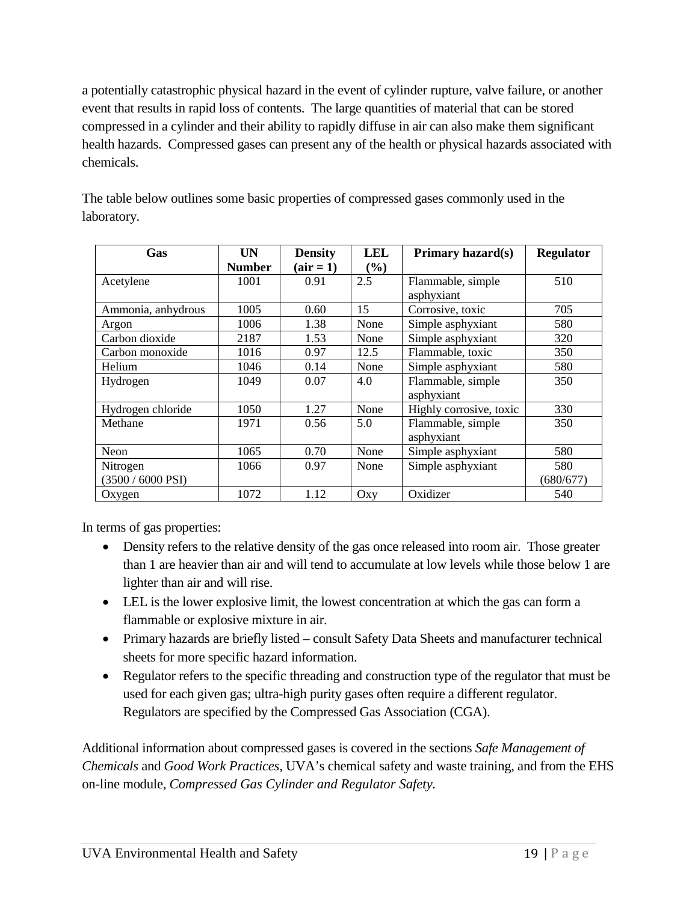a potentially catastrophic physical hazard in the event of cylinder rupture, valve failure, or another event that results in rapid loss of contents. The large quantities of material that can be stored compressed in a cylinder and their ability to rapidly diffuse in air can also make them significant health hazards. Compressed gases can present any of the health or physical hazards associated with chemicals.

| Gas                         | UN            | <b>Density</b> | <b>LEL</b> | <b>Primary hazard(s)</b> | <b>Regulator</b> |
|-----------------------------|---------------|----------------|------------|--------------------------|------------------|
|                             | <b>Number</b> | $(air = 1)$    | $(\%)$     |                          |                  |
| Acetylene                   | 1001          | 0.91           | 2.5        | Flammable, simple        | 510              |
|                             |               |                |            | asphyxiant               |                  |
| Ammonia, anhydrous          | 1005          | 0.60           | 15         | Corrosive, toxic         | 705              |
| Argon                       | 1006          | 1.38           | None       | Simple asphyxiant        | 580              |
| Carbon dioxide              | 2187          | 1.53           | None       | Simple asphyxiant        | 320              |
| Carbon monoxide             | 1016          | 0.97           | 12.5       | Flammable, toxic         | 350              |
| Helium                      | 1046          | 0.14           | None       | Simple asphyxiant        | 580              |
| Hydrogen                    | 1049          | 0.07           | 4.0        | Flammable, simple        | 350              |
|                             |               |                |            | asphyxiant               |                  |
| Hydrogen chloride           | 1050          | 1.27           | None       | Highly corrosive, toxic  | 330              |
| Methane                     | 1971          | 0.56           | 5.0        | Flammable, simple        | 350              |
|                             |               |                |            | asphyxiant               |                  |
| <b>Neon</b>                 | 1065          | 0.70           | None       | Simple asphyxiant        | 580              |
| Nitrogen                    | 1066          | 0.97           | None       | Simple asphyxiant        | 580              |
| $(3500 / 6000 \text{ PSI})$ |               |                |            |                          | (680/677)        |
| Oxygen                      | 1072          | 1.12           | Oxy        | Oxidizer                 | 540              |

The table below outlines some basic properties of compressed gases commonly used in the laboratory.

In terms of gas properties:

- Density refers to the relative density of the gas once released into room air. Those greater than 1 are heavier than air and will tend to accumulate at low levels while those below 1 are lighter than air and will rise.
- LEL is the lower explosive limit, the lowest concentration at which the gas can form a flammable or explosive mixture in air.
- Primary hazards are briefly listed consult Safety Data Sheets and manufacturer technical sheets for more specific hazard information.
- Regulator refers to the specific threading and construction type of the regulator that must be used for each given gas; ultra-high purity gases often require a different regulator. Regulators are specified by the Compressed Gas Association (CGA).

Additional information about compressed gases is covered in the sections *Safe Management of Chemicals* and *Good Work Practices*, UVA's chemical safety and waste training, and from the EHS on-line module, *Compressed Gas Cylinder and Regulator Safety.*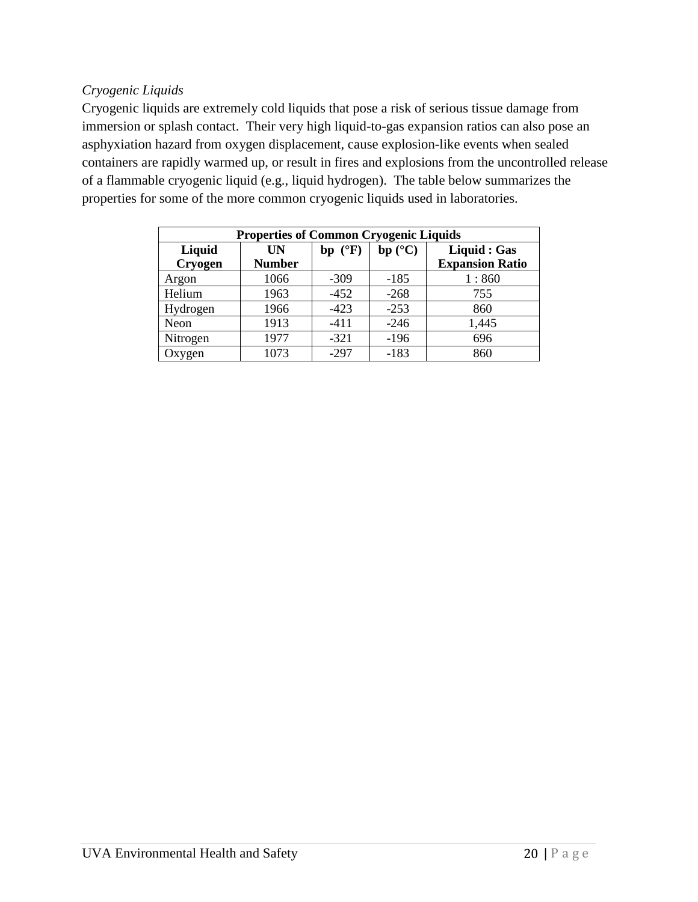#### *Cryogenic Liquids*

Cryogenic liquids are extremely cold liquids that pose a risk of serious tissue damage from immersion or splash contact. Their very high liquid-to-gas expansion ratios can also pose an asphyxiation hazard from oxygen displacement, cause explosion-like events when sealed containers are rapidly warmed up, or result in fires and explosions from the uncontrolled release of a flammable cryogenic liquid (e.g., liquid hydrogen). The table below summarizes the properties for some of the more common cryogenic liquids used in laboratories.

| <b>Properties of Common Cryogenic Liquids</b> |               |                  |                  |                        |
|-----------------------------------------------|---------------|------------------|------------------|------------------------|
| Liquid                                        | UN            | bp $(^{\circ}F)$ | bp $(^{\circ}C)$ | Liquid : Gas           |
| Cryogen                                       | <b>Number</b> |                  |                  | <b>Expansion Ratio</b> |
| Argon                                         | 1066          | $-309$           | $-185$           | 1:860                  |
| Helium                                        | 1963          | $-452$           | $-268$           | 755                    |
| Hydrogen                                      | 1966          | $-423$           | $-253$           | 860                    |
| Neon                                          | 1913          | $-411$           | $-246$           | 1,445                  |
| Nitrogen                                      | 1977          | $-321$           | $-196$           | 696                    |
| Oxygen                                        | 1073          | $-297$           | $-183$           | 860                    |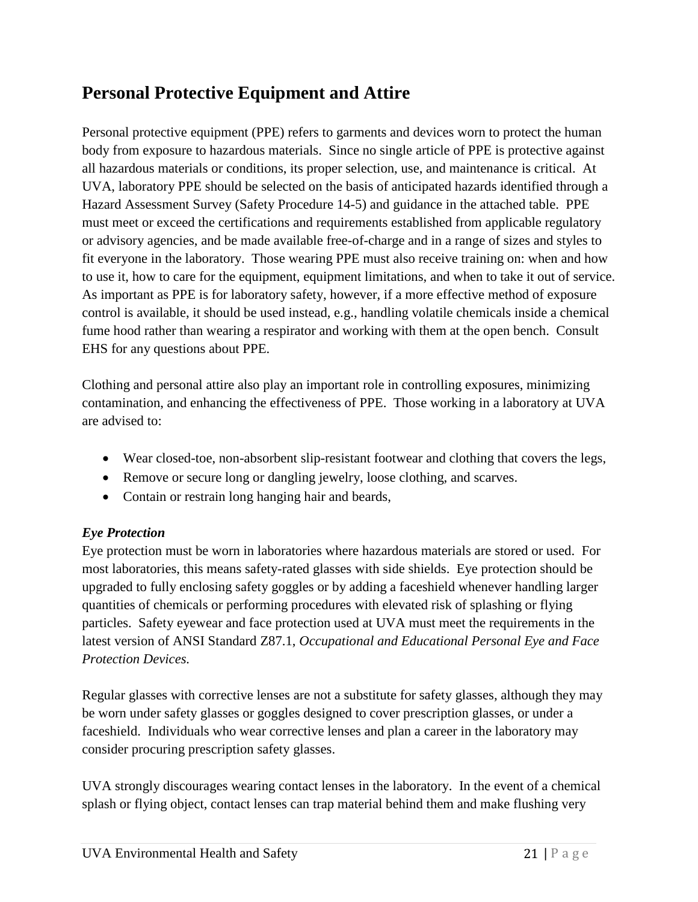# **Personal Protective Equipment and Attire**

Personal protective equipment (PPE) refers to garments and devices worn to protect the human body from exposure to hazardous materials. Since no single article of PPE is protective against all hazardous materials or conditions, its proper selection, use, and maintenance is critical. At UVA, laboratory PPE should be selected on the basis of anticipated hazards identified through a Hazard Assessment Survey (Safety Procedure 14-5) and guidance in the attached table. PPE must meet or exceed the certifications and requirements established from applicable regulatory or advisory agencies, and be made available free-of-charge and in a range of sizes and styles to fit everyone in the laboratory. Those wearing PPE must also receive training on: when and how to use it, how to care for the equipment, equipment limitations, and when to take it out of service. As important as PPE is for laboratory safety, however, if a more effective method of exposure control is available, it should be used instead, e.g., handling volatile chemicals inside a chemical fume hood rather than wearing a respirator and working with them at the open bench. Consult EHS for any questions about PPE.

Clothing and personal attire also play an important role in controlling exposures, minimizing contamination, and enhancing the effectiveness of PPE. Those working in a laboratory at UVA are advised to:

- Wear closed-toe, non-absorbent slip-resistant footwear and clothing that covers the legs,
- Remove or secure long or dangling jewelry, loose clothing, and scarves.
- Contain or restrain long hanging hair and beards,

# *Eye Protection*

Eye protection must be worn in laboratories where hazardous materials are stored or used. For most laboratories, this means safety-rated glasses with side shields. Eye protection should be upgraded to fully enclosing safety goggles or by adding a faceshield whenever handling larger quantities of chemicals or performing procedures with elevated risk of splashing or flying particles. Safety eyewear and face protection used at UVA must meet the requirements in the latest version of ANSI Standard Z87.1, *Occupational and Educational Personal Eye and Face Protection Devices.* 

Regular glasses with corrective lenses are not a substitute for safety glasses, although they may be worn under safety glasses or goggles designed to cover prescription glasses, or under a faceshield. Individuals who wear corrective lenses and plan a career in the laboratory may consider procuring prescription safety glasses.

UVA strongly discourages wearing contact lenses in the laboratory. In the event of a chemical splash or flying object, contact lenses can trap material behind them and make flushing very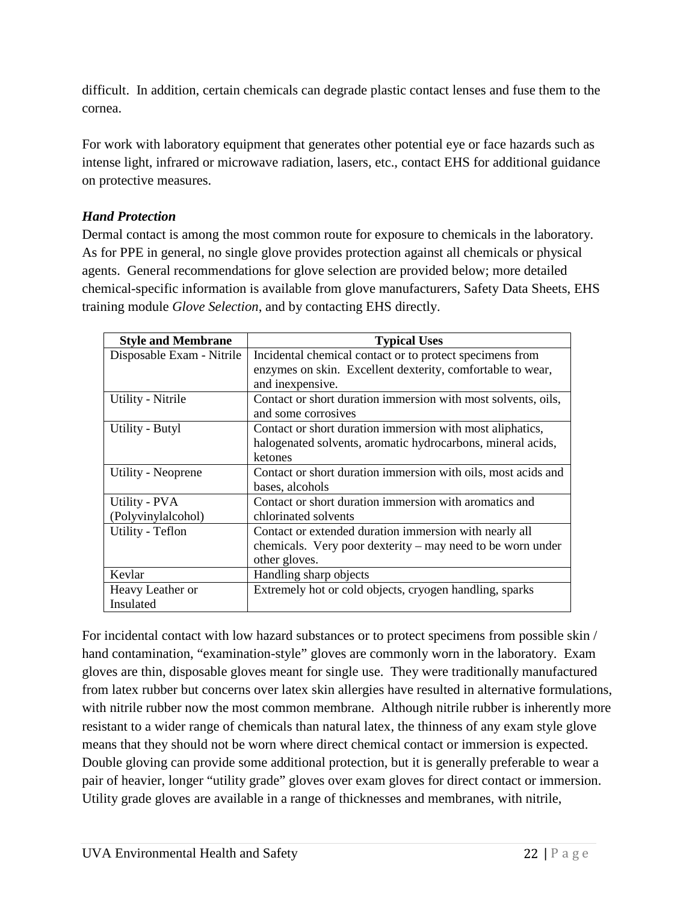difficult. In addition, certain chemicals can degrade plastic contact lenses and fuse them to the cornea.

For work with laboratory equipment that generates other potential eye or face hazards such as intense light, infrared or microwave radiation, lasers, etc., contact EHS for additional guidance on protective measures.

## *Hand Protection*

Dermal contact is among the most common route for exposure to chemicals in the laboratory. As for PPE in general, no single glove provides protection against all chemicals or physical agents. General recommendations for glove selection are provided below; more detailed chemical-specific information is available from glove manufacturers, Safety Data Sheets, EHS training module *Glove Selection*, and by contacting EHS directly.

| <b>Style and Membrane</b> | <b>Typical Uses</b>                                           |
|---------------------------|---------------------------------------------------------------|
| Disposable Exam - Nitrile | Incidental chemical contact or to protect specimens from      |
|                           | enzymes on skin. Excellent dexterity, comfortable to wear,    |
|                           | and inexpensive.                                              |
| Utility - Nitrile         | Contact or short duration immersion with most solvents, oils, |
|                           | and some corrosives                                           |
| Utility - Butyl           | Contact or short duration immersion with most aliphatics,     |
|                           | halogenated solvents, aromatic hydrocarbons, mineral acids,   |
|                           | ketones                                                       |
| <b>Utility - Neoprene</b> | Contact or short duration immersion with oils, most acids and |
|                           | bases, alcohols                                               |
| Utility - PVA             | Contact or short duration immersion with aromatics and        |
| (Polyvinylalcohol)        | chlorinated solvents                                          |
| Utility - Teflon          | Contact or extended duration immersion with nearly all        |
|                           | chemicals. Very poor dexterity – may need to be worn under    |
|                           | other gloves.                                                 |
| Kevlar                    | Handling sharp objects                                        |
| Heavy Leather or          | Extremely hot or cold objects, cryogen handling, sparks       |
| Insulated                 |                                                               |

For incidental contact with low hazard substances or to protect specimens from possible skin / hand contamination, "examination-style" gloves are commonly worn in the laboratory. Exam gloves are thin, disposable gloves meant for single use. They were traditionally manufactured from latex rubber but concerns over latex skin allergies have resulted in alternative formulations, with nitrile rubber now the most common membrane. Although nitrile rubber is inherently more resistant to a wider range of chemicals than natural latex, the thinness of any exam style glove means that they should not be worn where direct chemical contact or immersion is expected. Double gloving can provide some additional protection, but it is generally preferable to wear a pair of heavier, longer "utility grade" gloves over exam gloves for direct contact or immersion. Utility grade gloves are available in a range of thicknesses and membranes, with nitrile,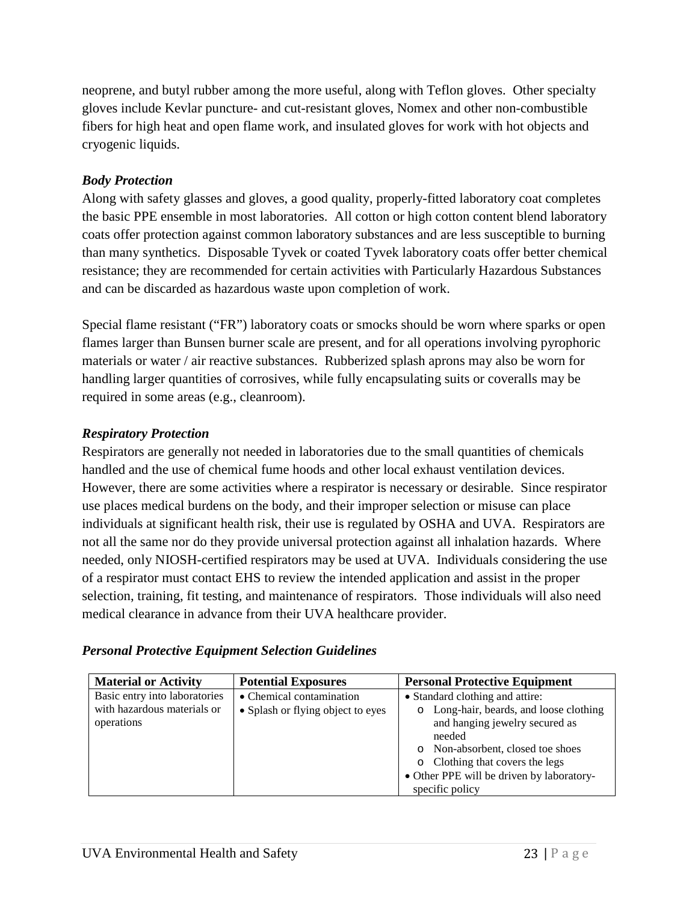neoprene, and butyl rubber among the more useful, along with Teflon gloves. Other specialty gloves include Kevlar puncture- and cut-resistant gloves, Nomex and other non-combustible fibers for high heat and open flame work, and insulated gloves for work with hot objects and cryogenic liquids.

#### *Body Protection*

Along with safety glasses and gloves, a good quality, properly-fitted laboratory coat completes the basic PPE ensemble in most laboratories. All cotton or high cotton content blend laboratory coats offer protection against common laboratory substances and are less susceptible to burning than many synthetics. Disposable Tyvek or coated Tyvek laboratory coats offer better chemical resistance; they are recommended for certain activities with Particularly Hazardous Substances and can be discarded as hazardous waste upon completion of work.

Special flame resistant ("FR") laboratory coats or smocks should be worn where sparks or open flames larger than Bunsen burner scale are present, and for all operations involving pyrophoric materials or water / air reactive substances. Rubberized splash aprons may also be worn for handling larger quantities of corrosives, while fully encapsulating suits or coveralls may be required in some areas (e.g., cleanroom).

#### *Respiratory Protection*

Respirators are generally not needed in laboratories due to the small quantities of chemicals handled and the use of chemical fume hoods and other local exhaust ventilation devices. However, there are some activities where a respirator is necessary or desirable. Since respirator use places medical burdens on the body, and their improper selection or misuse can place individuals at significant health risk, their use is regulated by OSHA and UVA. Respirators are not all the same nor do they provide universal protection against all inhalation hazards. Where needed, only NIOSH-certified respirators may be used at UVA. Individuals considering the use of a respirator must contact EHS to review the intended application and assist in the proper selection, training, fit testing, and maintenance of respirators. Those individuals will also need medical clearance in advance from their UVA healthcare provider.

#### *Personal Protective Equipment Selection Guidelines*

| <b>Material or Activity</b>               | <b>Potential Exposures</b>        | <b>Personal Protective Equipment</b>                                                                                                                                                                                                          |
|-------------------------------------------|-----------------------------------|-----------------------------------------------------------------------------------------------------------------------------------------------------------------------------------------------------------------------------------------------|
| Basic entry into laboratories             | • Chemical contamination          | • Standard clothing and attire:                                                                                                                                                                                                               |
| with hazardous materials or<br>operations | • Splash or flying object to eyes | Long-hair, beards, and loose clothing<br>$\circ$<br>and hanging jewelry secured as<br>needed<br>o Non-absorbent, closed toe shoes<br>Clothing that covers the legs<br>$\circ$<br>• Other PPE will be driven by laboratory-<br>specific policy |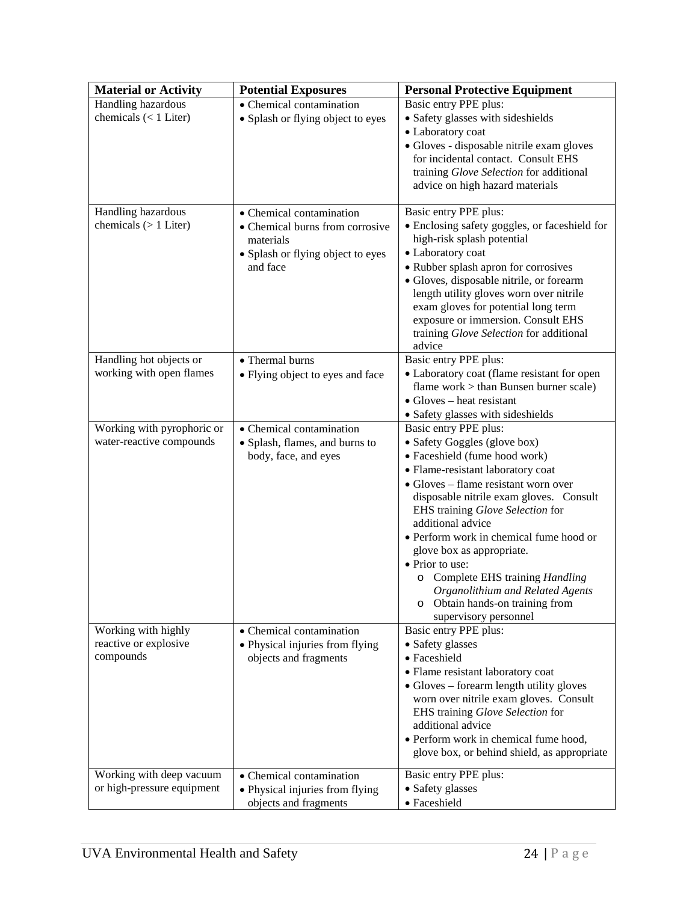| <b>Material or Activity</b> | <b>Potential Exposures</b>                               | <b>Personal Protective Equipment</b>                                               |
|-----------------------------|----------------------------------------------------------|------------------------------------------------------------------------------------|
| Handling hazardous          | • Chemical contamination                                 | Basic entry PPE plus:                                                              |
| chemicals $(< 1$ Liter)     | • Splash or flying object to eyes                        | • Safety glasses with sideshields                                                  |
|                             |                                                          | • Laboratory coat                                                                  |
|                             |                                                          | · Gloves - disposable nitrile exam gloves                                          |
|                             |                                                          | for incidental contact. Consult EHS                                                |
|                             |                                                          | training Glove Selection for additional                                            |
|                             |                                                          | advice on high hazard materials                                                    |
|                             |                                                          |                                                                                    |
| Handling hazardous          | • Chemical contamination                                 | Basic entry PPE plus:                                                              |
| chemicals $(> 1$ Liter)     | • Chemical burns from corrosive                          | · Enclosing safety goggles, or faceshield for                                      |
|                             | materials                                                | high-risk splash potential                                                         |
|                             | • Splash or flying object to eyes                        | • Laboratory coat                                                                  |
|                             | and face                                                 | • Rubber splash apron for corrosives                                               |
|                             |                                                          | · Gloves, disposable nitrile, or forearm                                           |
|                             |                                                          | length utility gloves worn over nitrile                                            |
|                             |                                                          | exam gloves for potential long term                                                |
|                             |                                                          | exposure or immersion. Consult EHS                                                 |
|                             |                                                          | training Glove Selection for additional                                            |
|                             |                                                          | advice                                                                             |
| Handling hot objects or     | • Thermal burns                                          | Basic entry PPE plus:                                                              |
| working with open flames    | · Flying object to eyes and face                         | • Laboratory coat (flame resistant for open                                        |
|                             |                                                          | flame work $>$ than Bunsen burner scale)                                           |
|                             |                                                          | $\bullet$ Gloves – heat resistant                                                  |
|                             |                                                          | • Safety glasses with sideshields                                                  |
| Working with pyrophoric or  | • Chemical contamination                                 | Basic entry PPE plus:                                                              |
| water-reactive compounds    | • Splash, flames, and burns to                           | • Safety Goggles (glove box)                                                       |
|                             | body, face, and eyes                                     | · Faceshield (fume hood work)                                                      |
|                             |                                                          | • Flame-resistant laboratory coat                                                  |
|                             |                                                          | • Gloves – flame resistant worn over                                               |
|                             |                                                          | disposable nitrile exam gloves. Consult                                            |
|                             |                                                          | EHS training Glove Selection for                                                   |
|                             |                                                          | additional advice                                                                  |
|                             |                                                          | • Perform work in chemical fume hood or                                            |
|                             |                                                          | glove box as appropriate.                                                          |
|                             |                                                          | • Prior to use:                                                                    |
|                             |                                                          | o Complete EHS training Handling                                                   |
|                             |                                                          | Organolithium and Related Agents                                                   |
|                             |                                                          | o Obtain hands-on training from                                                    |
| Working with highly         | • Chemical contamination                                 | supervisory personnel<br>Basic entry PPE plus:                                     |
| reactive or explosive       |                                                          | • Safety glasses                                                                   |
| compounds                   | • Physical injuries from flying<br>objects and fragments | · Faceshield                                                                       |
|                             |                                                          |                                                                                    |
|                             |                                                          | · Flame resistant laboratory coat                                                  |
|                             |                                                          | • Gloves – forearm length utility gloves<br>worn over nitrile exam gloves. Consult |
|                             |                                                          | EHS training Glove Selection for                                                   |
|                             |                                                          | additional advice                                                                  |
|                             |                                                          | • Perform work in chemical fume hood,                                              |
|                             |                                                          | glove box, or behind shield, as appropriate                                        |
|                             |                                                          |                                                                                    |
| Working with deep vacuum    | • Chemical contamination                                 | Basic entry PPE plus:                                                              |
| or high-pressure equipment  | • Physical injuries from flying                          | • Safety glasses                                                                   |
|                             | objects and fragments                                    | · Faceshield                                                                       |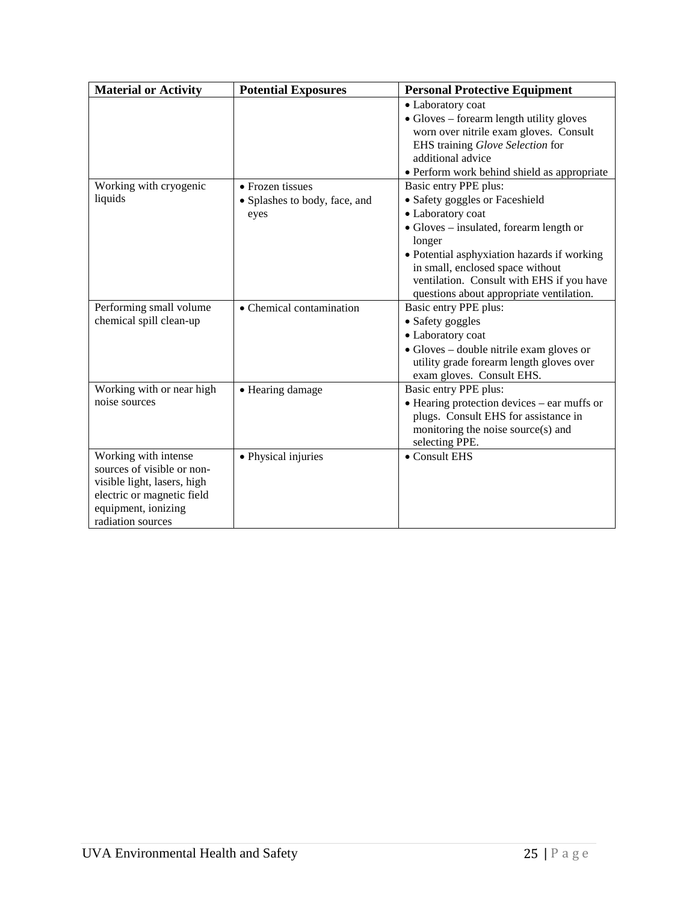| <b>Material or Activity</b>                        | <b>Potential Exposures</b>    | <b>Personal Protective Equipment</b>                                                                                                        |
|----------------------------------------------------|-------------------------------|---------------------------------------------------------------------------------------------------------------------------------------------|
|                                                    |                               | • Laboratory coat                                                                                                                           |
|                                                    |                               | • Gloves - forearm length utility gloves<br>worn over nitrile exam gloves. Consult<br>EHS training Glove Selection for<br>additional advice |
|                                                    |                               | • Perform work behind shield as appropriate                                                                                                 |
| Working with cryogenic                             | • Frozen tissues              | Basic entry PPE plus:                                                                                                                       |
| liquids                                            | • Splashes to body, face, and | • Safety goggles or Faceshield                                                                                                              |
|                                                    | eyes                          | • Laboratory coat                                                                                                                           |
|                                                    |                               | • Gloves – insulated, forearm length or                                                                                                     |
|                                                    |                               | longer                                                                                                                                      |
|                                                    |                               | • Potential asphyxiation hazards if working                                                                                                 |
|                                                    |                               | in small, enclosed space without                                                                                                            |
|                                                    |                               | ventilation. Consult with EHS if you have                                                                                                   |
|                                                    |                               | questions about appropriate ventilation.                                                                                                    |
| Performing small volume<br>chemical spill clean-up | • Chemical contamination      | Basic entry PPE plus:                                                                                                                       |
|                                                    |                               | • Safety goggles                                                                                                                            |
|                                                    |                               | • Laboratory coat                                                                                                                           |
|                                                    |                               | · Gloves - double nitrile exam gloves or<br>utility grade forearm length gloves over                                                        |
|                                                    |                               | exam gloves. Consult EHS.                                                                                                                   |
| Working with or near high                          | • Hearing damage              | Basic entry PPE plus:                                                                                                                       |
| noise sources                                      |                               | $\bullet$ Hearing protection devices – ear muffs or                                                                                         |
|                                                    |                               | plugs. Consult EHS for assistance in                                                                                                        |
|                                                    |                               | monitoring the noise source(s) and                                                                                                          |
|                                                    |                               | selecting PPE.                                                                                                                              |
| Working with intense                               | • Physical injuries           | • Consult EHS                                                                                                                               |
| sources of visible or non-                         |                               |                                                                                                                                             |
| visible light, lasers, high                        |                               |                                                                                                                                             |
| electric or magnetic field                         |                               |                                                                                                                                             |
| equipment, ionizing                                |                               |                                                                                                                                             |
| radiation sources                                  |                               |                                                                                                                                             |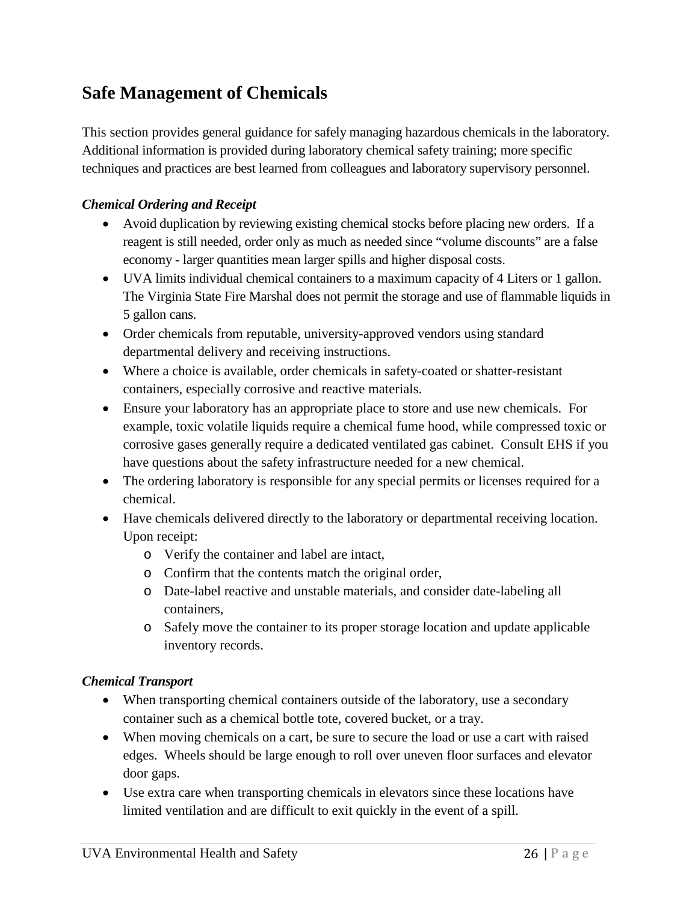# **Safe Management of Chemicals**

This section provides general guidance for safely managing hazardous chemicals in the laboratory. Additional information is provided during laboratory chemical safety training; more specific techniques and practices are best learned from colleagues and laboratory supervisory personnel.

# *Chemical Ordering and Receipt*

- Avoid duplication by reviewing existing chemical stocks before placing new orders. If a reagent is still needed, order only as much as needed since "volume discounts" are a false economy - larger quantities mean larger spills and higher disposal costs.
- UVA limits individual chemical containers to a maximum capacity of 4 Liters or 1 gallon. The Virginia State Fire Marshal does not permit the storage and use of flammable liquids in 5 gallon cans.
- Order chemicals from reputable, university-approved vendors using standard departmental delivery and receiving instructions.
- Where a choice is available, order chemicals in safety-coated or shatter-resistant containers, especially corrosive and reactive materials.
- Ensure your laboratory has an appropriate place to store and use new chemicals. For example, toxic volatile liquids require a chemical fume hood, while compressed toxic or corrosive gases generally require a dedicated ventilated gas cabinet. Consult EHS if you have questions about the safety infrastructure needed for a new chemical.
- The ordering laboratory is responsible for any special permits or licenses required for a chemical.
- Have chemicals delivered directly to the laboratory or departmental receiving location. Upon receipt:
	- o Verify the container and label are intact,
	- o Confirm that the contents match the original order,
	- o Date-label reactive and unstable materials, and consider date-labeling all containers,
	- o Safely move the container to its proper storage location and update applicable inventory records.

#### *Chemical Transport*

- When transporting chemical containers outside of the laboratory, use a secondary container such as a chemical bottle tote, covered bucket, or a tray.
- When moving chemicals on a cart, be sure to secure the load or use a cart with raised edges. Wheels should be large enough to roll over uneven floor surfaces and elevator door gaps.
- Use extra care when transporting chemicals in elevators since these locations have limited ventilation and are difficult to exit quickly in the event of a spill.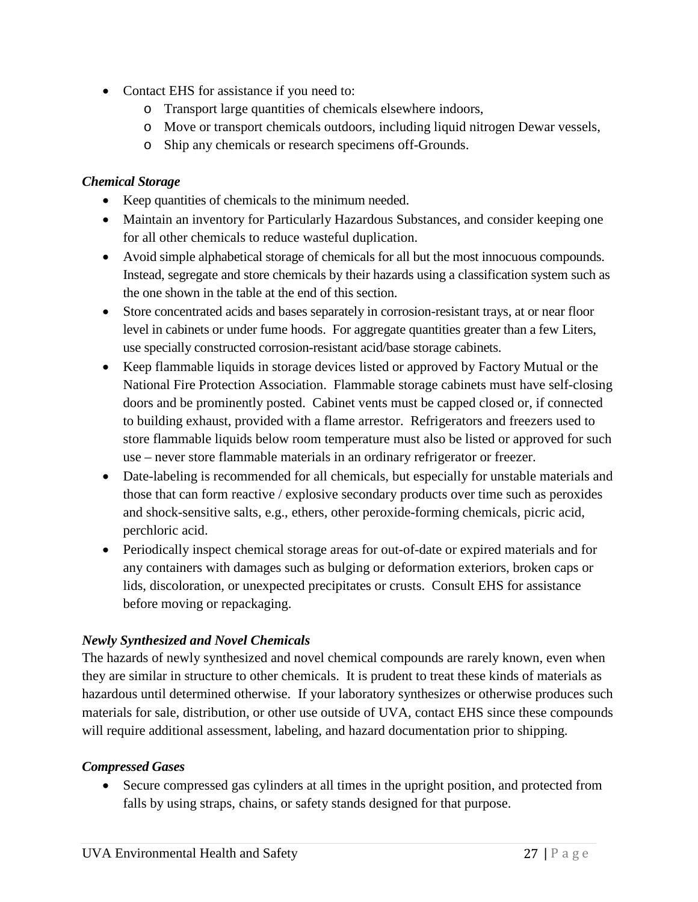- Contact EHS for assistance if you need to:
	- o Transport large quantities of chemicals elsewhere indoors,
	- o Move or transport chemicals outdoors, including liquid nitrogen Dewar vessels,
	- o Ship any chemicals or research specimens off-Grounds.

## *Chemical Storage*

- Keep quantities of chemicals to the minimum needed.
- Maintain an inventory for Particularly Hazardous Substances, and consider keeping one for all other chemicals to reduce wasteful duplication.
- Avoid simple alphabetical storage of chemicals for all but the most innocuous compounds. Instead, segregate and store chemicals by their hazards using a classification system such as the one shown in the table at the end of this section.
- Store concentrated acids and bases separately in corrosion-resistant trays, at or near floor level in cabinets or under fume hoods. For aggregate quantities greater than a few Liters, use specially constructed corrosion-resistant acid/base storage cabinets.
- Keep flammable liquids in storage devices listed or approved by Factory Mutual or the National Fire Protection Association. Flammable storage cabinets must have self-closing doors and be prominently posted. Cabinet vents must be capped closed or, if connected to building exhaust, provided with a flame arrestor. Refrigerators and freezers used to store flammable liquids below room temperature must also be listed or approved for such use – never store flammable materials in an ordinary refrigerator or freezer.
- Date-labeling is recommended for all chemicals, but especially for unstable materials and those that can form reactive / explosive secondary products over time such as peroxides and shock-sensitive salts, e.g., ethers, other peroxide-forming chemicals, picric acid, perchloric acid.
- Periodically inspect chemical storage areas for out-of-date or expired materials and for any containers with damages such as bulging or deformation exteriors, broken caps or lids, discoloration, or unexpected precipitates or crusts. Consult EHS for assistance before moving or repackaging.

# *Newly Synthesized and Novel Chemicals*

The hazards of newly synthesized and novel chemical compounds are rarely known, even when they are similar in structure to other chemicals. It is prudent to treat these kinds of materials as hazardous until determined otherwise. If your laboratory synthesizes or otherwise produces such materials for sale, distribution, or other use outside of UVA, contact EHS since these compounds will require additional assessment, labeling, and hazard documentation prior to shipping.

# *Compressed Gases*

• Secure compressed gas cylinders at all times in the upright position, and protected from falls by using straps, chains, or safety stands designed for that purpose.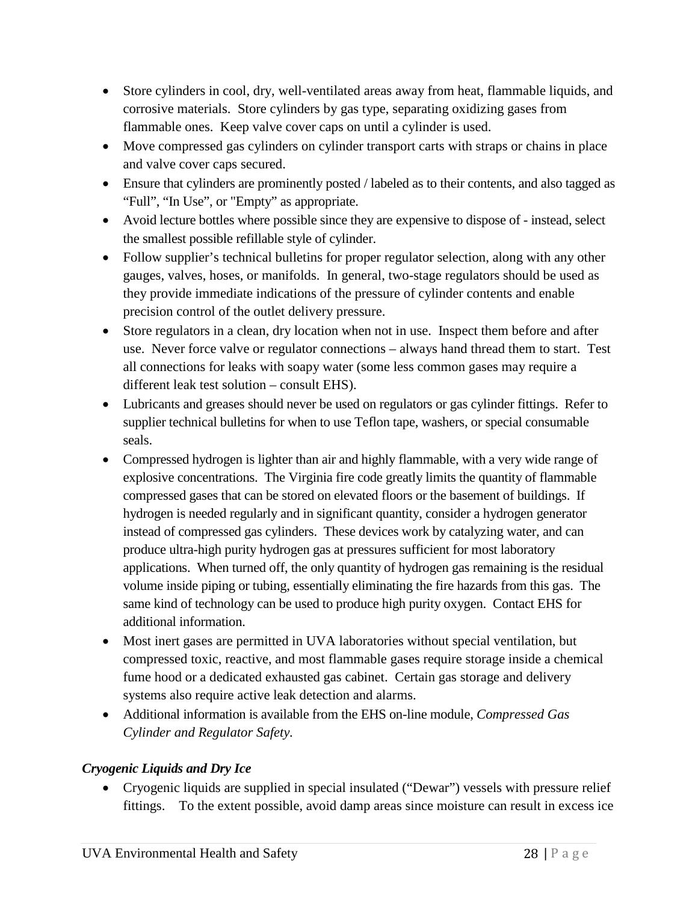- Store cylinders in cool, dry, well-ventilated areas away from heat, flammable liquids, and corrosive materials. Store cylinders by gas type, separating oxidizing gases from flammable ones. Keep valve cover caps on until a cylinder is used.
- Move compressed gas cylinders on cylinder transport carts with straps or chains in place and valve cover caps secured.
- Ensure that cylinders are prominently posted / labeled as to their contents, and also tagged as "Full", "In Use", or "Empty" as appropriate.
- Avoid lecture bottles where possible since they are expensive to dispose of instead, select the smallest possible refillable style of cylinder.
- Follow supplier's technical bulletins for proper regulator selection, along with any other gauges, valves, hoses, or manifolds. In general, two-stage regulators should be used as they provide immediate indications of the pressure of cylinder contents and enable precision control of the outlet delivery pressure.
- Store regulators in a clean, dry location when not in use. Inspect them before and after use. Never force valve or regulator connections – always hand thread them to start. Test all connections for leaks with soapy water (some less common gases may require a different leak test solution – consult EHS).
- Lubricants and greases should never be used on regulators or gas cylinder fittings. Refer to supplier technical bulletins for when to use Teflon tape, washers, or special consumable seals.
- Compressed hydrogen is lighter than air and highly flammable, with a very wide range of explosive concentrations. The Virginia fire code greatly limits the quantity of flammable compressed gases that can be stored on elevated floors or the basement of buildings. If hydrogen is needed regularly and in significant quantity, consider a hydrogen generator instead of compressed gas cylinders. These devices work by catalyzing water, and can produce ultra-high purity hydrogen gas at pressures sufficient for most laboratory applications. When turned off, the only quantity of hydrogen gas remaining is the residual volume inside piping or tubing, essentially eliminating the fire hazards from this gas. The same kind of technology can be used to produce high purity oxygen. Contact EHS for additional information.
- Most inert gases are permitted in UVA laboratories without special ventilation, but compressed toxic, reactive, and most flammable gases require storage inside a chemical fume hood or a dedicated exhausted gas cabinet. Certain gas storage and delivery systems also require active leak detection and alarms.
- Additional information is available from the EHS on-line module, *Compressed Gas Cylinder and Regulator Safety.*

# *Cryogenic Liquids and Dry Ice*

• Cryogenic liquids are supplied in special insulated ("Dewar") vessels with pressure relief fittings. To the extent possible, avoid damp areas since moisture can result in excess ice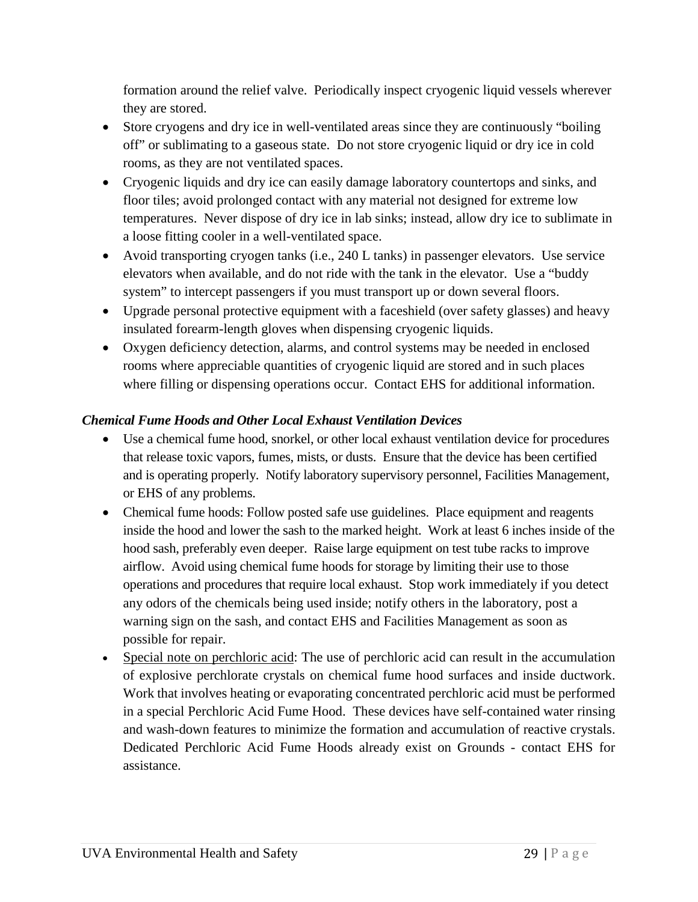formation around the relief valve. Periodically inspect cryogenic liquid vessels wherever they are stored.

- Store cryogens and dry ice in well-ventilated areas since they are continuously "boiling" off" or sublimating to a gaseous state. Do not store cryogenic liquid or dry ice in cold rooms, as they are not ventilated spaces.
- Cryogenic liquids and dry ice can easily damage laboratory countertops and sinks, and floor tiles; avoid prolonged contact with any material not designed for extreme low temperatures. Never dispose of dry ice in lab sinks; instead, allow dry ice to sublimate in a loose fitting cooler in a well-ventilated space.
- Avoid transporting cryogen tanks (i.e., 240 L tanks) in passenger elevators. Use service elevators when available, and do not ride with the tank in the elevator. Use a "buddy system" to intercept passengers if you must transport up or down several floors.
- Upgrade personal protective equipment with a faceshield (over safety glasses) and heavy insulated forearm-length gloves when dispensing cryogenic liquids.
- Oxygen deficiency detection, alarms, and control systems may be needed in enclosed rooms where appreciable quantities of cryogenic liquid are stored and in such places where filling or dispensing operations occur. Contact EHS for additional information.

# *Chemical Fume Hoods and Other Local Exhaust Ventilation Devices*

- Use a chemical fume hood, snorkel, or other local exhaust ventilation device for procedures that release toxic vapors, fumes, mists, or dusts. Ensure that the device has been certified and is operating properly. Notify laboratory supervisory personnel, Facilities Management, or EHS of any problems.
- Chemical fume hoods: Follow posted safe use guidelines. Place equipment and reagents inside the hood and lower the sash to the marked height. Work at least 6 inches inside of the hood sash, preferably even deeper. Raise large equipment on test tube racks to improve airflow. Avoid using chemical fume hoods for storage by limiting their use to those operations and procedures that require local exhaust. Stop work immediately if you detect any odors of the chemicals being used inside; notify others in the laboratory, post a warning sign on the sash, and contact EHS and Facilities Management as soon as possible for repair.
- Special note on perchloric acid: The use of perchloric acid can result in the accumulation of explosive perchlorate crystals on chemical fume hood surfaces and inside ductwork. Work that involves heating or evaporating concentrated perchloric acid must be performed in a special Perchloric Acid Fume Hood. These devices have self-contained water rinsing and wash-down features to minimize the formation and accumulation of reactive crystals. Dedicated Perchloric Acid Fume Hoods already exist on Grounds - contact EHS for assistance.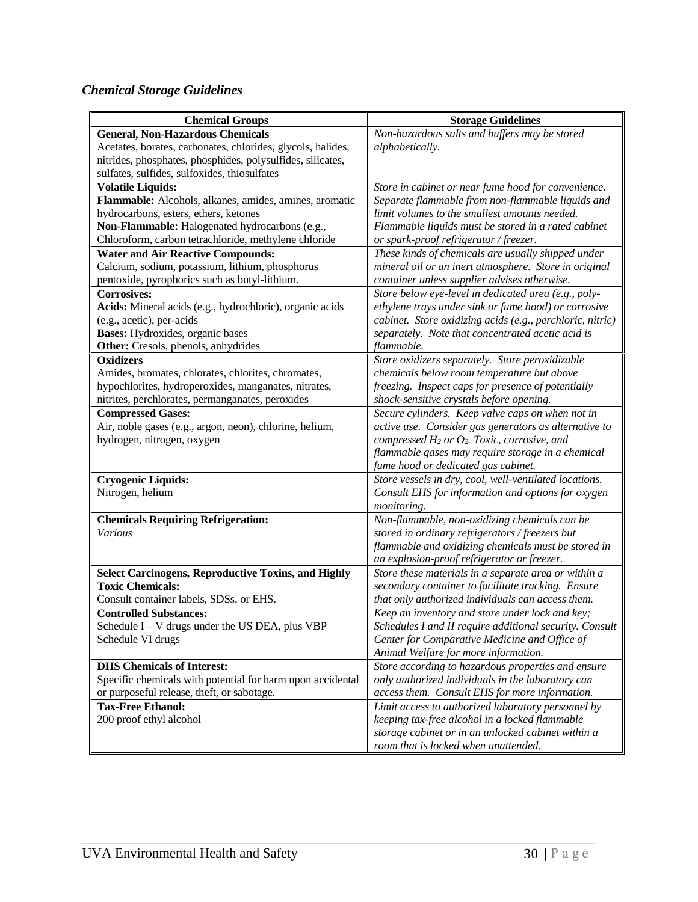# *Chemical Storage Guidelines*

| <b>Chemical Groups</b>                                      | <b>Storage Guidelines</b>                                 |
|-------------------------------------------------------------|-----------------------------------------------------------|
| <b>General, Non-Hazardous Chemicals</b>                     | Non-hazardous salts and buffers may be stored             |
| Acetates, borates, carbonates, chlorides, glycols, halides, | alphabetically.                                           |
| nitrides, phosphates, phosphides, polysulfides, silicates,  |                                                           |
| sulfates, sulfides, sulfoxides, thiosulfates                |                                                           |
| <b>Volatile Liquids:</b>                                    | Store in cabinet or near fume hood for convenience.       |
| Flammable: Alcohols, alkanes, amides, amines, aromatic      | Separate flammable from non-flammable liquids and         |
| hydrocarbons, esters, ethers, ketones                       | limit volumes to the smallest amounts needed.             |
| Non-Flammable: Halogenated hydrocarbons (e.g.,              | Flammable liquids must be stored in a rated cabinet       |
| Chloroform, carbon tetrachloride, methylene chloride        | or spark-proof refrigerator / freezer.                    |
| <b>Water and Air Reactive Compounds:</b>                    | These kinds of chemicals are usually shipped under        |
| Calcium, sodium, potassium, lithium, phosphorus             | mineral oil or an inert atmosphere. Store in original     |
| pentoxide, pyrophorics such as butyl-lithium.               | container unless supplier advises otherwise.              |
| <b>Corrosives:</b>                                          | Store below eye-level in dedicated area (e.g., poly-      |
| Acids: Mineral acids (e.g., hydrochloric), organic acids    | ethylene trays under sink or fume hood) or corrosive      |
| (e.g., acetic), per-acids                                   | cabinet. Store oxidizing acids (e.g., perchloric, nitric) |
| Bases: Hydroxides, organic bases                            | separately. Note that concentrated acetic acid is         |
| Other: Cresols, phenols, anhydrides                         | flammable.                                                |
| <b>Oxidizers</b>                                            | Store oxidizers separately. Store peroxidizable           |
| Amides, bromates, chlorates, chlorites, chromates,          | chemicals below room temperature but above                |
| hypochlorites, hydroperoxides, manganates, nitrates,        | freezing. Inspect caps for presence of potentially        |
| nitrites, perchlorates, permanganates, peroxides            | shock-sensitive crystals before opening.                  |
| <b>Compressed Gases:</b>                                    | Secure cylinders. Keep valve caps on when not in          |
| Air, noble gases (e.g., argon, neon), chlorine, helium,     | active use. Consider gas generators as alternative to     |
| hydrogen, nitrogen, oxygen                                  | compressed $H_2$ or $O_2$ . Toxic, corrosive, and         |
|                                                             | flammable gases may require storage in a chemical         |
|                                                             | fume hood or dedicated gas cabinet.                       |
| <b>Cryogenic Liquids:</b>                                   | Store vessels in dry, cool, well-ventilated locations.    |
| Nitrogen, helium                                            | Consult EHS for information and options for oxygen        |
|                                                             | monitoring.                                               |
| <b>Chemicals Requiring Refrigeration:</b>                   | Non-flammable, non-oxidizing chemicals can be             |
| Various                                                     | stored in ordinary refrigerators / freezers but           |
|                                                             | flammable and oxidizing chemicals must be stored in       |
|                                                             | an explosion-proof refrigerator or freezer.               |
| <b>Select Carcinogens, Reproductive Toxins, and Highly</b>  | Store these materials in a separate area or within a      |
| <b>Toxic Chemicals:</b>                                     | secondary container to facilitate tracking. Ensure        |
| Consult container labels, SDSs, or EHS.                     | that only authorized individuals can access them.         |
| <b>Controlled Substances:</b>                               | Keep an inventory and store under lock and key;           |
| Schedule $I - V$ drugs under the US DEA, plus VBP           | Schedules I and II require additional security. Consult   |
| Schedule VI drugs                                           | Center for Comparative Medicine and Office of             |
|                                                             | Animal Welfare for more information.                      |
| <b>DHS</b> Chemicals of Interest:                           | Store according to hazardous properties and ensure        |
| Specific chemicals with potential for harm upon accidental  | only authorized individuals in the laboratory can         |
| or purposeful release, theft, or sabotage.                  | access them. Consult EHS for more information.            |
| <b>Tax-Free Ethanol:</b>                                    | Limit access to authorized laboratory personnel by        |
| 200 proof ethyl alcohol                                     | keeping tax-free alcohol in a locked flammable            |
|                                                             | storage cabinet or in an unlocked cabinet within a        |
|                                                             | room that is locked when unattended.                      |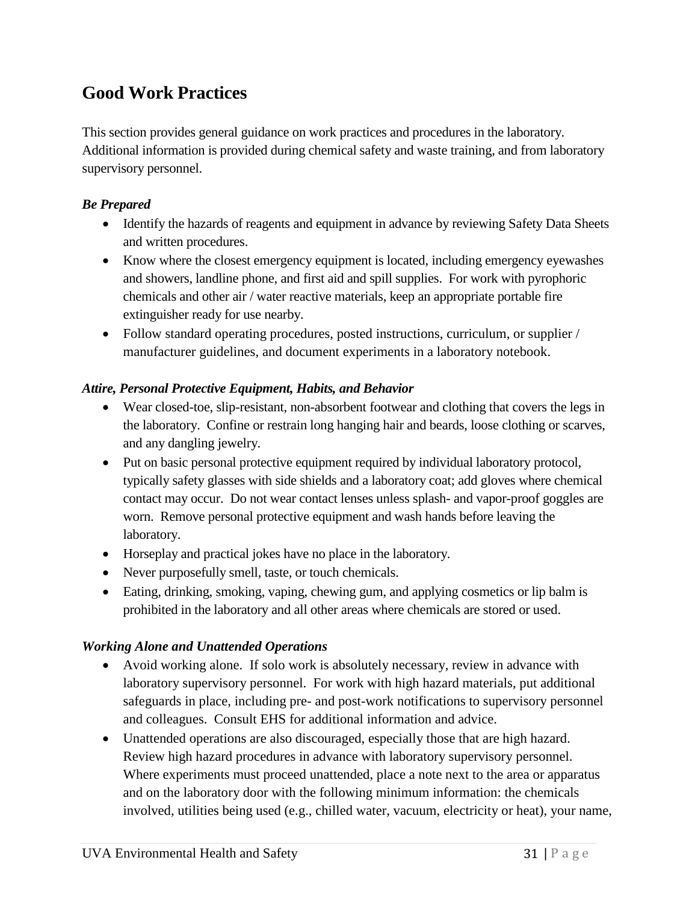# **Good Work Practices**

This section provides general guidance on work practices and procedures in the laboratory. Additional information is provided during chemical safety and waste training, and from laboratory supervisory personnel.

# *Be Prepared*

- Identify the hazards of reagents and equipment in advance by reviewing Safety Data Sheets and written procedures.
- Know where the closest emergency equipment is located, including emergency eyewashes and showers, landline phone, and first aid and spill supplies. For work with pyrophoric chemicals and other air / water reactive materials, keep an appropriate portable fire extinguisher ready for use nearby.
- Follow standard operating procedures, posted instructions, curriculum, or supplier / manufacturer guidelines, and document experiments in a laboratory notebook.

# *Attire, Personal Protective Equipment, Habits, and Behavior*

- Wear closed-toe, slip-resistant, non-absorbent footwear and clothing that covers the legs in the laboratory. Confine or restrain long hanging hair and beards, loose clothing or scarves, and any dangling jewelry.
- Put on basic personal protective equipment required by individual laboratory protocol, typically safety glasses with side shields and a laboratory coat; add gloves where chemical contact may occur. Do not wear contact lenses unless splash- and vapor-proof goggles are worn. Remove personal protective equipment and wash hands before leaving the laboratory.
- Horseplay and practical jokes have no place in the laboratory.
- Never purposefully smell, taste, or touch chemicals.
- Eating, drinking, smoking, vaping, chewing gum, and applying cosmetics or lip balm is prohibited in the laboratory and all other areas where chemicals are stored or used.

#### *Working Alone and Unattended Operations*

- Avoid working alone. If solo work is absolutely necessary, review in advance with laboratory supervisory personnel. For work with high hazard materials, put additional safeguards in place, including pre- and post-work notifications to supervisory personnel and colleagues. Consult EHS for additional information and advice.
- Unattended operations are also discouraged, especially those that are high hazard. Review high hazard procedures in advance with laboratory supervisory personnel. Where experiments must proceed unattended, place a note next to the area or apparatus and on the laboratory door with the following minimum information: the chemicals involved, utilities being used (e.g., chilled water, vacuum, electricity or heat), your name,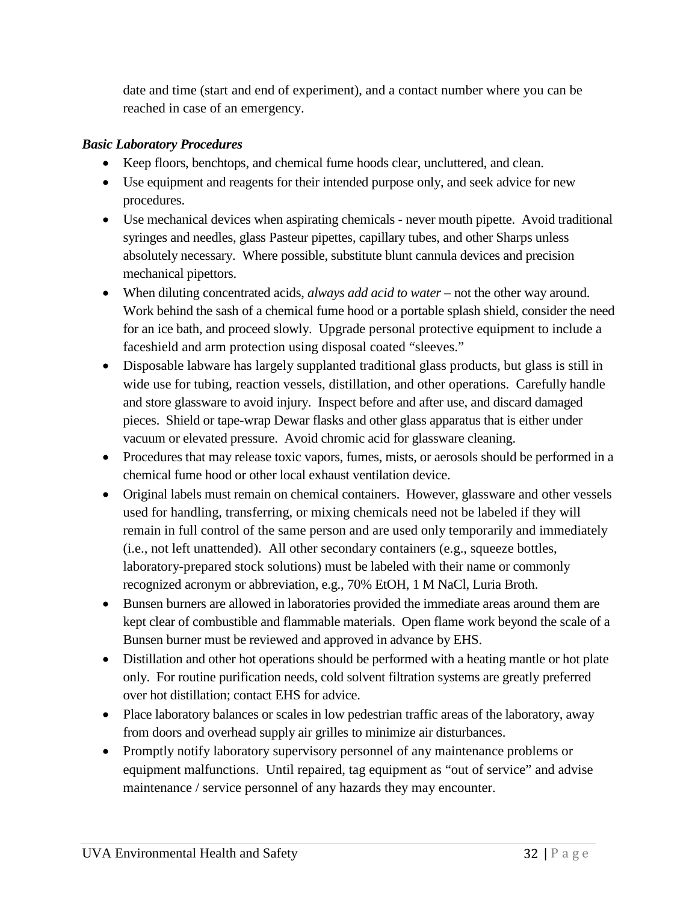date and time (start and end of experiment), and a contact number where you can be reached in case of an emergency.

# *Basic Laboratory Procedures*

- Keep floors, benchtops, and chemical fume hoods clear, uncluttered, and clean.
- Use equipment and reagents for their intended purpose only, and seek advice for new procedures.
- Use mechanical devices when aspirating chemicals never mouth pipette. Avoid traditional syringes and needles, glass Pasteur pipettes, capillary tubes, and other Sharps unless absolutely necessary. Where possible, substitute blunt cannula devices and precision mechanical pipettors.
- When diluting concentrated acids, *always add acid to water* not the other way around. Work behind the sash of a chemical fume hood or a portable splash shield, consider the need for an ice bath, and proceed slowly. Upgrade personal protective equipment to include a faceshield and arm protection using disposal coated "sleeves."
- Disposable labware has largely supplanted traditional glass products, but glass is still in wide use for tubing, reaction vessels, distillation, and other operations. Carefully handle and store glassware to avoid injury. Inspect before and after use, and discard damaged pieces. Shield or tape-wrap Dewar flasks and other glass apparatus that is either under vacuum or elevated pressure. Avoid chromic acid for glassware cleaning.
- Procedures that may release toxic vapors, fumes, mists, or aerosols should be performed in a chemical fume hood or other local exhaust ventilation device.
- Original labels must remain on chemical containers. However, glassware and other vessels used for handling, transferring, or mixing chemicals need not be labeled if they will remain in full control of the same person and are used only temporarily and immediately (i.e., not left unattended). All other secondary containers (e.g., squeeze bottles, laboratory-prepared stock solutions) must be labeled with their name or commonly recognized acronym or abbreviation, e.g., 70% EtOH, 1 M NaCl, Luria Broth.
- Bunsen burners are allowed in laboratories provided the immediate areas around them are kept clear of combustible and flammable materials. Open flame work beyond the scale of a Bunsen burner must be reviewed and approved in advance by EHS.
- Distillation and other hot operations should be performed with a heating mantle or hot plate only. For routine purification needs, cold solvent filtration systems are greatly preferred over hot distillation; contact EHS for advice.
- Place laboratory balances or scales in low pedestrian traffic areas of the laboratory, away from doors and overhead supply air grilles to minimize air disturbances.
- Promptly notify laboratory supervisory personnel of any maintenance problems or equipment malfunctions. Until repaired, tag equipment as "out of service" and advise maintenance / service personnel of any hazards they may encounter.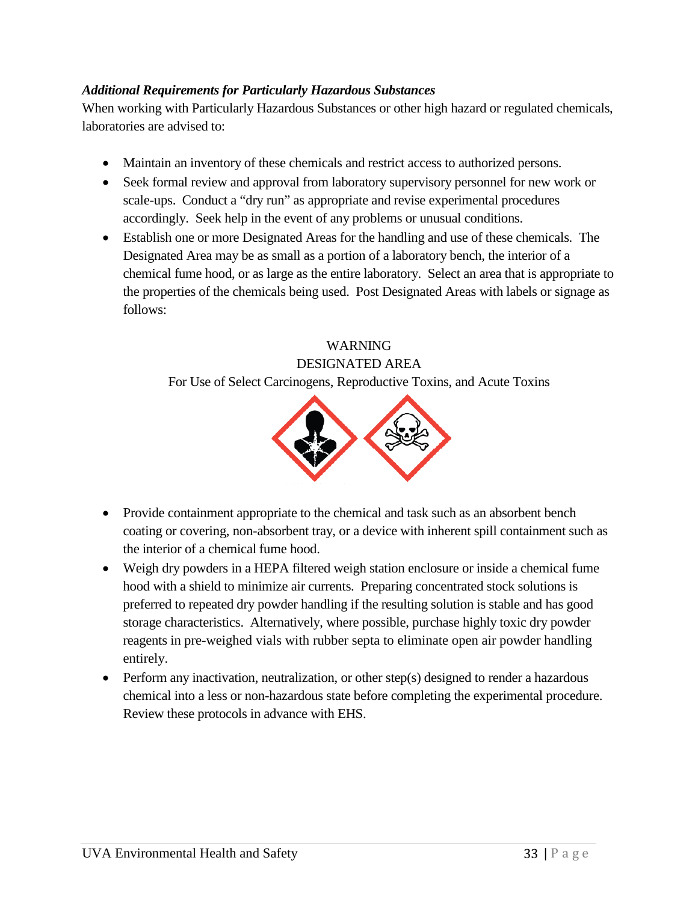## *Additional Requirements for Particularly Hazardous Substances*

When working with Particularly Hazardous Substances or other high hazard or regulated chemicals, laboratories are advised to:

- Maintain an inventory of these chemicals and restrict access to authorized persons.
- Seek formal review and approval from laboratory supervisory personnel for new work or scale-ups. Conduct a "dry run" as appropriate and revise experimental procedures accordingly. Seek help in the event of any problems or unusual conditions.
- Establish one or more Designated Areas for the handling and use of these chemicals. The Designated Area may be as small as a portion of a laboratory bench, the interior of a chemical fume hood, or as large as the entire laboratory. Select an area that is appropriate to the properties of the chemicals being used. Post Designated Areas with labels or signage as follows:

# WARNING DESIGNATED AREA

For Use of Select Carcinogens, Reproductive Toxins, and Acute Toxins



- Provide containment appropriate to the chemical and task such as an absorbent bench coating or covering, non-absorbent tray, or a device with inherent spill containment such as the interior of a chemical fume hood.
- Weigh dry powders in a HEPA filtered weigh station enclosure or inside a chemical fume hood with a shield to minimize air currents. Preparing concentrated stock solutions is preferred to repeated dry powder handling if the resulting solution is stable and has good storage characteristics. Alternatively, where possible, purchase highly toxic dry powder reagents in pre-weighed vials with rubber septa to eliminate open air powder handling entirely.
- Perform any inactivation, neutralization, or other step(s) designed to render a hazardous chemical into a less or non-hazardous state before completing the experimental procedure. Review these protocols in advance with EHS.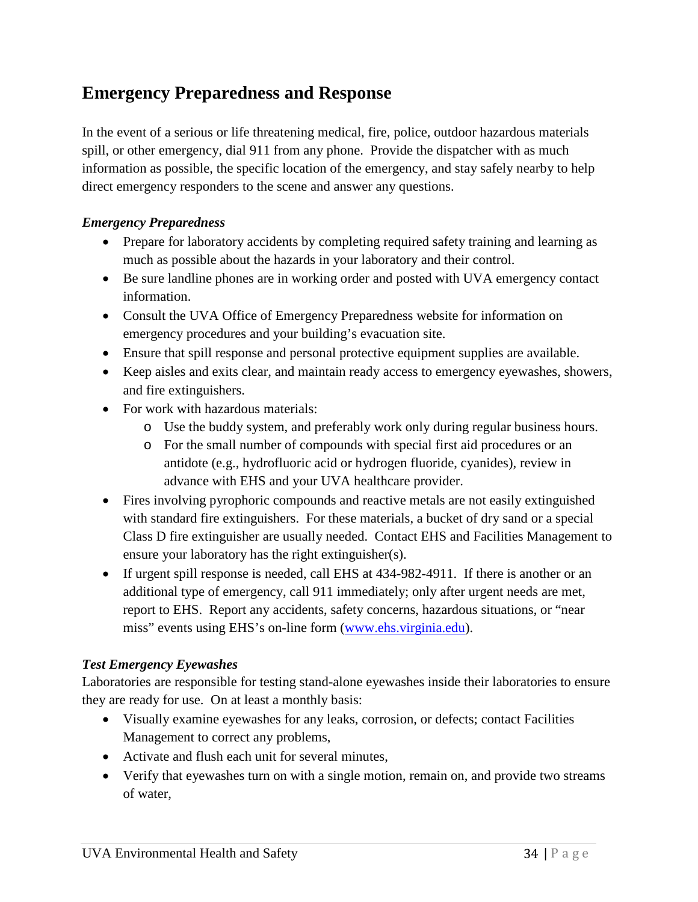# **Emergency Preparedness and Response**

In the event of a serious or life threatening medical, fire, police, outdoor hazardous materials spill, or other emergency, dial 911 from any phone. Provide the dispatcher with as much information as possible, the specific location of the emergency, and stay safely nearby to help direct emergency responders to the scene and answer any questions.

# *Emergency Preparedness*

- Prepare for laboratory accidents by completing required safety training and learning as much as possible about the hazards in your laboratory and their control.
- Be sure landline phones are in working order and posted with UVA emergency contact information.
- Consult the UVA Office of Emergency Preparedness website for information on emergency procedures and your building's evacuation site.
- Ensure that spill response and personal protective equipment supplies are available.
- Keep aisles and exits clear, and maintain ready access to emergency eyewashes, showers, and fire extinguishers.
- For work with hazardous materials:
	- o Use the buddy system, and preferably work only during regular business hours.
	- o For the small number of compounds with special first aid procedures or an antidote (e.g., hydrofluoric acid or hydrogen fluoride, cyanides), review in advance with EHS and your UVA healthcare provider.
- Fires involving pyrophoric compounds and reactive metals are not easily extinguished with standard fire extinguishers. For these materials, a bucket of dry sand or a special Class D fire extinguisher are usually needed. Contact EHS and Facilities Management to ensure your laboratory has the right extinguisher(s).
- If urgent spill response is needed, call EHS at 434-982-4911. If there is another or an additional type of emergency, call 911 immediately; only after urgent needs are met, report to EHS. Report any accidents, safety concerns, hazardous situations, or "near miss" events using EHS's on-line form [\(www.ehs.virginia.edu\)](http://www.ehs.virginia.edu/).

# *Test Emergency Eyewashes*

Laboratories are responsible for testing stand-alone eyewashes inside their laboratories to ensure they are ready for use. On at least a monthly basis:

- Visually examine eyewashes for any leaks, corrosion, or defects; contact Facilities Management to correct any problems,
- Activate and flush each unit for several minutes,
- Verify that eyewashes turn on with a single motion, remain on, and provide two streams of water,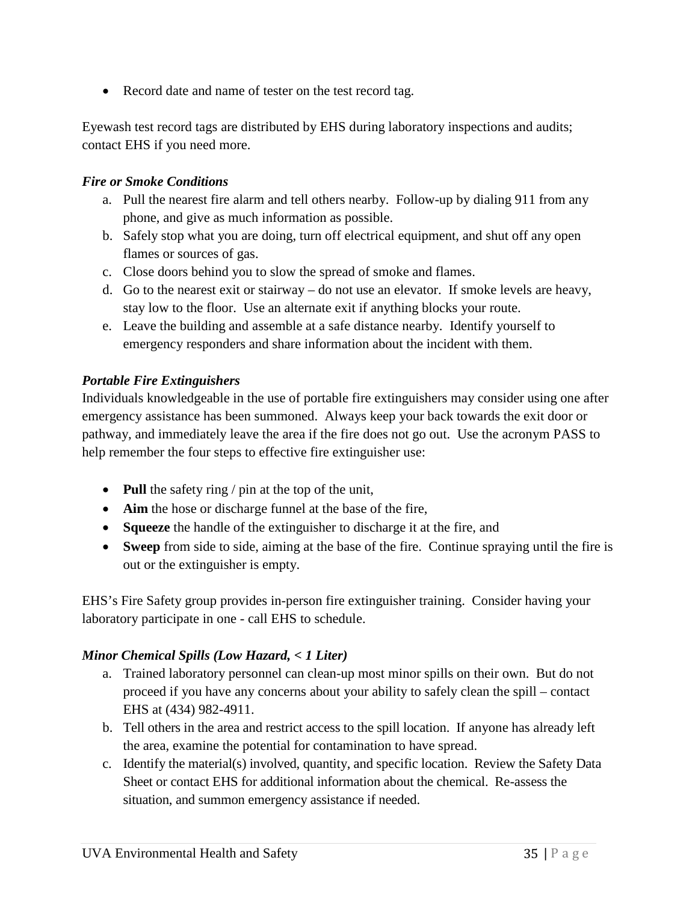• Record date and name of tester on the test record tag.

Eyewash test record tags are distributed by EHS during laboratory inspections and audits; contact EHS if you need more.

## *Fire or Smoke Conditions*

- a. Pull the nearest fire alarm and tell others nearby. Follow-up by dialing 911 from any phone, and give as much information as possible.
- b. Safely stop what you are doing, turn off electrical equipment, and shut off any open flames or sources of gas.
- c. Close doors behind you to slow the spread of smoke and flames.
- d. Go to the nearest exit or stairway do not use an elevator. If smoke levels are heavy, stay low to the floor. Use an alternate exit if anything blocks your route.
- e. Leave the building and assemble at a safe distance nearby. Identify yourself to emergency responders and share information about the incident with them.

### *Portable Fire Extinguishers*

Individuals knowledgeable in the use of portable fire extinguishers may consider using one after emergency assistance has been summoned. Always keep your back towards the exit door or pathway, and immediately leave the area if the fire does not go out. Use the acronym PASS to help remember the four steps to effective fire extinguisher use:

- **Pull** the safety ring / pin at the top of the unit,
- **Aim** the hose or discharge funnel at the base of the fire,
- **Squeeze** the handle of the extinguisher to discharge it at the fire, and
- **Sweep** from side to side, aiming at the base of the fire. Continue spraying until the fire is out or the extinguisher is empty.

EHS's Fire Safety group provides in-person fire extinguisher training. Consider having your laboratory participate in one - call EHS to schedule.

## *Minor Chemical Spills (Low Hazard, < 1 Liter)*

- a. Trained laboratory personnel can clean-up most minor spills on their own. But do not proceed if you have any concerns about your ability to safely clean the spill – contact EHS at (434) 982-4911.
- b. Tell others in the area and restrict access to the spill location. If anyone has already left the area, examine the potential for contamination to have spread.
- c. Identify the material(s) involved, quantity, and specific location. Review the Safety Data Sheet or contact EHS for additional information about the chemical. Re-assess the situation, and summon emergency assistance if needed.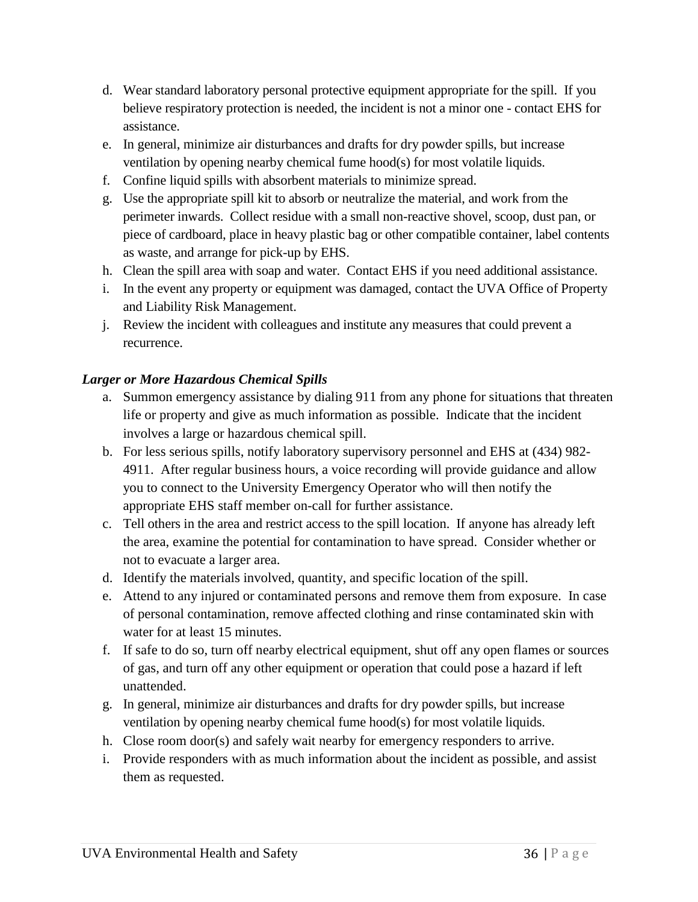- d. Wear standard laboratory personal protective equipment appropriate for the spill. If you believe respiratory protection is needed, the incident is not a minor one - contact EHS for assistance.
- e. In general, minimize air disturbances and drafts for dry powder spills, but increase ventilation by opening nearby chemical fume hood(s) for most volatile liquids.
- f. Confine liquid spills with absorbent materials to minimize spread.
- g. Use the appropriate spill kit to absorb or neutralize the material, and work from the perimeter inwards. Collect residue with a small non-reactive shovel, scoop, dust pan, or piece of cardboard, place in heavy plastic bag or other compatible container, label contents as waste, and arrange for pick-up by EHS.
- h. Clean the spill area with soap and water. Contact EHS if you need additional assistance.
- i. In the event any property or equipment was damaged, contact the UVA Office of Property and Liability Risk Management.
- j. Review the incident with colleagues and institute any measures that could prevent a recurrence.

## *Larger or More Hazardous Chemical Spills*

- a. Summon emergency assistance by dialing 911 from any phone for situations that threaten life or property and give as much information as possible. Indicate that the incident involves a large or hazardous chemical spill.
- b. For less serious spills, notify laboratory supervisory personnel and EHS at (434) 982- 4911. After regular business hours, a voice recording will provide guidance and allow you to connect to the University Emergency Operator who will then notify the appropriate EHS staff member on-call for further assistance.
- c. Tell others in the area and restrict access to the spill location. If anyone has already left the area, examine the potential for contamination to have spread. Consider whether or not to evacuate a larger area.
- d. Identify the materials involved, quantity, and specific location of the spill.
- e. Attend to any injured or contaminated persons and remove them from exposure. In case of personal contamination, remove affected clothing and rinse contaminated skin with water for at least 15 minutes.
- f. If safe to do so, turn off nearby electrical equipment, shut off any open flames or sources of gas, and turn off any other equipment or operation that could pose a hazard if left unattended.
- g. In general, minimize air disturbances and drafts for dry powder spills, but increase ventilation by opening nearby chemical fume hood(s) for most volatile liquids.
- h. Close room door(s) and safely wait nearby for emergency responders to arrive.
- i. Provide responders with as much information about the incident as possible, and assist them as requested.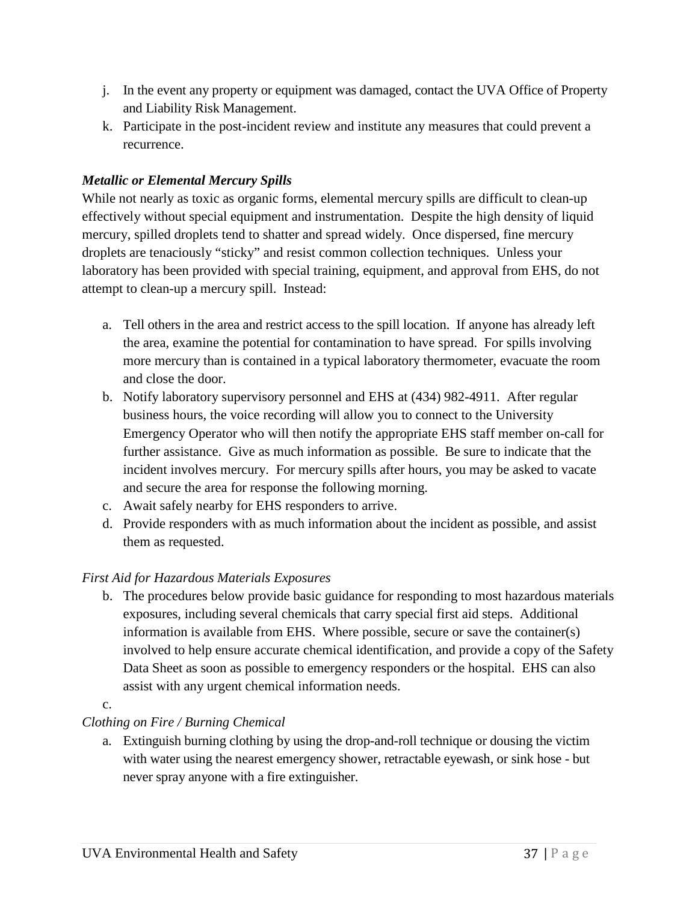- j. In the event any property or equipment was damaged, contact the UVA Office of Property and Liability Risk Management.
- k. Participate in the post-incident review and institute any measures that could prevent a recurrence.

## *Metallic or Elemental Mercury Spills*

While not nearly as toxic as organic forms, elemental mercury spills are difficult to clean-up effectively without special equipment and instrumentation. Despite the high density of liquid mercury, spilled droplets tend to shatter and spread widely. Once dispersed, fine mercury droplets are tenaciously "sticky" and resist common collection techniques. Unless your laboratory has been provided with special training, equipment, and approval from EHS, do not attempt to clean-up a mercury spill. Instead:

- a. Tell others in the area and restrict access to the spill location. If anyone has already left the area, examine the potential for contamination to have spread. For spills involving more mercury than is contained in a typical laboratory thermometer, evacuate the room and close the door.
- b. Notify laboratory supervisory personnel and EHS at (434) 982-4911. After regular business hours, the voice recording will allow you to connect to the University Emergency Operator who will then notify the appropriate EHS staff member on-call for further assistance. Give as much information as possible. Be sure to indicate that the incident involves mercury. For mercury spills after hours, you may be asked to vacate and secure the area for response the following morning.
- c. Await safely nearby for EHS responders to arrive.
- d. Provide responders with as much information about the incident as possible, and assist them as requested.

## *First Aid for Hazardous Materials Exposures*

b. The procedures below provide basic guidance for responding to most hazardous materials exposures, including several chemicals that carry special first aid steps. Additional information is available from EHS. Where possible, secure or save the container(s) involved to help ensure accurate chemical identification, and provide a copy of the Safety Data Sheet as soon as possible to emergency responders or the hospital. EHS can also assist with any urgent chemical information needs.

c.

## *Clothing on Fire / Burning Chemical*

a. Extinguish burning clothing by using the drop-and-roll technique or dousing the victim with water using the nearest emergency shower, retractable eyewash, or sink hose - but never spray anyone with a fire extinguisher.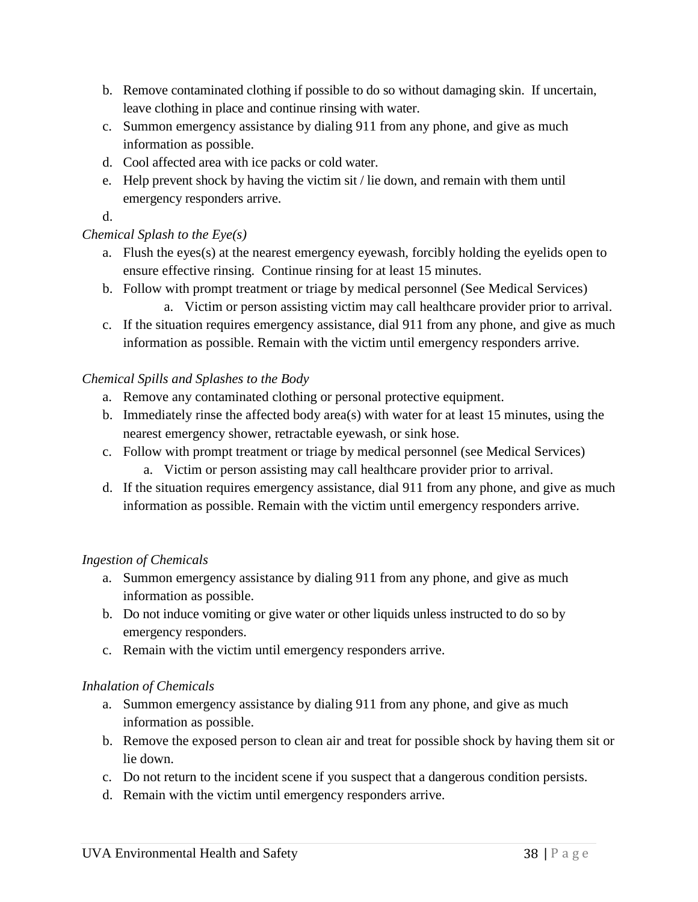- b. Remove contaminated clothing if possible to do so without damaging skin. If uncertain, leave clothing in place and continue rinsing with water.
- c. Summon emergency assistance by dialing 911 from any phone, and give as much information as possible.
- d. Cool affected area with ice packs or cold water.
- e. Help prevent shock by having the victim sit / lie down, and remain with them until emergency responders arrive.
- d.

## *Chemical Splash to the Eye(s)*

- a. Flush the eyes(s) at the nearest emergency eyewash, forcibly holding the eyelids open to ensure effective rinsing. Continue rinsing for at least 15 minutes.
- b. Follow with prompt treatment or triage by medical personnel (See Medical Services) a. Victim or person assisting victim may call healthcare provider prior to arrival.
- c. If the situation requires emergency assistance, dial 911 from any phone, and give as much information as possible. Remain with the victim until emergency responders arrive.

## *Chemical Spills and Splashes to the Body*

- a. Remove any contaminated clothing or personal protective equipment.
- b. Immediately rinse the affected body area(s) with water for at least 15 minutes, using the nearest emergency shower, retractable eyewash, or sink hose.
- c. Follow with prompt treatment or triage by medical personnel (see Medical Services) a. Victim or person assisting may call healthcare provider prior to arrival.
- d. If the situation requires emergency assistance, dial 911 from any phone, and give as much information as possible. Remain with the victim until emergency responders arrive.

### *Ingestion of Chemicals*

- a. Summon emergency assistance by dialing 911 from any phone, and give as much information as possible.
- b. Do not induce vomiting or give water or other liquids unless instructed to do so by emergency responders.
- c. Remain with the victim until emergency responders arrive.

### *Inhalation of Chemicals*

- a. Summon emergency assistance by dialing 911 from any phone, and give as much information as possible.
- b. Remove the exposed person to clean air and treat for possible shock by having them sit or lie down.
- c. Do not return to the incident scene if you suspect that a dangerous condition persists.
- d. Remain with the victim until emergency responders arrive.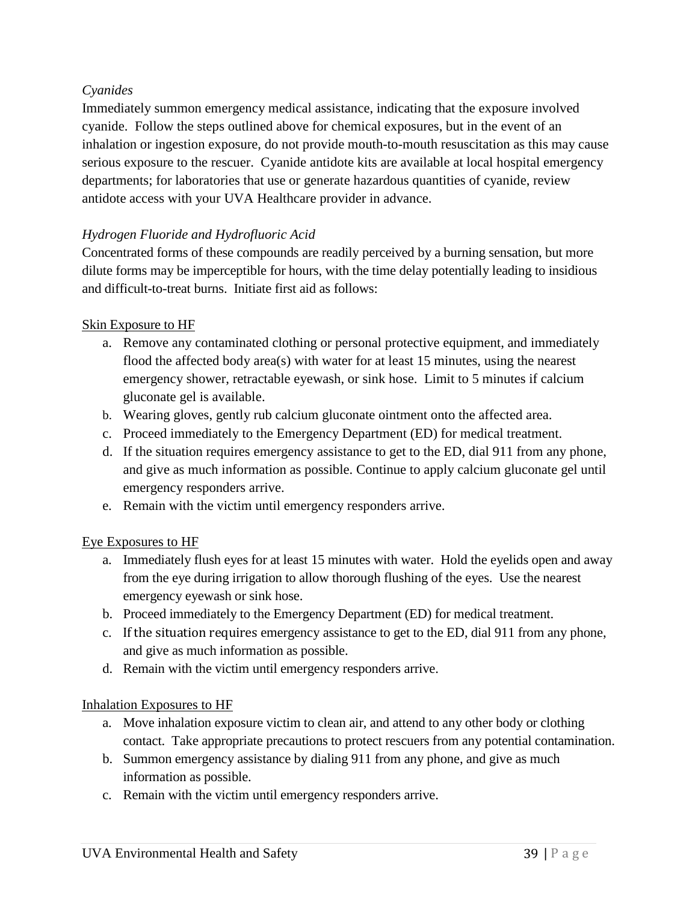### *Cyanides*

Immediately summon emergency medical assistance, indicating that the exposure involved cyanide. Follow the steps outlined above for chemical exposures, but in the event of an inhalation or ingestion exposure, do not provide mouth-to-mouth resuscitation as this may cause serious exposure to the rescuer. Cyanide antidote kits are available at local hospital emergency departments; for laboratories that use or generate hazardous quantities of cyanide, review antidote access with your UVA Healthcare provider in advance.

### *Hydrogen Fluoride and Hydrofluoric Acid*

Concentrated forms of these compounds are readily perceived by a burning sensation, but more dilute forms may be imperceptible for hours, with the time delay potentially leading to insidious and difficult-to-treat burns. Initiate first aid as follows:

### Skin Exposure to HF

- a. Remove any contaminated clothing or personal protective equipment, and immediately flood the affected body area(s) with water for at least 15 minutes, using the nearest emergency shower, retractable eyewash, or sink hose. Limit to 5 minutes if calcium gluconate gel is available.
- b. Wearing gloves, gently rub calcium gluconate ointment onto the affected area.
- c. Proceed immediately to the Emergency Department (ED) for medical treatment.
- d. If the situation requires emergency assistance to get to the ED, dial 911 from any phone, and give as much information as possible. Continue to apply calcium gluconate gel until emergency responders arrive.
- e. Remain with the victim until emergency responders arrive.

### Eye Exposures to HF

- a. Immediately flush eyes for at least 15 minutes with water. Hold the eyelids open and away from the eye during irrigation to allow thorough flushing of the eyes. Use the nearest emergency eyewash or sink hose.
- b. Proceed immediately to the Emergency Department (ED) for medical treatment.
- c. If the situation requires emergency assistance to get to the ED, dial 911 from any phone, and give as much information as possible.
- d. Remain with the victim until emergency responders arrive.

### Inhalation Exposures to HF

- a. Move inhalation exposure victim to clean air, and attend to any other body or clothing contact. Take appropriate precautions to protect rescuers from any potential contamination.
- b. Summon emergency assistance by dialing 911 from any phone, and give as much information as possible.
- c. Remain with the victim until emergency responders arrive.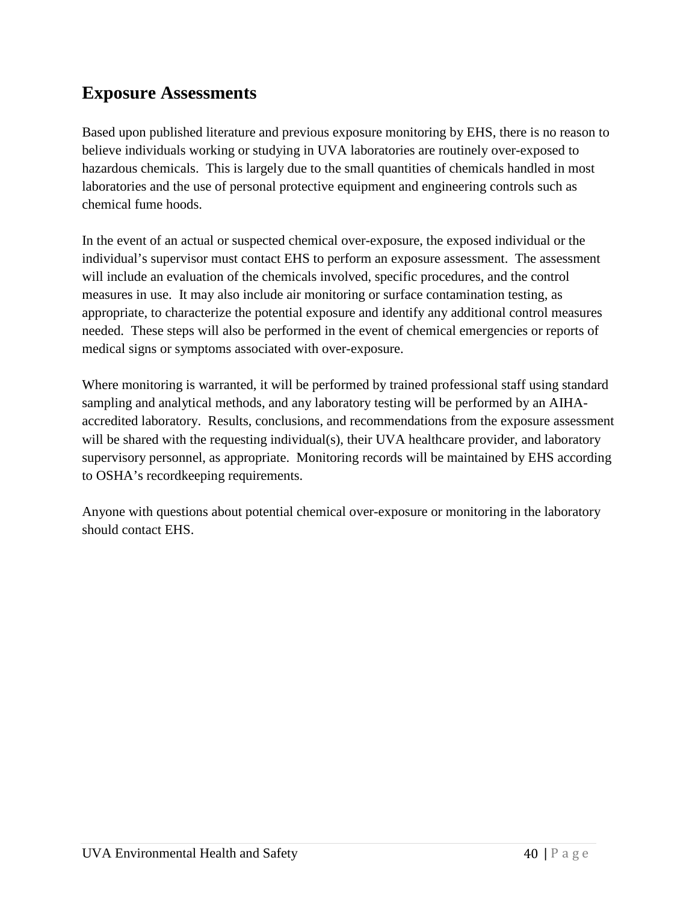## **Exposure Assessments**

Based upon published literature and previous exposure monitoring by EHS, there is no reason to believe individuals working or studying in UVA laboratories are routinely over-exposed to hazardous chemicals. This is largely due to the small quantities of chemicals handled in most laboratories and the use of personal protective equipment and engineering controls such as chemical fume hoods.

In the event of an actual or suspected chemical over-exposure, the exposed individual or the individual's supervisor must contact EHS to perform an exposure assessment. The assessment will include an evaluation of the chemicals involved, specific procedures, and the control measures in use. It may also include air monitoring or surface contamination testing, as appropriate, to characterize the potential exposure and identify any additional control measures needed. These steps will also be performed in the event of chemical emergencies or reports of medical signs or symptoms associated with over-exposure.

Where monitoring is warranted, it will be performed by trained professional staff using standard sampling and analytical methods, and any laboratory testing will be performed by an AIHAaccredited laboratory. Results, conclusions, and recommendations from the exposure assessment will be shared with the requesting individual(s), their UVA healthcare provider, and laboratory supervisory personnel, as appropriate. Monitoring records will be maintained by EHS according to OSHA's recordkeeping requirements.

Anyone with questions about potential chemical over-exposure or monitoring in the laboratory should contact EHS.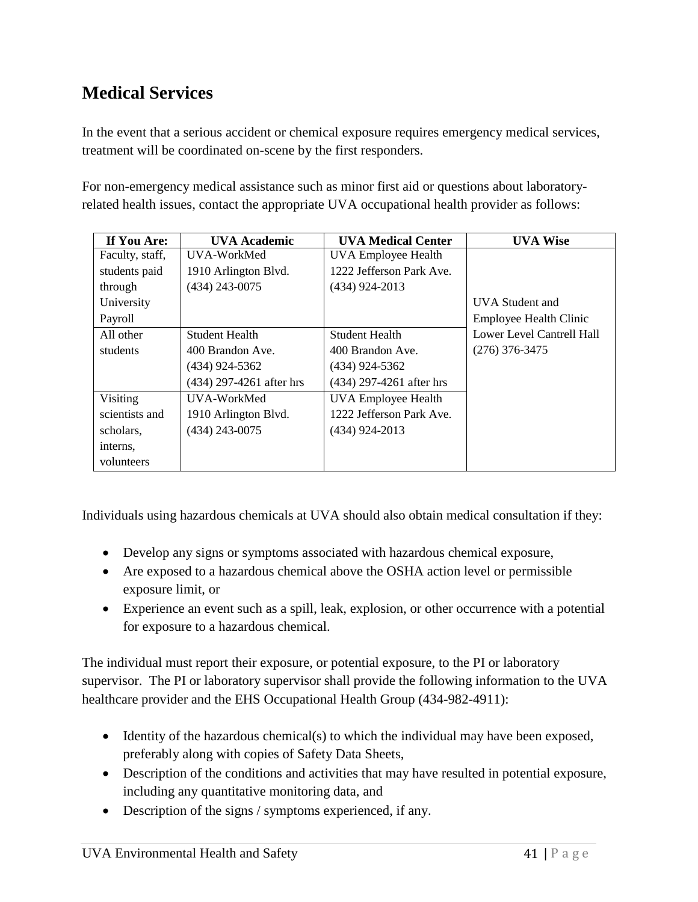# **Medical Services**

In the event that a serious accident or chemical exposure requires emergency medical services, treatment will be coordinated on-scene by the first responders.

For non-emergency medical assistance such as minor first aid or questions about laboratoryrelated health issues, contact the appropriate UVA occupational health provider as follows:

| If You Are:     | <b>UVA</b> Academic      | <b>UVA Medical Center</b>  | <b>UVA Wise</b>               |
|-----------------|--------------------------|----------------------------|-------------------------------|
| Faculty, staff, | UVA-WorkMed              | <b>UVA</b> Employee Health |                               |
| students paid   | 1910 Arlington Blvd.     | 1222 Jefferson Park Ave.   |                               |
| through         | $(434)$ 243-0075         | $(434)$ 924-2013           |                               |
| University      |                          |                            | <b>UVA</b> Student and        |
| Payroll         |                          |                            | <b>Employee Health Clinic</b> |
| All other       | <b>Student Health</b>    | Student Health             | Lower Level Cantrell Hall     |
| students        | 400 Brandon Ave.         | 400 Brandon Ave.           | $(276)$ 376-3475              |
|                 | $(434)$ 924-5362         | $(434)$ 924-5362           |                               |
|                 | (434) 297-4261 after hrs | (434) 297-4261 after hrs   |                               |
| Visiting        | UVA-WorkMed              | <b>UVA Employee Health</b> |                               |
| scientists and  | 1910 Arlington Blvd.     | 1222 Jefferson Park Ave.   |                               |
| scholars,       | $(434)$ 243-0075         | $(434)$ 924-2013           |                               |
| interns,        |                          |                            |                               |
| volunteers      |                          |                            |                               |

Individuals using hazardous chemicals at UVA should also obtain medical consultation if they:

- Develop any signs or symptoms associated with hazardous chemical exposure,
- Are exposed to a hazardous chemical above the OSHA action level or permissible exposure limit, or
- Experience an event such as a spill, leak, explosion, or other occurrence with a potential for exposure to a hazardous chemical.

The individual must report their exposure, or potential exposure, to the PI or laboratory supervisor. The PI or laboratory supervisor shall provide the following information to the UVA healthcare provider and the EHS Occupational Health Group (434-982-4911):

- Identity of the hazardous chemical(s) to which the individual may have been exposed, preferably along with copies of Safety Data Sheets,
- Description of the conditions and activities that may have resulted in potential exposure, including any quantitative monitoring data, and
- Description of the signs / symptoms experienced, if any.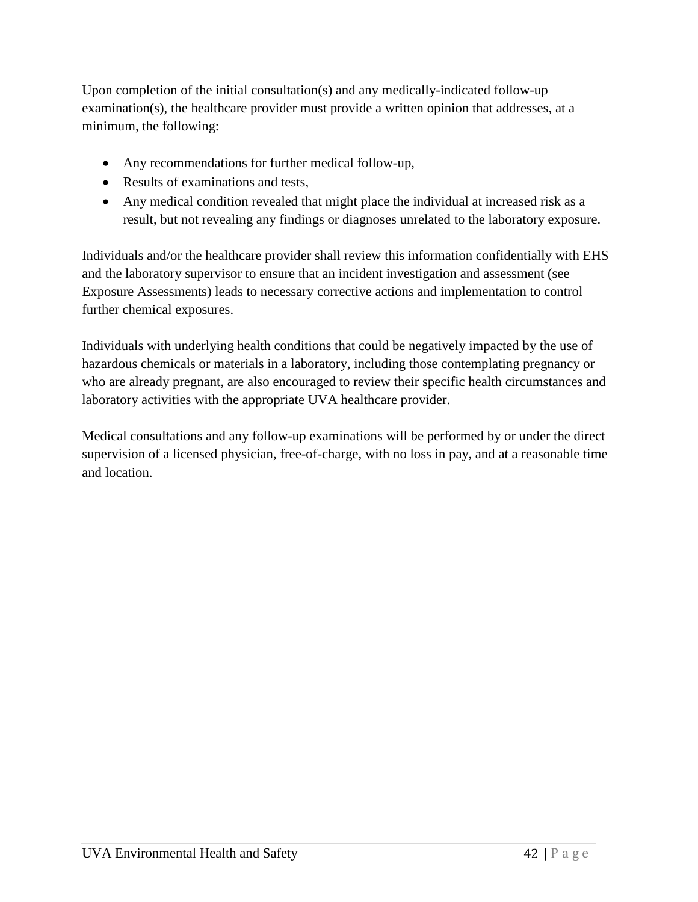Upon completion of the initial consultation(s) and any medically-indicated follow-up examination(s), the healthcare provider must provide a written opinion that addresses, at a minimum, the following:

- Any recommendations for further medical follow-up,
- Results of examinations and tests,
- Any medical condition revealed that might place the individual at increased risk as a result, but not revealing any findings or diagnoses unrelated to the laboratory exposure.

Individuals and/or the healthcare provider shall review this information confidentially with EHS and the laboratory supervisor to ensure that an incident investigation and assessment (see Exposure Assessments) leads to necessary corrective actions and implementation to control further chemical exposures.

Individuals with underlying health conditions that could be negatively impacted by the use of hazardous chemicals or materials in a laboratory, including those contemplating pregnancy or who are already pregnant, are also encouraged to review their specific health circumstances and laboratory activities with the appropriate UVA healthcare provider.

Medical consultations and any follow-up examinations will be performed by or under the direct supervision of a licensed physician, free-of-charge, with no loss in pay, and at a reasonable time and location.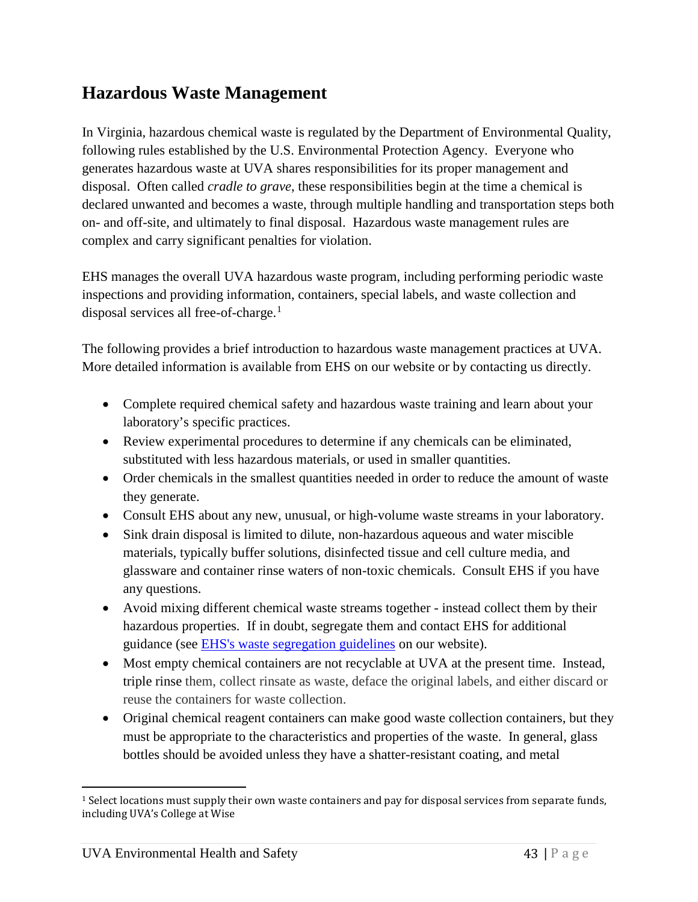## **Hazardous Waste Management**

In Virginia, hazardous chemical waste is regulated by the Department of Environmental Quality, following rules established by the U.S. Environmental Protection Agency. Everyone who generates hazardous waste at UVA shares responsibilities for its proper management and disposal. Often called *cradle to grave*, these responsibilities begin at the time a chemical is declared unwanted and becomes a waste, through multiple handling and transportation steps both on- and off-site, and ultimately to final disposal. Hazardous waste management rules are complex and carry significant penalties for violation.

EHS manages the overall UVA hazardous waste program, including performing periodic waste inspections and providing information, containers, special labels, and waste collection and disposal services all free-of-charge.<sup>[1](#page-44-0)</sup>

The following provides a brief introduction to hazardous waste management practices at UVA. More detailed information is available from EHS on our website or by contacting us directly.

- Complete required chemical safety and hazardous waste training and learn about your laboratory's specific practices.
- Review experimental procedures to determine if any chemicals can be eliminated, substituted with less hazardous materials, or used in smaller quantities.
- Order chemicals in the smallest quantities needed in order to reduce the amount of waste they generate.
- Consult EHS about any new, unusual, or high-volume waste streams in your laboratory.
- Sink drain disposal is limited to dilute, non-hazardous aqueous and water miscible materials, typically buffer solutions, disinfected tissue and cell culture media, and glassware and container rinse waters of non-toxic chemicals. Consult EHS if you have any questions.
- Avoid mixing different chemical waste streams together instead collect them by their hazardous properties. If in doubt, segregate them and contact EHS for additional guidance (see [EHS's waste segregation guidelines](http://ehs.virginia.edu/ehs/ehs.chemicalsafety/chemicalsafety.documents/Waste-Segregation-Guidelines-Laboratory.pdf) on our website).
- Most empty chemical containers are not recyclable at UVA at the present time. Instead, triple rinse them, collect rinsate as waste, deface the original labels, and either discard or reuse the containers for waste collection.
- Original chemical reagent containers can make good waste collection containers, but they must be appropriate to the characteristics and properties of the waste. In general, glass bottles should be avoided unless they have a shatter-resistant coating, and metal

<span id="page-44-0"></span> $1$  Select locations must supply their own waste containers and pay for disposal services from separate funds, including UVA's College at Wise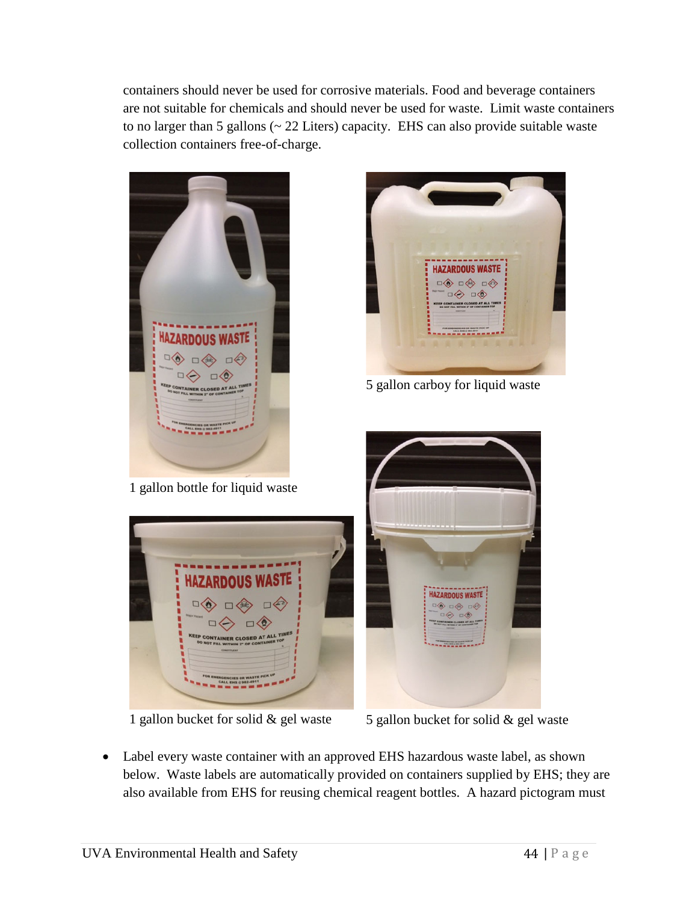containers should never be used for corrosive materials. Food and beverage containers are not suitable for chemicals and should never be used for waste. Limit waste containers to no larger than 5 gallons (~ 22 Liters) capacity. EHS can also provide suitable waste collection containers free-of-charge.



1 gallon bottle for liquid waste



5 gallon carboy for liquid waste



1 gallon bucket for solid & gel waste



5 gallon bucket for solid & gel waste

• Label every waste container with an approved EHS hazardous waste label, as shown below. Waste labels are automatically provided on containers supplied by EHS; they are also available from EHS for reusing chemical reagent bottles. A hazard pictogram must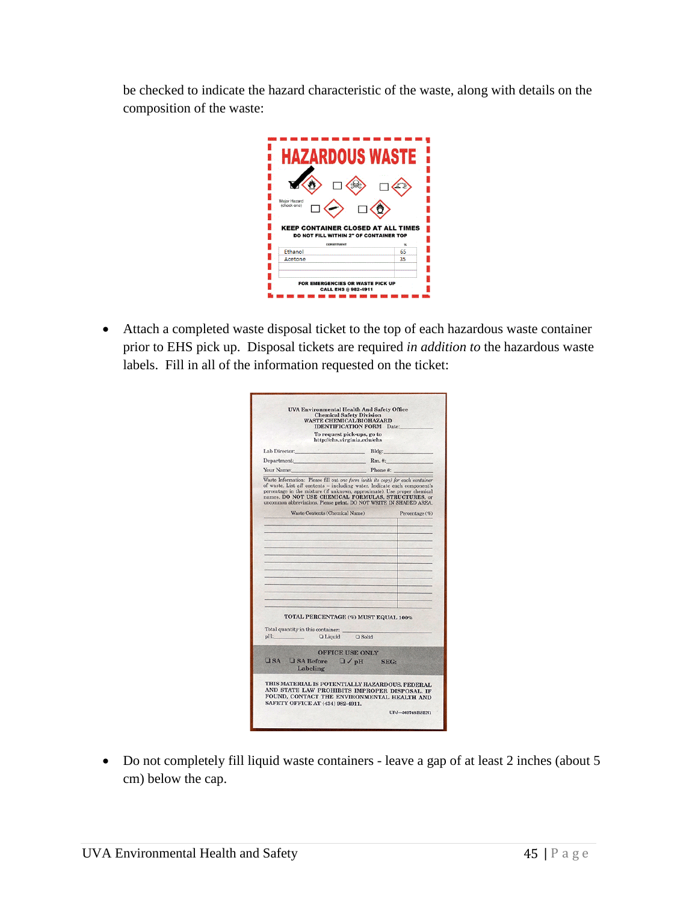be checked to indicate the hazard characteristic of the waste, along with details on the composition of the waste:



• Attach a completed waste disposal ticket to the top of each hazardous waste container prior to EHS pick up. Disposal tickets are required *in addition to* the hazardous waste labels. Fill in all of the information requested on the ticket:

|                                                                                                                                                                                                                               | <b>UVA Environmental Health And Safety Office</b><br><b>Chemical Safety Division</b><br><b>WASTE CHEMICAL/BIOHAZARD</b><br><b>IDENTIFICATION FORM</b> Date:                                                                                                                                                                                                                                           |                         |
|-------------------------------------------------------------------------------------------------------------------------------------------------------------------------------------------------------------------------------|-------------------------------------------------------------------------------------------------------------------------------------------------------------------------------------------------------------------------------------------------------------------------------------------------------------------------------------------------------------------------------------------------------|-------------------------|
|                                                                                                                                                                                                                               | To request pick-ups, go to<br>http://ehs.virginia.edu/ehs                                                                                                                                                                                                                                                                                                                                             |                         |
| Lab Director: The Contract of the Contract of the Contract of the Contract of the Contract of the Contract of the Contract of the Contract of the Contract of the Contract of the Contract of the Contract of the Contract of | Bldg:                                                                                                                                                                                                                                                                                                                                                                                                 |                         |
| Department:                                                                                                                                                                                                                   |                                                                                                                                                                                                                                                                                                                                                                                                       | Rm. #:                  |
| Your Name:                                                                                                                                                                                                                    |                                                                                                                                                                                                                                                                                                                                                                                                       | Phone #:                |
|                                                                                                                                                                                                                               | Waste Information: Please fill out one form (with its copy) for each container<br>of waste. List all contents - including water. Indicate each component's<br>percentage in the mixture (if unknown, approximate). Use proper chemical<br>names. DO NOT USE CHEMICAL FORMULAS, STRUCTURES, or<br>uncommon abbreviations. Please print, DO NOT WRITE IN SHADED AREA.<br>Waste Contents (Chemical Name) | Percentage (%)          |
|                                                                                                                                                                                                                               |                                                                                                                                                                                                                                                                                                                                                                                                       |                         |
|                                                                                                                                                                                                                               |                                                                                                                                                                                                                                                                                                                                                                                                       |                         |
|                                                                                                                                                                                                                               |                                                                                                                                                                                                                                                                                                                                                                                                       |                         |
|                                                                                                                                                                                                                               |                                                                                                                                                                                                                                                                                                                                                                                                       |                         |
|                                                                                                                                                                                                                               |                                                                                                                                                                                                                                                                                                                                                                                                       |                         |
|                                                                                                                                                                                                                               |                                                                                                                                                                                                                                                                                                                                                                                                       |                         |
|                                                                                                                                                                                                                               |                                                                                                                                                                                                                                                                                                                                                                                                       |                         |
|                                                                                                                                                                                                                               |                                                                                                                                                                                                                                                                                                                                                                                                       |                         |
|                                                                                                                                                                                                                               |                                                                                                                                                                                                                                                                                                                                                                                                       |                         |
|                                                                                                                                                                                                                               |                                                                                                                                                                                                                                                                                                                                                                                                       |                         |
|                                                                                                                                                                                                                               |                                                                                                                                                                                                                                                                                                                                                                                                       |                         |
|                                                                                                                                                                                                                               | TOTAL PERCENTAGE (%) MUST EQUAL 100%                                                                                                                                                                                                                                                                                                                                                                  |                         |
| Total quantity in this container:                                                                                                                                                                                             |                                                                                                                                                                                                                                                                                                                                                                                                       |                         |
| pH:                                                                                                                                                                                                                           | <b>Q</b> Liquid <b>Q</b> Solid                                                                                                                                                                                                                                                                                                                                                                        |                         |
|                                                                                                                                                                                                                               | <b>OFFICE USE ONLY</b>                                                                                                                                                                                                                                                                                                                                                                                |                         |
| Labeling                                                                                                                                                                                                                      | □ SA Before □ v pH SEG:                                                                                                                                                                                                                                                                                                                                                                               |                         |
|                                                                                                                                                                                                                               | THIS MATERIAL IS POTENTIALLY HAZARDOUS. FEDERAL<br>AND STATE LAW PROHIBITS IMPROPER DISPOSAL. IF<br>FOUND, CONTACT THE ENVIRONMENTAL HEALTH AND<br>SAFETY OFFICE AT (434) 982-4911.                                                                                                                                                                                                                   |                         |
|                                                                                                                                                                                                                               |                                                                                                                                                                                                                                                                                                                                                                                                       | <b>UPJ-369748/RSEN1</b> |

• Do not completely fill liquid waste containers - leave a gap of at least 2 inches (about 5 cm) below the cap.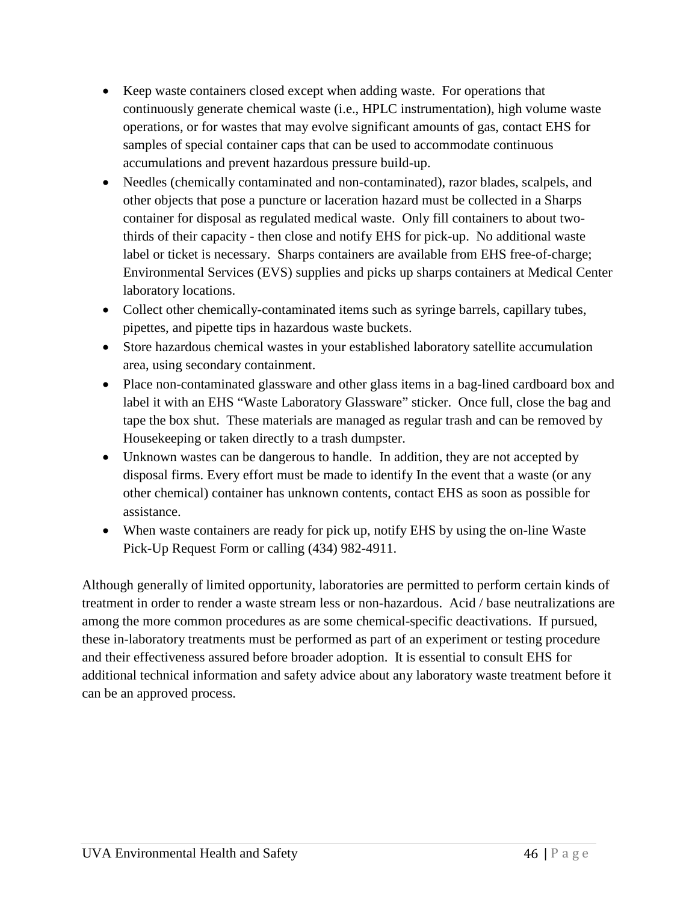- Keep waste containers closed except when adding waste. For operations that continuously generate chemical waste (i.e., HPLC instrumentation), high volume waste operations, or for wastes that may evolve significant amounts of gas, contact EHS for samples of special container caps that can be used to accommodate continuous accumulations and prevent hazardous pressure build-up.
- Needles (chemically contaminated and non-contaminated), razor blades, scalpels, and other objects that pose a puncture or laceration hazard must be collected in a Sharps container for disposal as regulated medical waste. Only fill containers to about twothirds of their capacity - then close and notify EHS for pick-up. No additional waste label or ticket is necessary. Sharps containers are available from EHS free-of-charge; Environmental Services (EVS) supplies and picks up sharps containers at Medical Center laboratory locations.
- Collect other chemically-contaminated items such as syringe barrels, capillary tubes, pipettes, and pipette tips in hazardous waste buckets.
- Store hazardous chemical wastes in your established laboratory satellite accumulation area, using secondary containment.
- Place non-contaminated glassware and other glass items in a bag-lined cardboard box and label it with an EHS "Waste Laboratory Glassware" sticker. Once full, close the bag and tape the box shut. These materials are managed as regular trash and can be removed by Housekeeping or taken directly to a trash dumpster.
- Unknown wastes can be dangerous to handle. In addition, they are not accepted by disposal firms. Every effort must be made to identify In the event that a waste (or any other chemical) container has unknown contents, contact EHS as soon as possible for assistance.
- When waste containers are ready for pick up, notify EHS by using the on-line Waste Pick-Up Request Form or calling (434) 982-4911.

Although generally of limited opportunity, laboratories are permitted to perform certain kinds of treatment in order to render a waste stream less or non-hazardous. Acid / base neutralizations are among the more common procedures as are some chemical-specific deactivations. If pursued, these in-laboratory treatments must be performed as part of an experiment or testing procedure and their effectiveness assured before broader adoption. It is essential to consult EHS for additional technical information and safety advice about any laboratory waste treatment before it can be an approved process.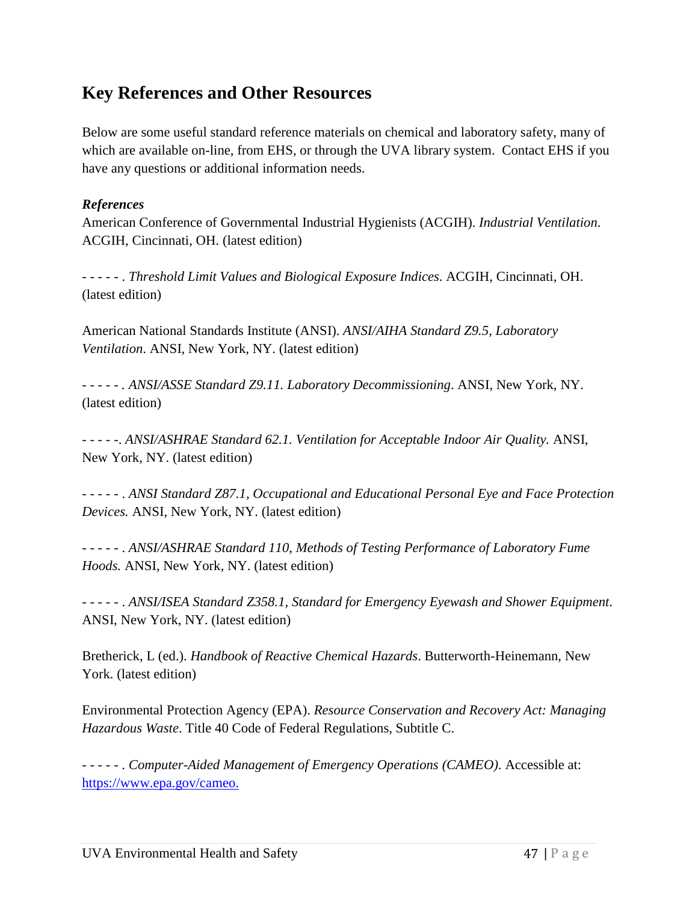## **Key References and Other Resources**

Below are some useful standard reference materials on chemical and laboratory safety, many of which are available on-line, from EHS, or through the UVA library system. Contact EHS if you have any questions or additional information needs.

### *References*

American Conference of Governmental Industrial Hygienists (ACGIH). *Industrial Ventilation*. ACGIH, Cincinnati, OH. (latest edition)

- - - - - . *Threshold Limit Values and Biological Exposure Indices*. ACGIH, Cincinnati, OH. (latest edition)

American National Standards Institute (ANSI). *ANSI/AIHA Standard Z9.5, Laboratory Ventilation*. ANSI, New York, NY. (latest edition)

*- - - - - . ANSI/ASSE Standard Z9.11. Laboratory Decommissioning*. ANSI, New York, NY. (latest edition)

- - - - -. *ANSI/ASHRAE Standard 62.1. Ventilation for Acceptable Indoor Air Quality.* ANSI, New York, NY. (latest edition)

- - - - - . *ANSI Standard Z87.1, Occupational and Educational Personal Eye and Face Protection Devices.* ANSI, New York, NY. (latest edition)

- - - - - . *ANSI/ASHRAE Standard 110, Methods of Testing Performance of Laboratory Fume Hoods.* ANSI, New York, NY. (latest edition)

- - - - - . *ANSI/ISEA Standard Z358.1, Standard for Emergency Eyewash and Shower Equipment*. ANSI, New York, NY. (latest edition)

Bretherick, L (ed.). *Handbook of Reactive Chemical Hazards*. Butterworth-Heinemann, New York. (latest edition)

Environmental Protection Agency (EPA). *Resource Conservation and Recovery Act: Managing Hazardous Waste*. Title 40 Code of Federal Regulations, Subtitle C.

- - - - - . *Computer-Aided Management of Emergency Operations (CAMEO)*. Accessible at: [https://www.epa.gov/cameo.](https://www.epa.gov/cameo)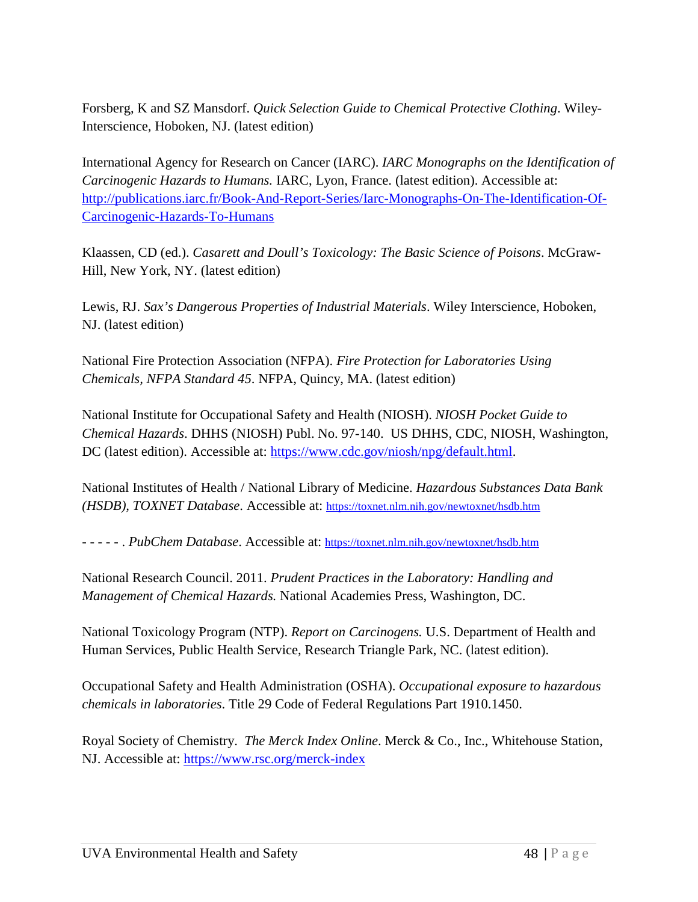Forsberg, K and SZ Mansdorf. *Quick Selection Guide to Chemical Protective Clothing*. Wiley-Interscience, Hoboken, NJ. (latest edition)

International Agency for Research on Cancer (IARC). *IARC Monographs on the Identification of Carcinogenic Hazards to Humans.* IARC, Lyon, France. (latest edition). Accessible at: [http://publications.iarc.fr/Book-And-Report-Series/Iarc-Monographs-On-The-Identification-Of-](http://publications.iarc.fr/Book-And-Report-Series/Iarc-Monographs-On-The-Identification-Of-Carcinogenic-Hazards-To-Humans)[Carcinogenic-Hazards-To-Humans](http://publications.iarc.fr/Book-And-Report-Series/Iarc-Monographs-On-The-Identification-Of-Carcinogenic-Hazards-To-Humans)

Klaassen, CD (ed.). *Casarett and Doull's Toxicology: The Basic Science of Poisons*. McGraw-Hill, New York, NY. (latest edition)

Lewis, RJ. *Sax's Dangerous Properties of Industrial Materials*. Wiley Interscience, Hoboken, NJ. (latest edition)

National Fire Protection Association (NFPA). *Fire Protection for Laboratories Using Chemicals, NFPA Standard 45*. NFPA, Quincy, MA. (latest edition)

National Institute for Occupational Safety and Health (NIOSH). *NIOSH Pocket Guide to Chemical Hazards*. DHHS (NIOSH) Publ. No. 97-140. US DHHS, CDC, NIOSH, Washington, DC (latest edition). Accessible at: [https://www.cdc.gov/niosh/npg/default.html.](https://www.cdc.gov/niosh/npg/default.html)

National Institutes of Health / National Library of Medicine. *Hazardous Substances Data Bank (HSDB), TOXNET Database*. Accessible at:<https://toxnet.nlm.nih.gov/newtoxnet/hsdb.htm>

- - - - - . *PubChem Database*. Accessible at:<https://toxnet.nlm.nih.gov/newtoxnet/hsdb.htm>

National Research Council. 2011. *Prudent Practices in the Laboratory: Handling and Management of Chemical Hazards.* National Academies Press, Washington, DC.

National Toxicology Program (NTP). *Report on Carcinogens.* U.S. Department of Health and Human Services, Public Health Service, Research Triangle Park, NC. (latest edition).

Occupational Safety and Health Administration (OSHA). *Occupational exposure to hazardous chemicals in laboratories*. Title 29 Code of Federal Regulations Part 1910.1450.

Royal Society of Chemistry. *The Merck Index Online*. Merck & Co., Inc., Whitehouse Station, NJ. Accessible at:<https://www.rsc.org/merck-index>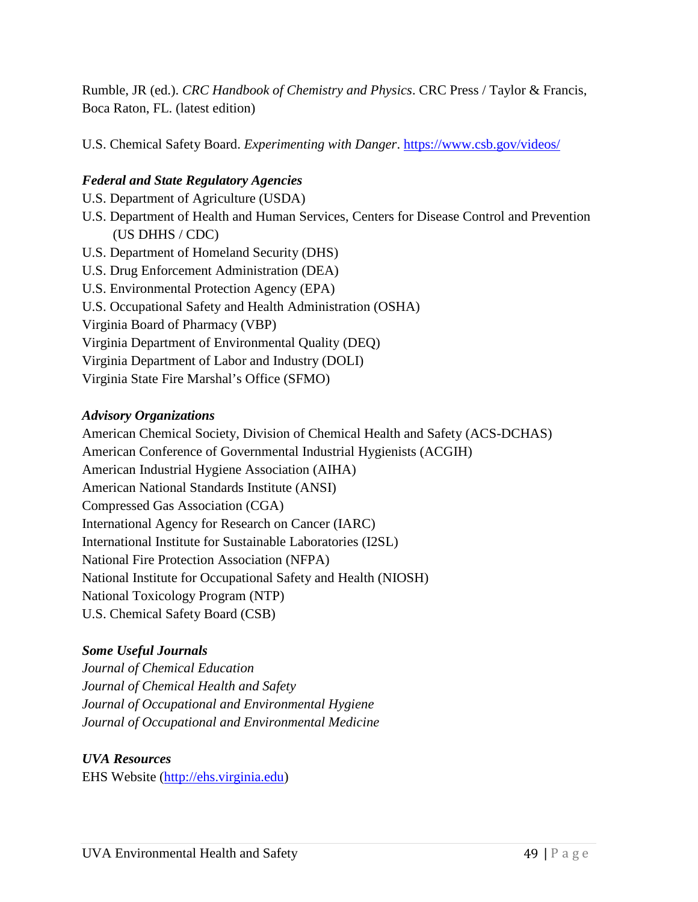Rumble, JR (ed.). *CRC Handbook of Chemistry and Physics*. CRC Press / Taylor & Francis, Boca Raton, FL. (latest edition)

U.S. Chemical Safety Board. *Experimenting with Danger*.<https://www.csb.gov/videos/>

### *Federal and State Regulatory Agencies*

- U.S. Department of Agriculture (USDA)
- U.S. Department of Health and Human Services, Centers for Disease Control and Prevention (US DHHS / CDC)
- U.S. Department of Homeland Security (DHS)
- U.S. Drug Enforcement Administration (DEA)
- U.S. Environmental Protection Agency (EPA)
- U.S. Occupational Safety and Health Administration (OSHA)
- Virginia Board of Pharmacy (VBP)
- Virginia Department of Environmental Quality (DEQ)
- Virginia Department of Labor and Industry (DOLI)
- Virginia State Fire Marshal's Office (SFMO)

### *Advisory Organizations*

American Chemical Society, Division of Chemical Health and Safety (ACS-DCHAS) American Conference of Governmental Industrial Hygienists (ACGIH) American Industrial Hygiene Association (AIHA) American National Standards Institute (ANSI) Compressed Gas Association (CGA) International Agency for Research on Cancer (IARC) International Institute for Sustainable Laboratories (I2SL) National Fire Protection Association (NFPA) National Institute for Occupational Safety and Health (NIOSH) National Toxicology Program (NTP) U.S. Chemical Safety Board (CSB)

## *Some Useful Journals*

*Journal of Chemical Education Journal of Chemical Health and Safety Journal of Occupational and Environmental Hygiene Journal of Occupational and Environmental Medicine*

## *UVA Resources*

EHS Website [\(http://ehs.virginia.edu\)](http://ehs.virginia.edu/)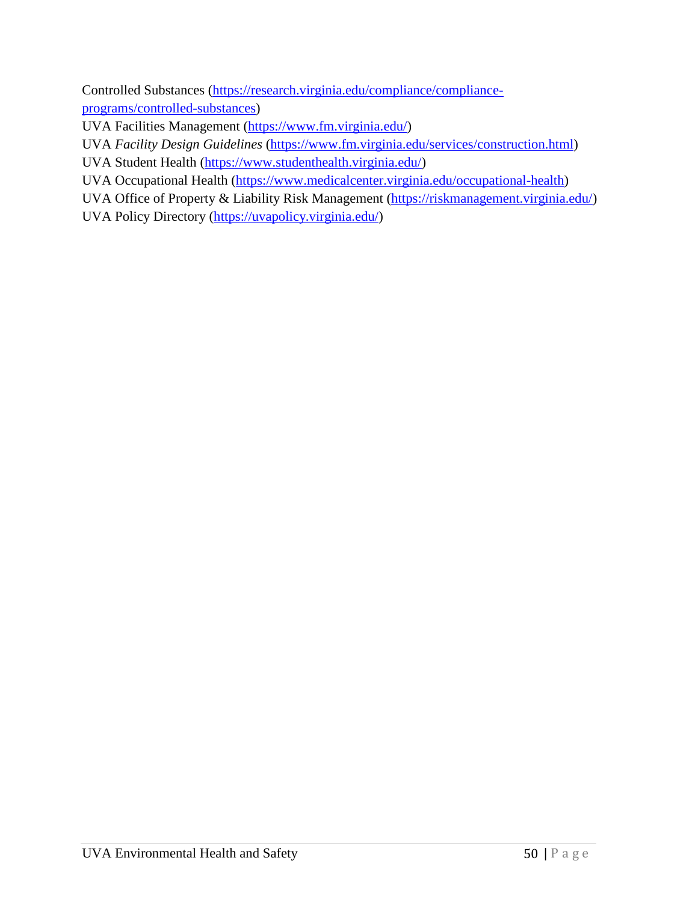Controlled Substances [\(https://research.virginia.edu/compliance/compliance](https://research.virginia.edu/compliance/compliance-programs/controlled-substances)[programs/controlled-substances\)](https://research.virginia.edu/compliance/compliance-programs/controlled-substances)

UVA Facilities Management [\(https://www.fm.virginia.edu/\)](https://www.fm.virginia.edu/)

UVA *Facility Design Guidelines* [\(https://www.fm.virginia.edu/services/construction.html\)](https://www.fm.virginia.edu/services/construction.html)

UVA Student Health [\(https://www.studenthealth.virginia.edu/\)](https://www.studenthealth.virginia.edu/)

UVA Occupational Health [\(https://www.medicalcenter.virginia.edu/occupational-health\)](https://www.medicalcenter.virginia.edu/occupational-health)

UVA Office of Property & Liability Risk Management [\(https://riskmanagement.virginia.edu/\)](https://riskmanagement.virginia.edu/)

UVA Policy Directory [\(https://uvapolicy.virginia.edu/\)](https://uvapolicy.virginia.edu/)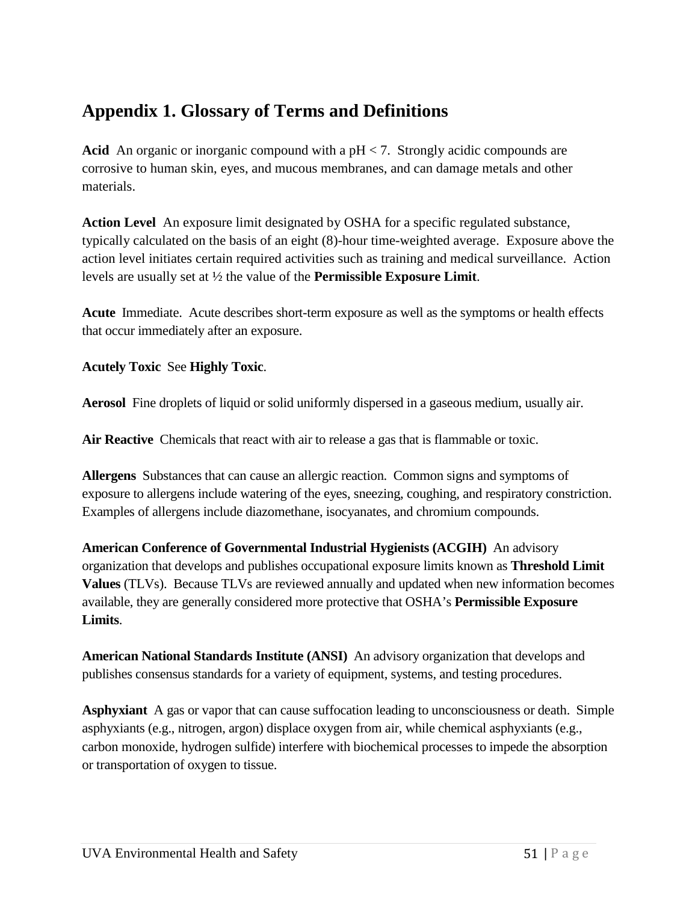# **Appendix 1. Glossary of Terms and Definitions**

**Acid** An organic or inorganic compound with a pH < 7. Strongly acidic compounds are corrosive to human skin, eyes, and mucous membranes, and can damage metals and other materials.

**Action Level** An exposure limit designated by OSHA for a specific regulated substance, typically calculated on the basis of an eight (8)-hour time-weighted average. Exposure above the action level initiates certain required activities such as training and medical surveillance. Action levels are usually set at ½ the value of the **Permissible Exposure Limit**.

**Acute** Immediate. Acute describes short-term exposure as well as the symptoms or health effects that occur immediately after an exposure.

**Acutely Toxic** See **Highly Toxic**.

**Aerosol** Fine droplets of liquid or solid uniformly dispersed in a gaseous medium, usually air.

**Air Reactive** Chemicals that react with air to release a gas that is flammable or toxic.

**Allergens** Substances that can cause an allergic reaction. Common signs and symptoms of exposure to allergens include watering of the eyes, sneezing, coughing, and respiratory constriction. Examples of allergens include diazomethane, isocyanates, and chromium compounds.

**American Conference of Governmental Industrial Hygienists (ACGIH)** An advisory organization that develops and publishes occupational exposure limits known as **Threshold Limit Values** (TLVs). Because TLVs are reviewed annually and updated when new information becomes available, they are generally considered more protective that OSHA's **Permissible Exposure Limits**.

**American National Standards Institute (ANSI)** An advisory organization that develops and publishes consensus standards for a variety of equipment, systems, and testing procedures.

**Asphyxiant** A gas or vapor that can cause suffocation leading to unconsciousness or death. Simple asphyxiants (e.g., nitrogen, argon) displace oxygen from air, while chemical asphyxiants (e.g., carbon monoxide, hydrogen sulfide) interfere with biochemical processes to impede the absorption or transportation of oxygen to tissue.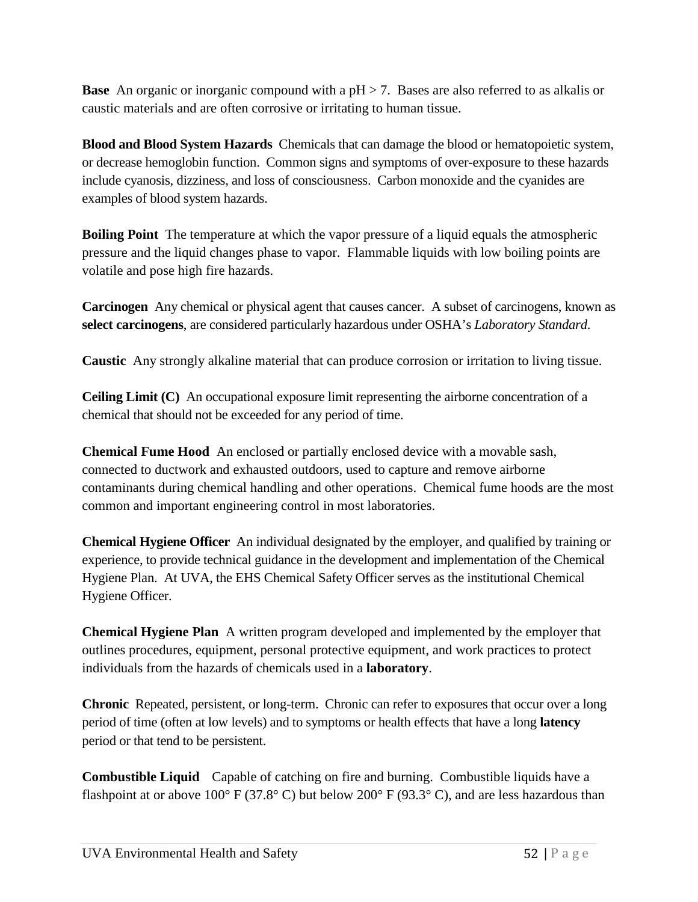**Base** An organic or inorganic compound with a pH  $>$  7. Bases are also referred to as alkalis or caustic materials and are often corrosive or irritating to human tissue.

**Blood and Blood System Hazards** Chemicals that can damage the blood or hematopoietic system, or decrease hemoglobin function. Common signs and symptoms of over-exposure to these hazards include cyanosis, dizziness, and loss of consciousness. Carbon monoxide and the cyanides are examples of blood system hazards.

**Boiling Point** The temperature at which the vapor pressure of a liquid equals the atmospheric pressure and the liquid changes phase to vapor. Flammable liquids with low boiling points are volatile and pose high fire hazards.

**Carcinogen** Any chemical or physical agent that causes cancer. A subset of carcinogens, known as **select carcinogens**, are considered particularly hazardous under OSHA's *Laboratory Standard*.

**Caustic** Any strongly alkaline material that can produce corrosion or irritation to living tissue.

**Ceiling Limit (C)** An occupational exposure limit representing the airborne concentration of a chemical that should not be exceeded for any period of time.

**Chemical Fume Hood** An enclosed or partially enclosed device with a movable sash, connected to ductwork and exhausted outdoors, used to capture and remove airborne contaminants during chemical handling and other operations. Chemical fume hoods are the most common and important engineering control in most laboratories.

**Chemical Hygiene Officer** An individual designated by the employer, and qualified by training or experience, to provide technical guidance in the development and implementation of the Chemical Hygiene Plan. At UVA, the EHS Chemical Safety Officer serves as the institutional Chemical Hygiene Officer.

**Chemical Hygiene Plan** A written program developed and implemented by the employer that outlines procedures, equipment, personal protective equipment, and work practices to protect individuals from the hazards of chemicals used in a **laboratory**.

**Chronic** Repeated, persistent, or long-term. Chronic can refer to exposures that occur over a long period of time (often at low levels) and to symptoms or health effects that have a long **latency** period or that tend to be persistent.

**Combustible Liquid** Capable of catching on fire and burning. Combustible liquids have a flashpoint at or above 100° F (37.8° C) but below 200° F (93.3° C), and are less hazardous than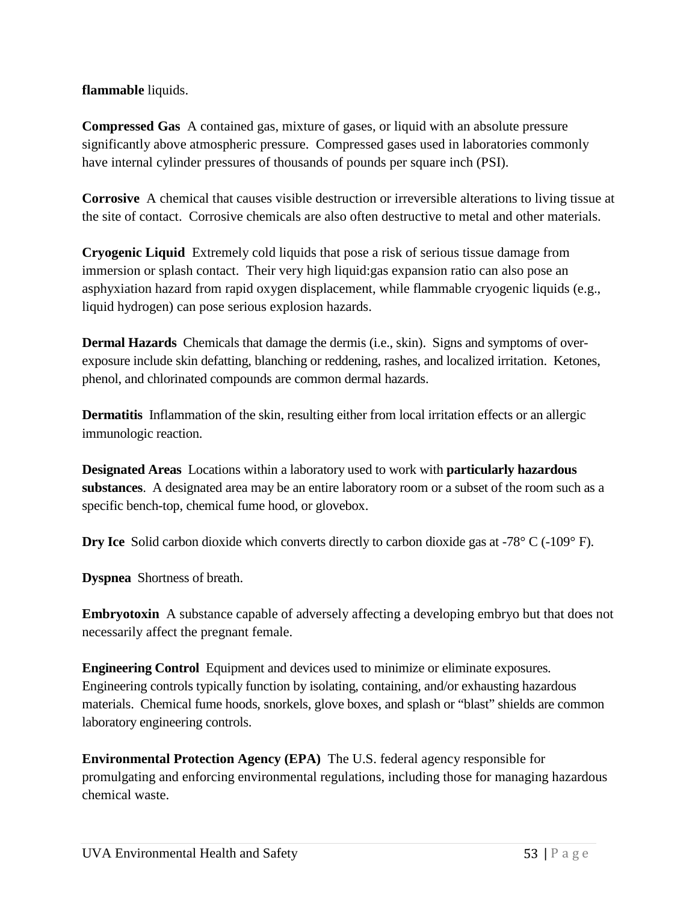### **flammable** liquids.

**Compressed Gas** A contained gas, mixture of gases, or liquid with an absolute pressure significantly above atmospheric pressure. Compressed gases used in laboratories commonly have internal cylinder pressures of thousands of pounds per square inch (PSI).

**Corrosive** A chemical that causes visible destruction or irreversible alterations to living tissue at the site of contact. Corrosive chemicals are also often destructive to metal and other materials.

**Cryogenic Liquid** Extremely cold liquids that pose a risk of serious tissue damage from immersion or splash contact. Their very high liquid:gas expansion ratio can also pose an asphyxiation hazard from rapid oxygen displacement, while flammable cryogenic liquids (e.g., liquid hydrogen) can pose serious explosion hazards.

**Dermal Hazards** Chemicals that damage the dermis (i.e., skin). Signs and symptoms of overexposure include skin defatting, blanching or reddening, rashes, and localized irritation. Ketones, phenol, and chlorinated compounds are common dermal hazards.

**Dermatitis** Inflammation of the skin, resulting either from local irritation effects or an allergic immunologic reaction.

**Designated Areas** Locations within a laboratory used to work with **particularly hazardous substances**. A designated area may be an entire laboratory room or a subset of the room such as a specific bench-top, chemical fume hood, or glovebox.

**Dry Ice** Solid carbon dioxide which converts directly to carbon dioxide gas at -78° C (-109° F).

**Dyspnea** Shortness of breath.

**Embryotoxin** A substance capable of adversely affecting a developing embryo but that does not necessarily affect the pregnant female.

**Engineering Control** Equipment and devices used to minimize or eliminate exposures. Engineering controls typically function by isolating, containing, and/or exhausting hazardous materials. Chemical fume hoods, snorkels, glove boxes, and splash or "blast" shields are common laboratory engineering controls.

**Environmental Protection Agency (EPA)** The U.S. federal agency responsible for promulgating and enforcing environmental regulations, including those for managing hazardous chemical waste.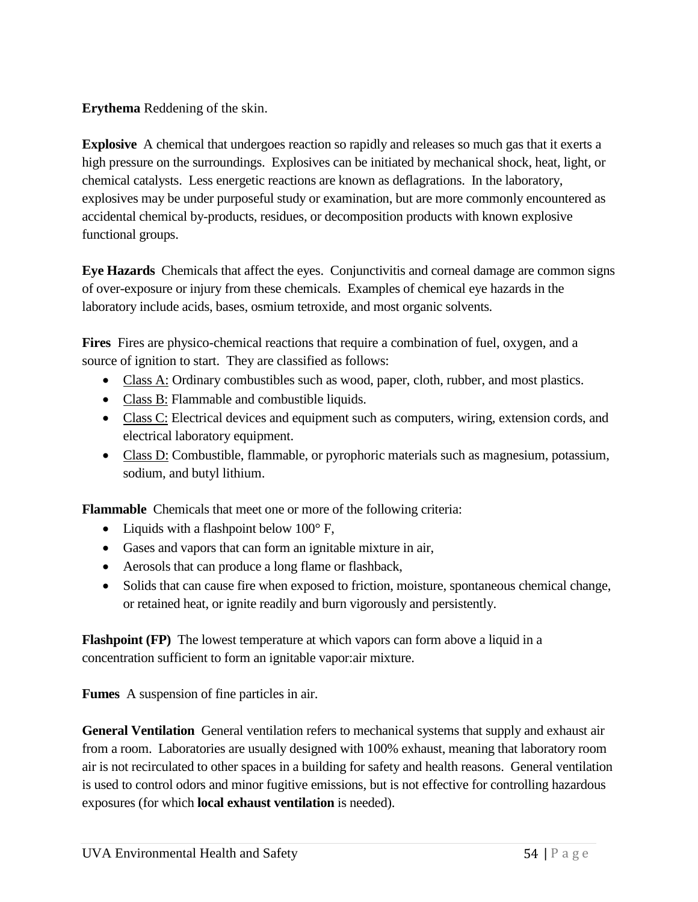**Erythema** Reddening of the skin.

**Explosive** A chemical that undergoes reaction so rapidly and releases so much gas that it exerts a high pressure on the surroundings. Explosives can be initiated by mechanical shock, heat, light, or chemical catalysts. Less energetic reactions are known as deflagrations. In the laboratory, explosives may be under purposeful study or examination, but are more commonly encountered as accidental chemical by-products, residues, or decomposition products with known explosive functional groups.

**Eye Hazards** Chemicals that affect the eyes. Conjunctivitis and corneal damage are common signs of over-exposure or injury from these chemicals. Examples of chemical eye hazards in the laboratory include acids, bases, osmium tetroxide, and most organic solvents.

**Fires** Fires are physico-chemical reactions that require a combination of fuel, oxygen, and a source of ignition to start. They are classified as follows:

- Class A: Ordinary combustibles such as wood, paper, cloth, rubber, and most plastics.
- Class B: Flammable and combustible liquids.
- Class C: Electrical devices and equipment such as computers, wiring, extension cords, and electrical laboratory equipment.
- Class D: Combustible, flammable, or pyrophoric materials such as magnesium, potassium, sodium, and butyl lithium.

**Flammable** Chemicals that meet one or more of the following criteria:

- Liquids with a flashpoint below 100 $\degree$  F,
- Gases and vapors that can form an ignitable mixture in air,
- Aerosols that can produce a long flame or flashback,
- Solids that can cause fire when exposed to friction, moisture, spontaneous chemical change, or retained heat, or ignite readily and burn vigorously and persistently.

**Flashpoint (FP)** The lowest temperature at which vapors can form above a liquid in a concentration sufficient to form an ignitable vapor:air mixture.

**Fumes** A suspension of fine particles in air.

**General Ventilation** General ventilation refers to mechanical systems that supply and exhaust air from a room. Laboratories are usually designed with 100% exhaust, meaning that laboratory room air is not recirculated to other spaces in a building for safety and health reasons. General ventilation is used to control odors and minor fugitive emissions, but is not effective for controlling hazardous exposures (for which **local exhaust ventilation** is needed).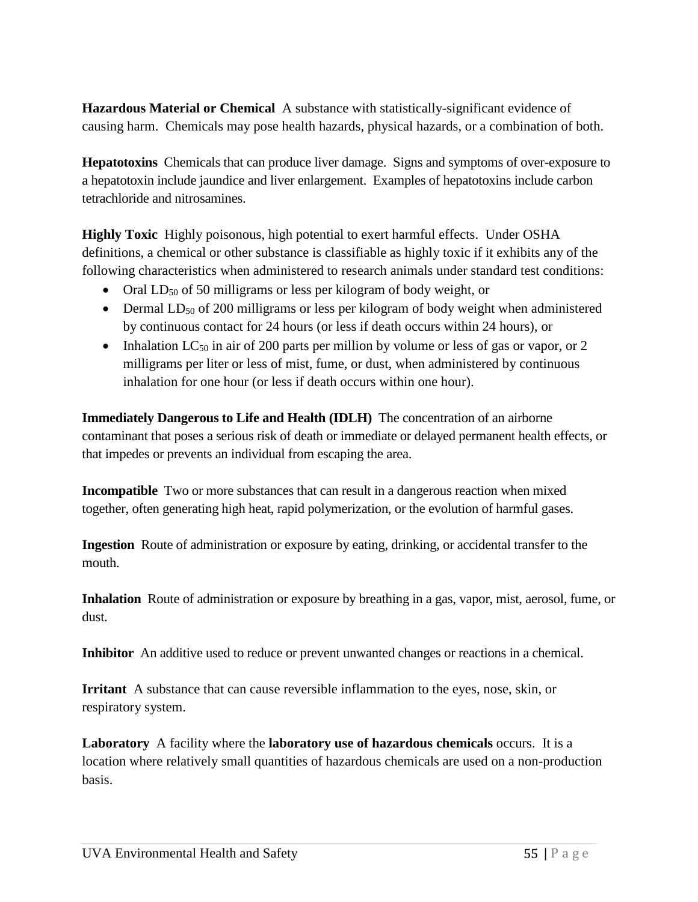**Hazardous Material or Chemical** A substance with statistically-significant evidence of causing harm. Chemicals may pose health hazards, physical hazards, or a combination of both.

**Hepatotoxins** Chemicals that can produce liver damage. Signs and symptoms of over-exposure to a hepatotoxin include jaundice and liver enlargement. Examples of hepatotoxins include carbon tetrachloride and nitrosamines.

**Highly Toxic** Highly poisonous, high potential to exert harmful effects. Under OSHA definitions, a chemical or other substance is classifiable as highly toxic if it exhibits any of the following characteristics when administered to research animals under standard test conditions:

- Oral  $LD_{50}$  of 50 milligrams or less per kilogram of body weight, or
- Dermal  $LD_{50}$  of 200 milligrams or less per kilogram of body weight when administered by continuous contact for 24 hours (or less if death occurs within 24 hours), or
- Inhalation LC<sub>50</sub> in air of 200 parts per million by volume or less of gas or vapor, or 2 milligrams per liter or less of mist, fume, or dust, when administered by continuous inhalation for one hour (or less if death occurs within one hour).

**Immediately Dangerous to Life and Health (IDLH)** The concentration of an airborne contaminant that poses a serious risk of death or immediate or delayed permanent health effects, or that impedes or prevents an individual from escaping the area.

**Incompatible** Two or more substances that can result in a dangerous reaction when mixed together, often generating high heat, rapid polymerization, or the evolution of harmful gases.

**Ingestion** Route of administration or exposure by eating, drinking, or accidental transfer to the mouth.

**Inhalation** Route of administration or exposure by breathing in a gas, vapor, mist, aerosol, fume, or dust.

**Inhibitor** An additive used to reduce or prevent unwanted changes or reactions in a chemical.

**Irritant** A substance that can cause reversible inflammation to the eyes, nose, skin, or respiratory system.

**Laboratory** A facility where the **laboratory use of hazardous chemicals** occurs. It is a location where relatively small quantities of hazardous chemicals are used on a non-production basis.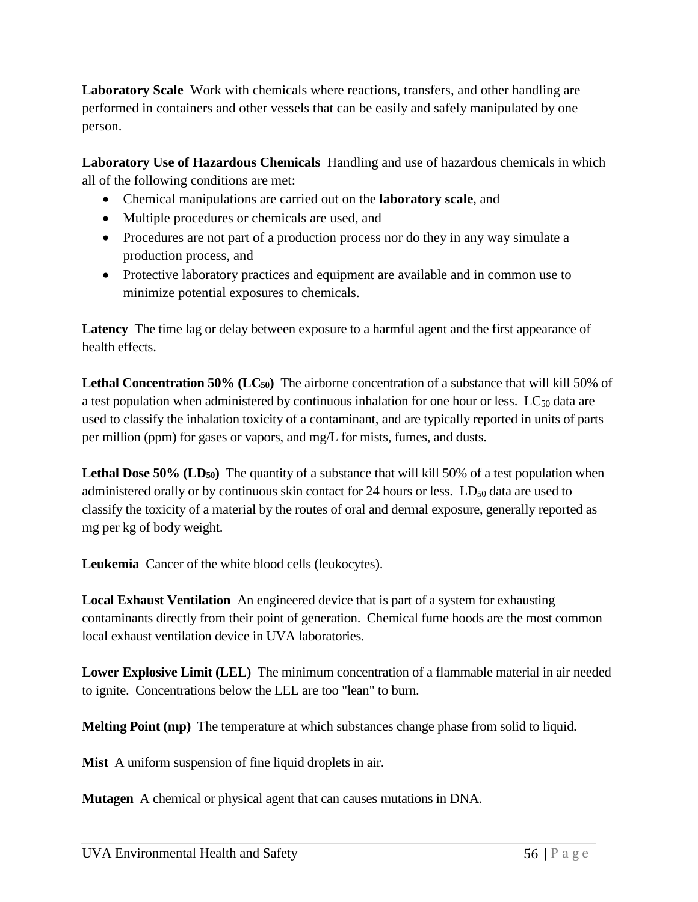**Laboratory Scale** Work with chemicals where reactions, transfers, and other handling are performed in containers and other vessels that can be easily and safely manipulated by one person.

**Laboratory Use of Hazardous Chemicals** Handling and use of hazardous chemicals in which all of the following conditions are met:

- Chemical manipulations are carried out on the **laboratory scale**, and
- Multiple procedures or chemicals are used, and
- Procedures are not part of a production process nor do they in any way simulate a production process, and
- Protective laboratory practices and equipment are available and in common use to minimize potential exposures to chemicals.

**Latency** The time lag or delay between exposure to a harmful agent and the first appearance of health effects.

**Lethal Concentration 50% (LC<sub>50</sub>)** The airborne concentration of a substance that will kill 50% of a test population when administered by continuous inhalation for one hour or less. LC<sub>50</sub> data are used to classify the inhalation toxicity of a contaminant, and are typically reported in units of parts per million (ppm) for gases or vapors, and mg/L for mists, fumes, and dusts.

**Lethal Dose 50% (LD<sub>50</sub>)** The quantity of a substance that will kill 50% of a test population when administered orally or by continuous skin contact for 24 hours or less.  $LD_{50}$  data are used to classify the toxicity of a material by the routes of oral and dermal exposure, generally reported as mg per kg of body weight.

**Leukemia** Cancer of the white blood cells (leukocytes).

**Local Exhaust Ventilation** An engineered device that is part of a system for exhausting contaminants directly from their point of generation. Chemical fume hoods are the most common local exhaust ventilation device in UVA laboratories.

**Lower Explosive Limit (LEL)** The minimum concentration of a flammable material in air needed to ignite. Concentrations below the LEL are too "lean" to burn.

**Melting Point (mp)** The temperature at which substances change phase from solid to liquid.

**Mist** A uniform suspension of fine liquid droplets in air.

**Mutagen** A chemical or physical agent that can causes mutations in DNA.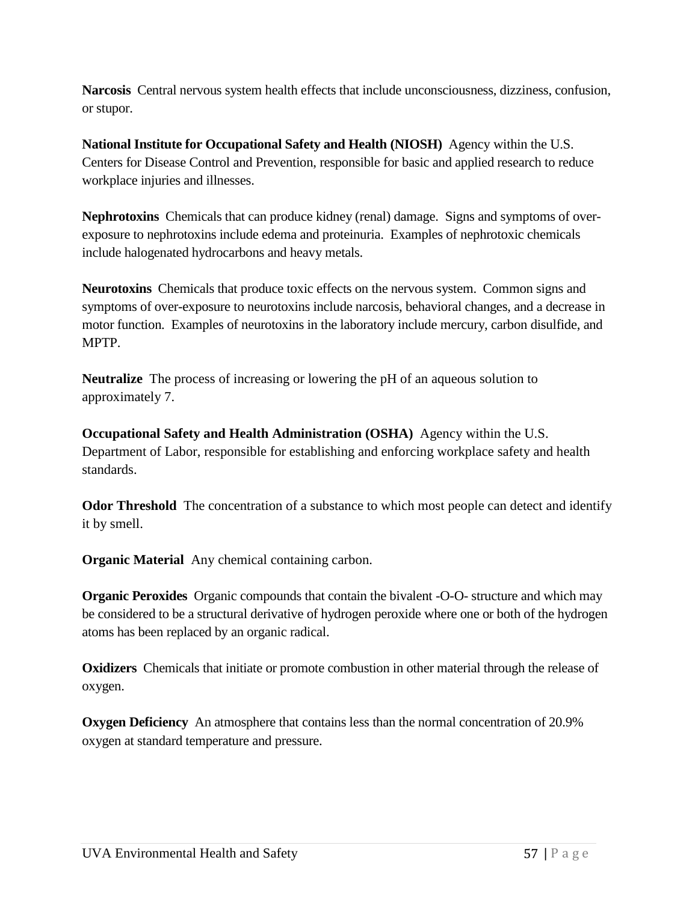**Narcosis** Central nervous system health effects that include unconsciousness, dizziness, confusion, or stupor.

**National Institute for Occupational Safety and Health (NIOSH)** Agency within the U.S. Centers for Disease Control and Prevention, responsible for basic and applied research to reduce workplace injuries and illnesses.

**Nephrotoxins** Chemicals that can produce kidney (renal) damage. Signs and symptoms of overexposure to nephrotoxins include edema and proteinuria. Examples of nephrotoxic chemicals include halogenated hydrocarbons and heavy metals.

**Neurotoxins** Chemicals that produce toxic effects on the nervous system. Common signs and symptoms of over-exposure to neurotoxins include narcosis, behavioral changes, and a decrease in motor function. Examples of neurotoxins in the laboratory include mercury, carbon disulfide, and MPTP.

**Neutralize** The process of increasing or lowering the pH of an aqueous solution to approximately 7.

**Occupational Safety and Health Administration (OSHA)** Agency within the U.S. Department of Labor, responsible for establishing and enforcing workplace safety and health standards.

**Odor Threshold** The concentration of a substance to which most people can detect and identify it by smell.

**Organic Material** Any chemical containing carbon.

**Organic Peroxides** Organic compounds that contain the bivalent -O-O- structure and which may be considered to be a structural derivative of hydrogen peroxide where one or both of the hydrogen atoms has been replaced by an organic radical.

**Oxidizers** Chemicals that initiate or promote combustion in other material through the release of oxygen.

**Oxygen Deficiency** An atmosphere that contains less than the normal concentration of 20.9% oxygen at standard temperature and pressure.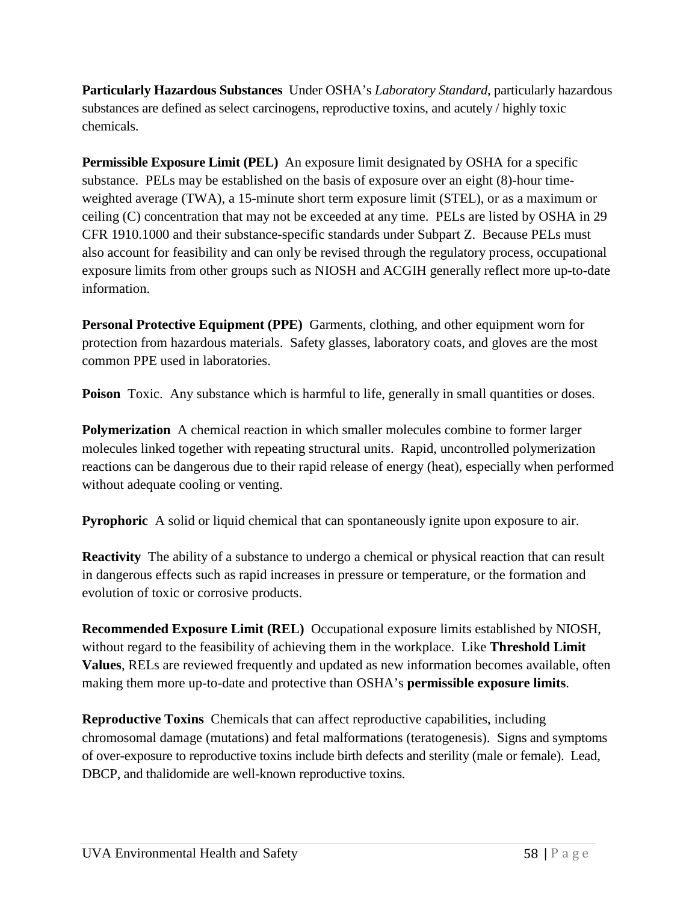**Particularly Hazardous Substances** Under OSHA's *Laboratory Standard*, particularly hazardous substances are defined as select carcinogens, reproductive toxins, and acutely / highly toxic chemicals.

**Permissible Exposure Limit (PEL)** An exposure limit designated by OSHA for a specific substance. PELs may be established on the basis of exposure over an eight (8)-hour timeweighted average (TWA), a 15-minute short term exposure limit (STEL), or as a maximum or ceiling (C) concentration that may not be exceeded at any time. PELs are listed by OSHA in 29 CFR 1910.1000 and their substance-specific standards under Subpart Z. Because PELs must also account for feasibility and can only be revised through the regulatory process, occupational exposure limits from other groups such as NIOSH and ACGIH generally reflect more up-to-date information.

**Personal Protective Equipment (PPE)** Garments, clothing, and other equipment worn for protection from hazardous materials. Safety glasses, laboratory coats, and gloves are the most common PPE used in laboratories.

**Poison** Toxic. Any substance which is harmful to life, generally in small quantities or doses.

**Polymerization** A chemical reaction in which smaller molecules combine to former larger molecules linked together with repeating structural units. Rapid, uncontrolled polymerization reactions can be dangerous due to their rapid release of energy (heat), especially when performed without adequate cooling or venting.

**Pyrophoric** A solid or liquid chemical that can spontaneously ignite upon exposure to air.

**Reactivity** The ability of a substance to undergo a chemical or physical reaction that can result in dangerous effects such as rapid increases in pressure or temperature, or the formation and evolution of toxic or corrosive products.

**Recommended Exposure Limit (REL)** Occupational exposure limits established by NIOSH, without regard to the feasibility of achieving them in the workplace. Like **Threshold Limit Values**, RELs are reviewed frequently and updated as new information becomes available, often making them more up-to-date and protective than OSHA's **permissible exposure limits**.

**Reproductive Toxins** Chemicals that can affect reproductive capabilities, including chromosomal damage (mutations) and fetal malformations (teratogenesis). Signs and symptoms of over-exposure to reproductive toxins include birth defects and sterility (male or female). Lead, DBCP, and thalidomide are well-known reproductive toxins.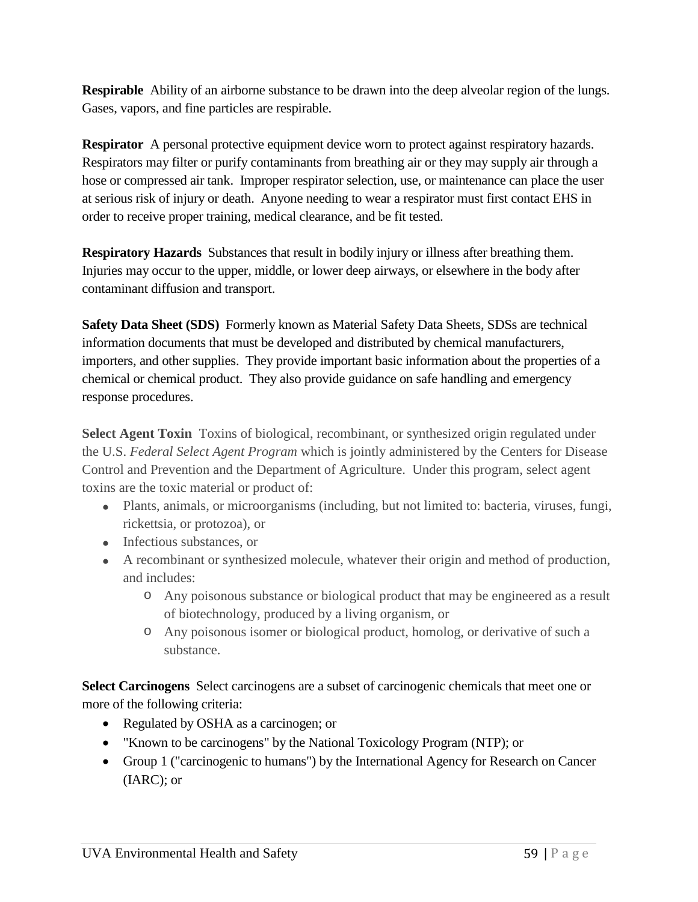**Respirable** Ability of an airborne substance to be drawn into the deep alveolar region of the lungs. Gases, vapors, and fine particles are respirable.

**Respirator** A personal protective equipment device worn to protect against respiratory hazards. Respirators may filter or purify contaminants from breathing air or they may supply air through a hose or compressed air tank. Improper respirator selection, use, or maintenance can place the user at serious risk of injury or death. Anyone needing to wear a respirator must first contact EHS in order to receive proper training, medical clearance, and be fit tested.

**Respiratory Hazards** Substances that result in bodily injury or illness after breathing them. Injuries may occur to the upper, middle, or lower deep airways, or elsewhere in the body after contaminant diffusion and transport.

**Safety Data Sheet (SDS)** Formerly known as Material Safety Data Sheets, SDSs are technical information documents that must be developed and distributed by chemical manufacturers, importers, and other supplies. They provide important basic information about the properties of a chemical or chemical product. They also provide guidance on safe handling and emergency response procedures.

**Select Agent Toxin** Toxins of biological, recombinant, or synthesized origin regulated under the U.S. *Federal Select Agent Program* which is jointly administered by the Centers for Disease Control and Prevention and the Department of Agriculture. Under this program, select agent toxins are the toxic material or product of:

- Plants, animals, or microorganisms (including, but not limited to: bacteria, viruses, fungi, rickettsia, or protozoa), or
- Infectious substances, or
- A recombinant or synthesized molecule, whatever their origin and method of production, and includes:
	- o Any poisonous substance or biological product that may be engineered as a result of biotechnology, produced by a living organism, or
	- o Any poisonous isomer or biological product, homolog, or derivative of such a substance.

**Select Carcinogens** Select carcinogens are a subset of carcinogenic chemicals that meet one or more of the following criteria:

- Regulated by OSHA as a carcinogen; or
- "Known to be carcinogens" by the National Toxicology Program (NTP); or
- Group 1 ("carcinogenic to humans") by the International Agency for Research on Cancer (IARC); or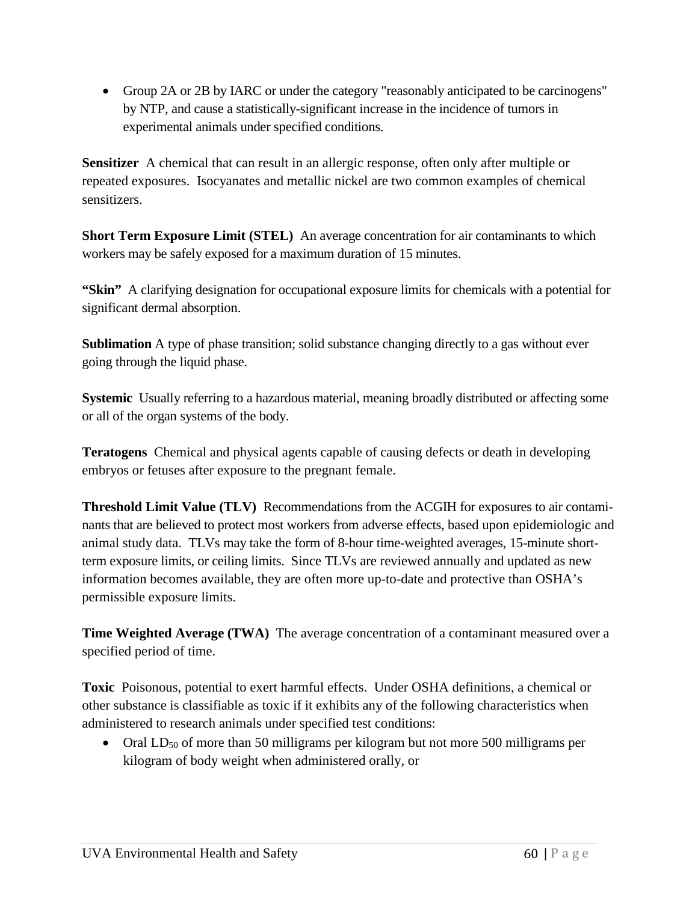• Group 2A or 2B by IARC or under the category "reasonably anticipated to be carcinogens" by NTP, and cause a statistically-significant increase in the incidence of tumors in experimental animals under specified conditions.

**Sensitizer** A chemical that can result in an allergic response, often only after multiple or repeated exposures. Isocyanates and metallic nickel are two common examples of chemical sensitizers.

**Short Term Exposure Limit (STEL)** An average concentration for air contaminants to which workers may be safely exposed for a maximum duration of 15 minutes.

**"Skin"** A clarifying designation for occupational exposure limits for chemicals with a potential for significant dermal absorption.

**Sublimation** A type of phase transition; solid substance changing directly to a gas without ever going through the liquid phase.

**Systemic** Usually referring to a hazardous material, meaning broadly distributed or affecting some or all of the organ systems of the body.

**Teratogens** Chemical and physical agents capable of causing defects or death in developing embryos or fetuses after exposure to the pregnant female.

**Threshold Limit Value (TLV)** Recommendations from the ACGIH for exposures to air contaminants that are believed to protect most workers from adverse effects, based upon epidemiologic and animal study data. TLVs may take the form of 8-hour time-weighted averages, 15-minute shortterm exposure limits, or ceiling limits. Since TLVs are reviewed annually and updated as new information becomes available, they are often more up-to-date and protective than OSHA's permissible exposure limits.

**Time Weighted Average (TWA)** The average concentration of a contaminant measured over a specified period of time.

**Toxic** Poisonous, potential to exert harmful effects. Under OSHA definitions, a chemical or other substance is classifiable as toxic if it exhibits any of the following characteristics when administered to research animals under specified test conditions:

• Oral LD<sub>50</sub> of more than 50 milligrams per kilogram but not more 500 milligrams per kilogram of body weight when administered orally, or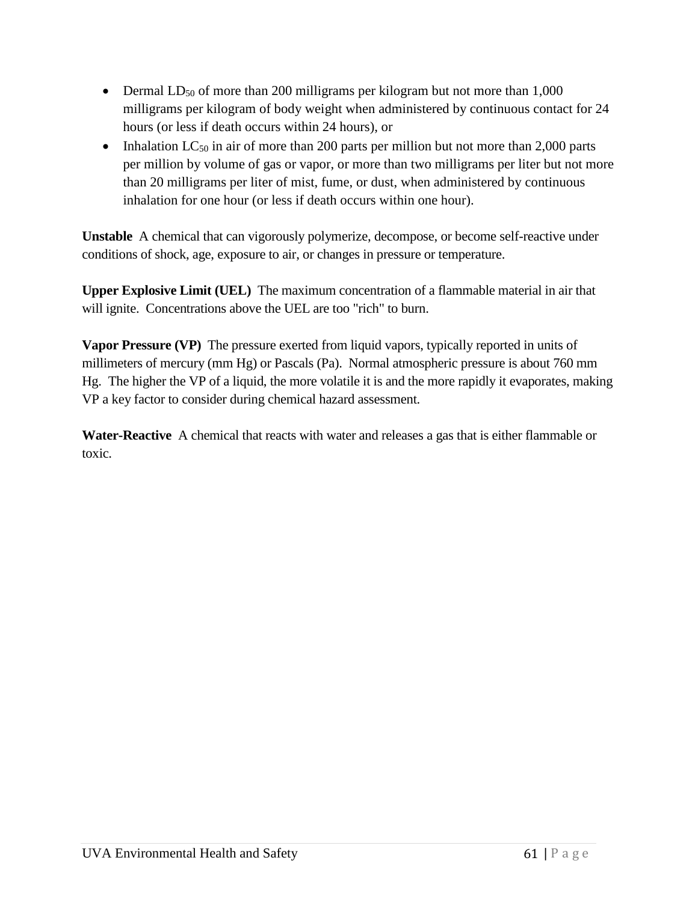- Dermal  $LD_{50}$  of more than 200 milligrams per kilogram but not more than 1,000 milligrams per kilogram of body weight when administered by continuous contact for 24 hours (or less if death occurs within 24 hours), or
- Inhalation  $LC_{50}$  in air of more than 200 parts per million but not more than 2,000 parts per million by volume of gas or vapor, or more than two milligrams per liter but not more than 20 milligrams per liter of mist, fume, or dust, when administered by continuous inhalation for one hour (or less if death occurs within one hour).

**Unstable** A chemical that can vigorously polymerize, decompose, or become self-reactive under conditions of shock, age, exposure to air, or changes in pressure or temperature.

**Upper Explosive Limit (UEL)** The maximum concentration of a flammable material in air that will ignite. Concentrations above the UEL are too "rich" to burn.

**Vapor Pressure (VP)** The pressure exerted from liquid vapors, typically reported in units of millimeters of mercury (mm Hg) or Pascals (Pa). Normal atmospheric pressure is about 760 mm Hg. The higher the VP of a liquid, the more volatile it is and the more rapidly it evaporates, making VP a key factor to consider during chemical hazard assessment.

**Water-Reactive** A chemical that reacts with water and releases a gas that is either flammable or toxic.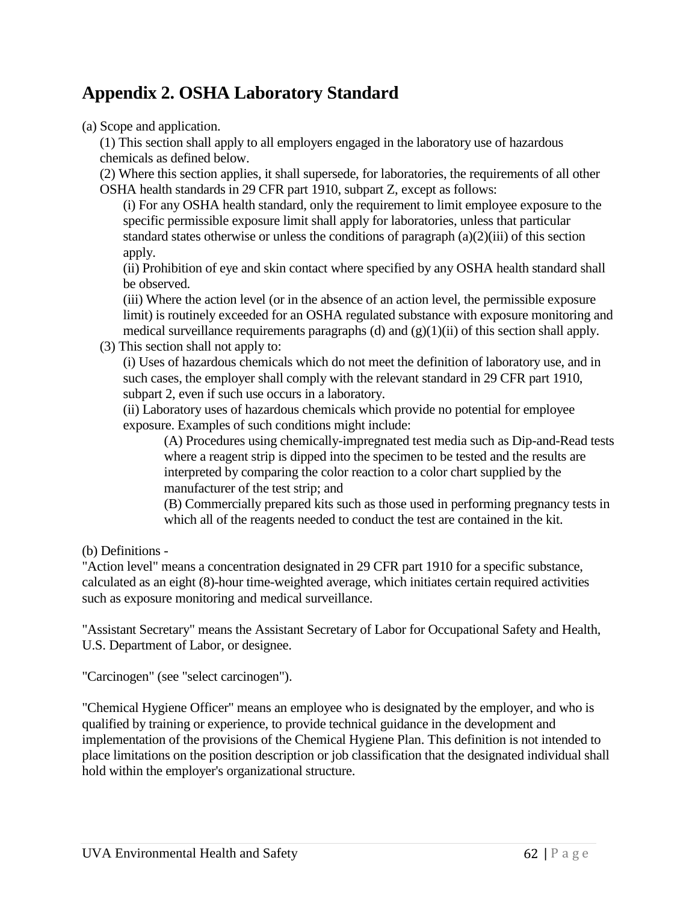# **Appendix 2. OSHA Laboratory Standard**

(a) Scope and application.

(1) This section shall apply to all employers engaged in the laboratory use of hazardous chemicals as defined below.

(2) Where this section applies, it shall supersede, for laboratories, the requirements of all other OSHA health standards in 29 CFR part 1910, subpart Z, except as follows:

(i) For any OSHA health standard, only the requirement to limit employee exposure to the specific permissible exposure limit shall apply for laboratories, unless that particular standard states otherwise or unless the conditions of paragraph  $(a)(2)(iii)$  of this section apply.

 (ii) Prohibition of eye and skin contact where specified by any OSHA health standard shall be observed.

(iii) Where the action level (or in the absence of an action level, the permissible exposure limit) is routinely exceeded for an OSHA regulated substance with exposure monitoring and medical surveillance requirements paragraphs (d) and (g)(1)(ii) of this section shall apply.

(3) This section shall not apply to:

(i) Uses of hazardous chemicals which do not meet the definition of laboratory use, and in such cases, the employer shall comply with the relevant standard in 29 CFR part 1910, subpart 2, even if such use occurs in a laboratory.

(ii) Laboratory uses of hazardous chemicals which provide no potential for employee exposure. Examples of such conditions might include:

(A) Procedures using chemically-impregnated test media such as Dip-and-Read tests where a reagent strip is dipped into the specimen to be tested and the results are interpreted by comparing the color reaction to a color chart supplied by the manufacturer of the test strip; and

 (B) Commercially prepared kits such as those used in performing pregnancy tests in which all of the reagents needed to conduct the test are contained in the kit.

(b) Definitions -

"Action level" means a concentration designated in 29 CFR part 1910 for a specific substance, calculated as an eight (8)-hour time-weighted average, which initiates certain required activities such as exposure monitoring and medical surveillance.

"Assistant Secretary" means the Assistant Secretary of Labor for Occupational Safety and Health, U.S. Department of Labor, or designee.

"Carcinogen" (see "select carcinogen").

"Chemical Hygiene Officer" means an employee who is designated by the employer, and who is qualified by training or experience, to provide technical guidance in the development and implementation of the provisions of the Chemical Hygiene Plan. This definition is not intended to place limitations on the position description or job classification that the designated individual shall hold within the employer's organizational structure.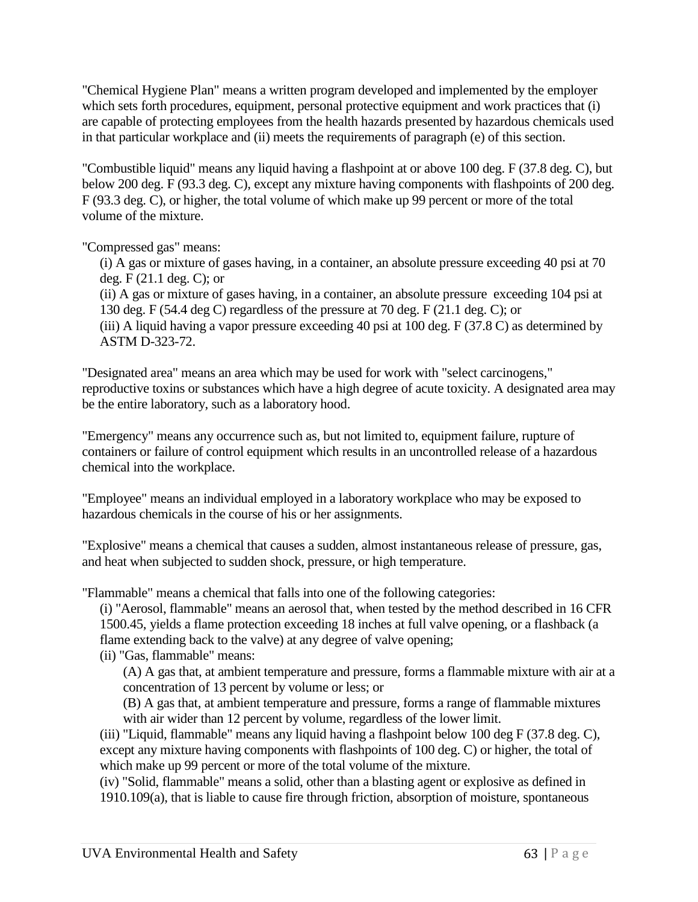"Chemical Hygiene Plan" means a written program developed and implemented by the employer which sets forth procedures, equipment, personal protective equipment and work practices that (i) are capable of protecting employees from the health hazards presented by hazardous chemicals used in that particular workplace and (ii) meets the requirements of paragraph (e) of this section.

"Combustible liquid" means any liquid having a flashpoint at or above 100 deg. F (37.8 deg. C), but below 200 deg. F (93.3 deg. C), except any mixture having components with flashpoints of 200 deg. F (93.3 deg. C), or higher, the total volume of which make up 99 percent or more of the total volume of the mixture.

"Compressed gas" means:

(i) A gas or mixture of gases having, in a container, an absolute pressure exceeding 40 psi at 70 deg. F (21.1 deg. C); or

 (ii) A gas or mixture of gases having, in a container, an absolute pressure exceeding 104 psi at 130 deg. F (54.4 deg C) regardless of the pressure at 70 deg. F (21.1 deg. C); or (iii) A liquid having a vapor pressure exceeding 40 psi at 100 deg. F (37.8 C) as determined by

ASTM D-323-72.

"Designated area" means an area which may be used for work with "select carcinogens," reproductive toxins or substances which have a high degree of acute toxicity. A designated area may be the entire laboratory, such as a laboratory hood.

"Emergency" means any occurrence such as, but not limited to, equipment failure, rupture of containers or failure of control equipment which results in an uncontrolled release of a hazardous chemical into the workplace.

"Employee" means an individual employed in a laboratory workplace who may be exposed to hazardous chemicals in the course of his or her assignments.

"Explosive" means a chemical that causes a sudden, almost instantaneous release of pressure, gas, and heat when subjected to sudden shock, pressure, or high temperature.

"Flammable" means a chemical that falls into one of the following categories:

(i) "Aerosol, flammable" means an aerosol that, when tested by the method described in 16 CFR 1500.45, yields a flame protection exceeding 18 inches at full valve opening, or a flashback (a flame extending back to the valve) at any degree of valve opening;

(ii) "Gas, flammable" means:

 (A) A gas that, at ambient temperature and pressure, forms a flammable mixture with air at a concentration of 13 percent by volume or less; or

 (B) A gas that, at ambient temperature and pressure, forms a range of flammable mixtures with air wider than 12 percent by volume, regardless of the lower limit.

 (iii) "Liquid, flammable" means any liquid having a flashpoint below 100 deg F (37.8 deg. C), except any mixture having components with flashpoints of 100 deg. C) or higher, the total of which make up 99 percent or more of the total volume of the mixture.

 (iv) "Solid, flammable" means a solid, other than a blasting agent or explosive as defined in 1910.109(a), that is liable to cause fire through friction, absorption of moisture, spontaneous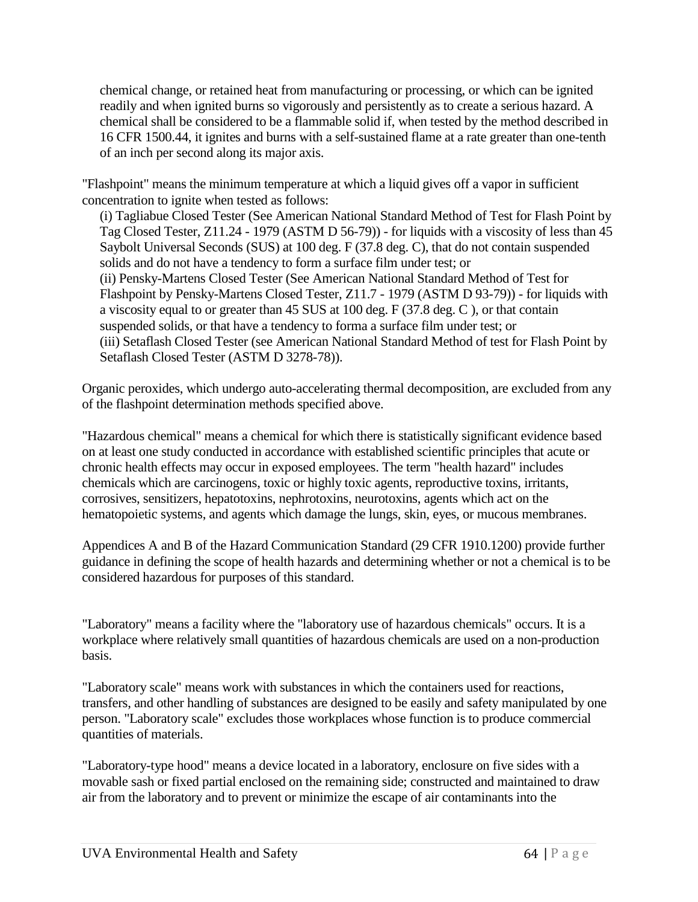chemical change, or retained heat from manufacturing or processing, or which can be ignited readily and when ignited burns so vigorously and persistently as to create a serious hazard. A chemical shall be considered to be a flammable solid if, when tested by the method described in 16 CFR 1500.44, it ignites and burns with a self-sustained flame at a rate greater than one-tenth of an inch per second along its major axis.

"Flashpoint" means the minimum temperature at which a liquid gives off a vapor in sufficient concentration to ignite when tested as follows:

(i) Tagliabue Closed Tester (See American National Standard Method of Test for Flash Point by Tag Closed Tester, Z11.24 - 1979 (ASTM D 56-79)) - for liquids with a viscosity of less than 45 Saybolt Universal Seconds (SUS) at 100 deg. F (37.8 deg. C), that do not contain suspended solids and do not have a tendency to form a surface film under test; or (ii) Pensky-Martens Closed Tester (See American National Standard Method of Test for Flashpoint by Pensky-Martens Closed Tester, Z11.7 - 1979 (ASTM D 93-79)) - for liquids with a viscosity equal to or greater than 45 SUS at 100 deg. F (37.8 deg. C ), or that contain suspended solids, or that have a tendency to forma a surface film under test; or (iii) Setaflash Closed Tester (see American National Standard Method of test for Flash Point by Setaflash Closed Tester (ASTM D 3278-78)).

Organic peroxides, which undergo auto-accelerating thermal decomposition, are excluded from any of the flashpoint determination methods specified above.

"Hazardous chemical" means a chemical for which there is statistically significant evidence based on at least one study conducted in accordance with established scientific principles that acute or chronic health effects may occur in exposed employees. The term "health hazard" includes chemicals which are carcinogens, toxic or highly toxic agents, reproductive toxins, irritants, corrosives, sensitizers, hepatotoxins, nephrotoxins, neurotoxins, agents which act on the hematopoietic systems, and agents which damage the lungs, skin, eyes, or mucous membranes.

Appendices A and B of the Hazard Communication Standard (29 CFR 1910.1200) provide further guidance in defining the scope of health hazards and determining whether or not a chemical is to be considered hazardous for purposes of this standard.

"Laboratory" means a facility where the "laboratory use of hazardous chemicals" occurs. It is a workplace where relatively small quantities of hazardous chemicals are used on a non-production basis.

"Laboratory scale" means work with substances in which the containers used for reactions, transfers, and other handling of substances are designed to be easily and safety manipulated by one person. "Laboratory scale" excludes those workplaces whose function is to produce commercial quantities of materials.

"Laboratory-type hood" means a device located in a laboratory, enclosure on five sides with a movable sash or fixed partial enclosed on the remaining side; constructed and maintained to draw air from the laboratory and to prevent or minimize the escape of air contaminants into the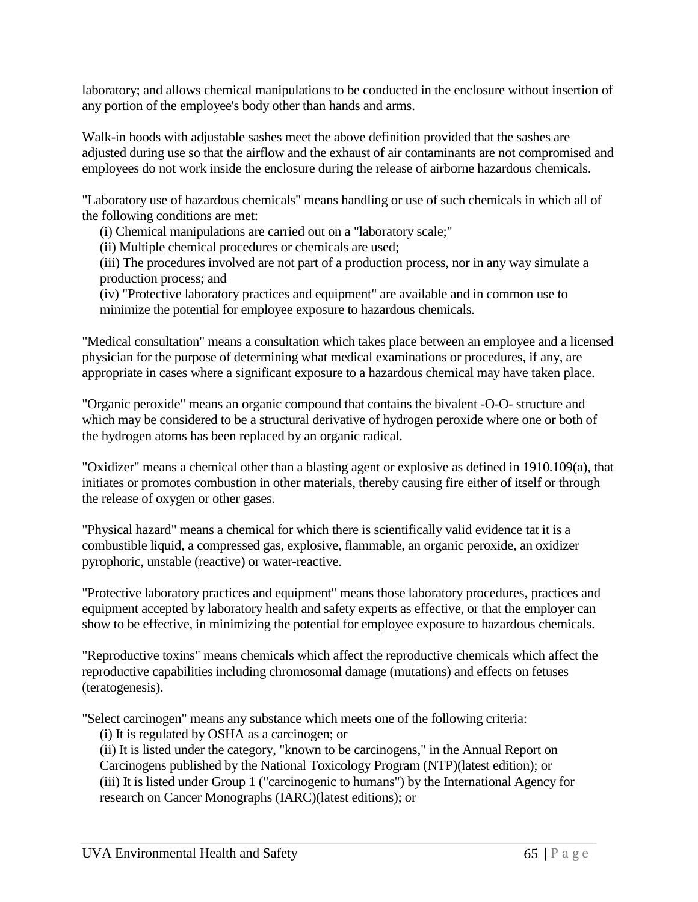laboratory; and allows chemical manipulations to be conducted in the enclosure without insertion of any portion of the employee's body other than hands and arms.

Walk-in hoods with adjustable sashes meet the above definition provided that the sashes are adjusted during use so that the airflow and the exhaust of air contaminants are not compromised and employees do not work inside the enclosure during the release of airborne hazardous chemicals.

"Laboratory use of hazardous chemicals" means handling or use of such chemicals in which all of the following conditions are met:

(i) Chemical manipulations are carried out on a "laboratory scale;"

(ii) Multiple chemical procedures or chemicals are used;

 (iii) The procedures involved are not part of a production process, nor in any way simulate a production process; and

 (iv) "Protective laboratory practices and equipment" are available and in common use to minimize the potential for employee exposure to hazardous chemicals.

"Medical consultation" means a consultation which takes place between an employee and a licensed physician for the purpose of determining what medical examinations or procedures, if any, are appropriate in cases where a significant exposure to a hazardous chemical may have taken place.

"Organic peroxide" means an organic compound that contains the bivalent -O-O- structure and which may be considered to be a structural derivative of hydrogen peroxide where one or both of the hydrogen atoms has been replaced by an organic radical.

"Oxidizer" means a chemical other than a blasting agent or explosive as defined in 1910.109(a), that initiates or promotes combustion in other materials, thereby causing fire either of itself or through the release of oxygen or other gases.

"Physical hazard" means a chemical for which there is scientifically valid evidence tat it is a combustible liquid, a compressed gas, explosive, flammable, an organic peroxide, an oxidizer pyrophoric, unstable (reactive) or water-reactive.

"Protective laboratory practices and equipment" means those laboratory procedures, practices and equipment accepted by laboratory health and safety experts as effective, or that the employer can show to be effective, in minimizing the potential for employee exposure to hazardous chemicals.

"Reproductive toxins" means chemicals which affect the reproductive chemicals which affect the reproductive capabilities including chromosomal damage (mutations) and effects on fetuses (teratogenesis).

"Select carcinogen" means any substance which meets one of the following criteria:

(i) It is regulated by OSHA as a carcinogen; or

 (ii) It is listed under the category, "known to be carcinogens," in the Annual Report on Carcinogens published by the National Toxicology Program (NTP)(latest edition); or (iii) It is listed under Group 1 ("carcinogenic to humans") by the International Agency for research on Cancer Monographs (IARC)(latest editions); or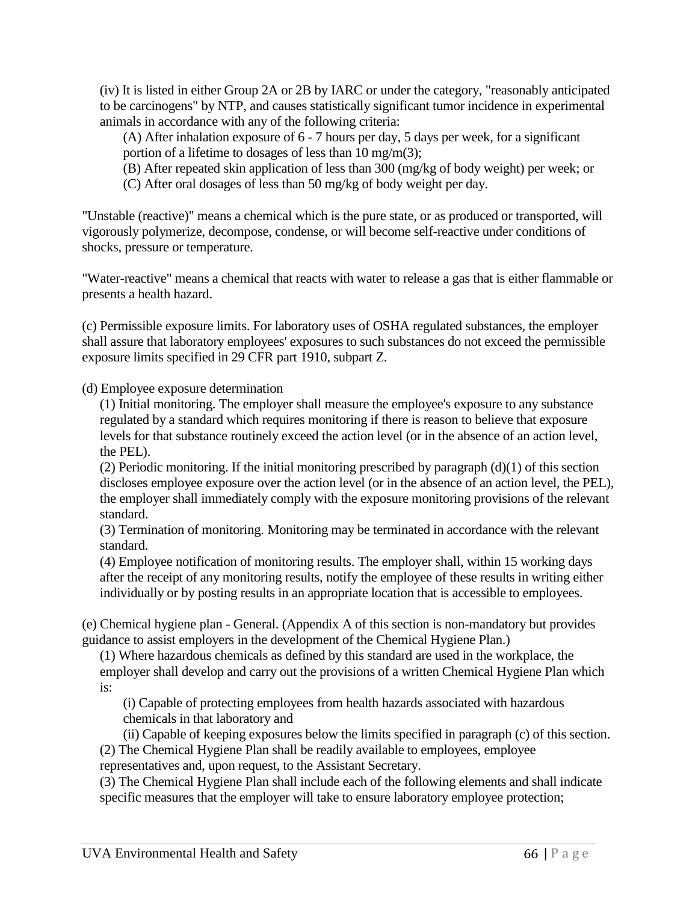(iv) It is listed in either Group 2A or 2B by IARC or under the category, "reasonably anticipated to be carcinogens" by NTP, and causes statistically significant tumor incidence in experimental animals in accordance with any of the following criteria:

- (A) After inhalation exposure of 6 7 hours per day, 5 days per week, for a significant portion of a lifetime to dosages of less than 10 mg/m(3);
- (B) After repeated skin application of less than 300 (mg/kg of body weight) per week; or
- (C) After oral dosages of less than 50 mg/kg of body weight per day.

"Unstable (reactive)" means a chemical which is the pure state, or as produced or transported, will vigorously polymerize, decompose, condense, or will become self-reactive under conditions of shocks, pressure or temperature.

"Water-reactive" means a chemical that reacts with water to release a gas that is either flammable or presents a health hazard.

(c) Permissible exposure limits. For laboratory uses of OSHA regulated substances, the employer shall assure that laboratory employees' exposures to such substances do not exceed the permissible exposure limits specified in 29 CFR part 1910, subpart Z.

(d) Employee exposure determination

 (1) Initial monitoring. The employer shall measure the employee's exposure to any substance regulated by a standard which requires monitoring if there is reason to believe that exposure levels for that substance routinely exceed the action level (or in the absence of an action level, the PEL).

(2) Periodic monitoring. If the initial monitoring prescribed by paragraph  $(d)(1)$  of this section discloses employee exposure over the action level (or in the absence of an action level, the PEL), the employer shall immediately comply with the exposure monitoring provisions of the relevant standard.

(3) Termination of monitoring. Monitoring may be terminated in accordance with the relevant standard.

 (4) Employee notification of monitoring results. The employer shall, within 15 working days after the receipt of any monitoring results, notify the employee of these results in writing either individually or by posting results in an appropriate location that is accessible to employees.

(e) Chemical hygiene plan - General. (Appendix A of this section is non-mandatory but provides guidance to assist employers in the development of the Chemical Hygiene Plan.)

 (1) Where hazardous chemicals as defined by this standard are used in the workplace, the employer shall develop and carry out the provisions of a written Chemical Hygiene Plan which is:

(i) Capable of protecting employees from health hazards associated with hazardous chemicals in that laboratory and

(ii) Capable of keeping exposures below the limits specified in paragraph (c) of this section. (2) The Chemical Hygiene Plan shall be readily available to employees, employee

representatives and, upon request, to the Assistant Secretary.

(3) The Chemical Hygiene Plan shall include each of the following elements and shall indicate specific measures that the employer will take to ensure laboratory employee protection;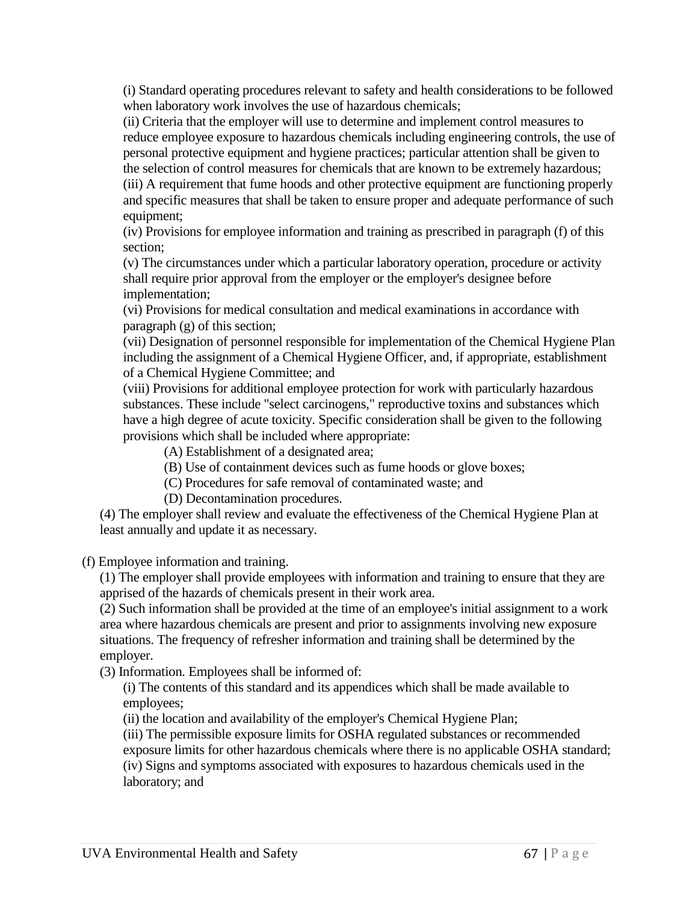(i) Standard operating procedures relevant to safety and health considerations to be followed when laboratory work involves the use of hazardous chemicals;

 (ii) Criteria that the employer will use to determine and implement control measures to reduce employee exposure to hazardous chemicals including engineering controls, the use of personal protective equipment and hygiene practices; particular attention shall be given to the selection of control measures for chemicals that are known to be extremely hazardous; (iii) A requirement that fume hoods and other protective equipment are functioning properly and specific measures that shall be taken to ensure proper and adequate performance of such

equipment:

 (iv) Provisions for employee information and training as prescribed in paragraph (f) of this section;

 (v) The circumstances under which a particular laboratory operation, procedure or activity shall require prior approval from the employer or the employer's designee before implementation;

 (vi) Provisions for medical consultation and medical examinations in accordance with paragraph (g) of this section;

 (vii) Designation of personnel responsible for implementation of the Chemical Hygiene Plan including the assignment of a Chemical Hygiene Officer, and, if appropriate, establishment of a Chemical Hygiene Committee; and

 (viii) Provisions for additional employee protection for work with particularly hazardous substances. These include "select carcinogens," reproductive toxins and substances which have a high degree of acute toxicity. Specific consideration shall be given to the following provisions which shall be included where appropriate:

(A) Establishment of a designated area;

- (B) Use of containment devices such as fume hoods or glove boxes;
- (C) Procedures for safe removal of contaminated waste; and
- (D) Decontamination procedures.

(4) The employer shall review and evaluate the effectiveness of the Chemical Hygiene Plan at least annually and update it as necessary.

(f) Employee information and training.

(1) The employer shall provide employees with information and training to ensure that they are apprised of the hazards of chemicals present in their work area.

 (2) Such information shall be provided at the time of an employee's initial assignment to a work area where hazardous chemicals are present and prior to assignments involving new exposure situations. The frequency of refresher information and training shall be determined by the employer.

(3) Information. Employees shall be informed of:

 (i) The contents of this standard and its appendices which shall be made available to employees;

(ii) the location and availability of the employer's Chemical Hygiene Plan;

(iii) The permissible exposure limits for OSHA regulated substances or recommended

exposure limits for other hazardous chemicals where there is no applicable OSHA standard; (iv) Signs and symptoms associated with exposures to hazardous chemicals used in the laboratory; and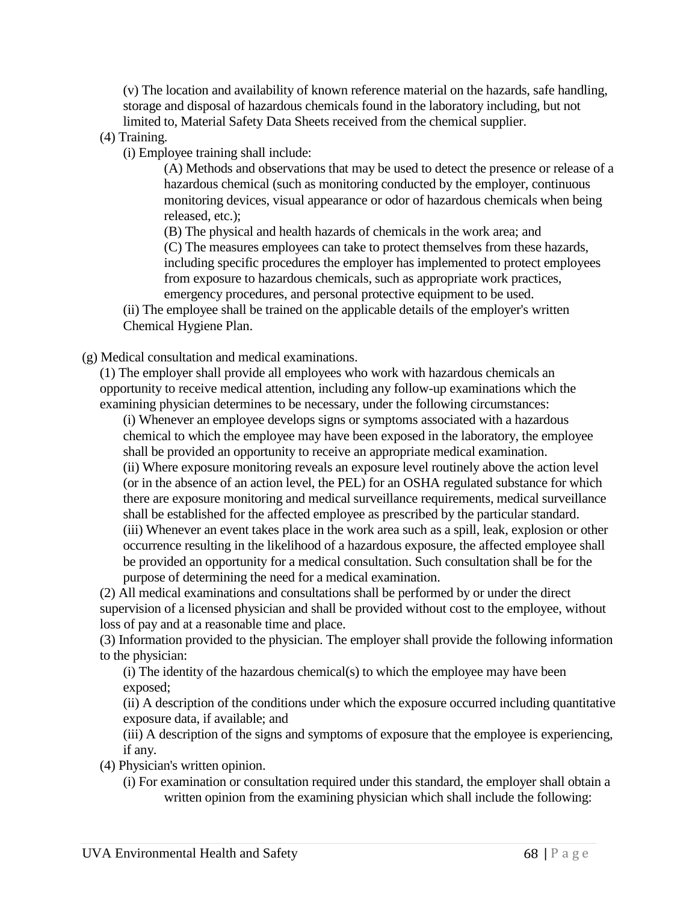(v) The location and availability of known reference material on the hazards, safe handling, storage and disposal of hazardous chemicals found in the laboratory including, but not limited to, Material Safety Data Sheets received from the chemical supplier.

### (4) Training.

(i) Employee training shall include:

 (A) Methods and observations that may be used to detect the presence or release of a hazardous chemical (such as monitoring conducted by the employer, continuous monitoring devices, visual appearance or odor of hazardous chemicals when being released, etc.);

(B) The physical and health hazards of chemicals in the work area; and (C) The measures employees can take to protect themselves from these hazards, including specific procedures the employer has implemented to protect employees from exposure to hazardous chemicals, such as appropriate work practices, emergency procedures, and personal protective equipment to be used.

 (ii) The employee shall be trained on the applicable details of the employer's written Chemical Hygiene Plan.

(g) Medical consultation and medical examinations.

 (1) The employer shall provide all employees who work with hazardous chemicals an opportunity to receive medical attention, including any follow-up examinations which the examining physician determines to be necessary, under the following circumstances:

 (i) Whenever an employee develops signs or symptoms associated with a hazardous chemical to which the employee may have been exposed in the laboratory, the employee shall be provided an opportunity to receive an appropriate medical examination. (ii) Where exposure monitoring reveals an exposure level routinely above the action level (or in the absence of an action level, the PEL) for an OSHA regulated substance for which there are exposure monitoring and medical surveillance requirements, medical surveillance shall be established for the affected employee as prescribed by the particular standard. (iii) Whenever an event takes place in the work area such as a spill, leak, explosion or other occurrence resulting in the likelihood of a hazardous exposure, the affected employee shall be provided an opportunity for a medical consultation. Such consultation shall be for the purpose of determining the need for a medical examination.

 (2) All medical examinations and consultations shall be performed by or under the direct supervision of a licensed physician and shall be provided without cost to the employee, without loss of pay and at a reasonable time and place.

 (3) Information provided to the physician. The employer shall provide the following information to the physician:

 (i) The identity of the hazardous chemical(s) to which the employee may have been exposed;

 (ii) A description of the conditions under which the exposure occurred including quantitative exposure data, if available; and

 (iii) A description of the signs and symptoms of exposure that the employee is experiencing, if any.

(4) Physician's written opinion.

 (i) For examination or consultation required under this standard, the employer shall obtain a written opinion from the examining physician which shall include the following: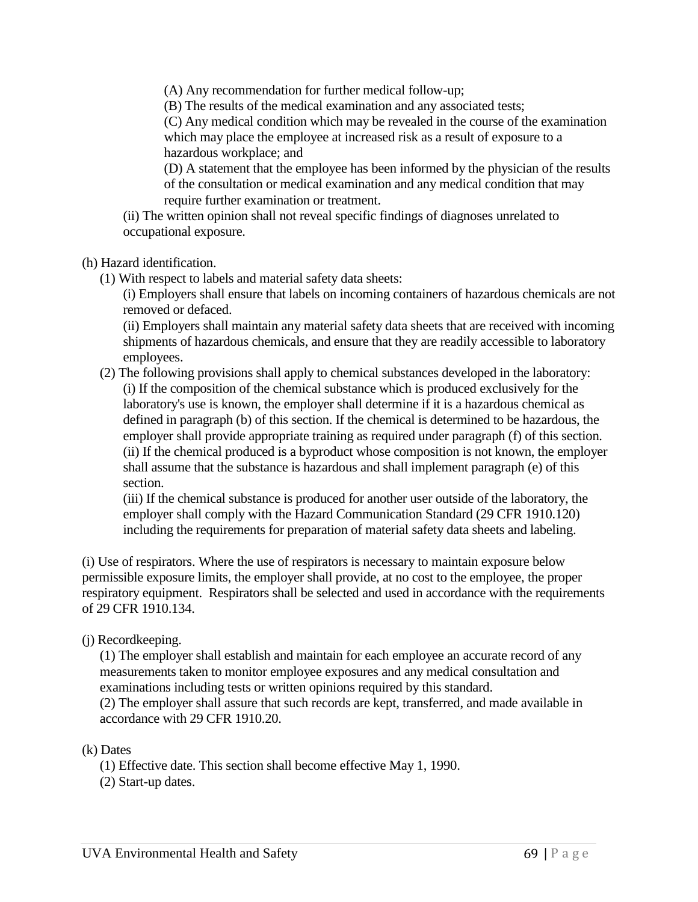(A) Any recommendation for further medical follow-up;

(B) The results of the medical examination and any associated tests;

 (C) Any medical condition which may be revealed in the course of the examination which may place the employee at increased risk as a result of exposure to a hazardous workplace; and

 (D) A statement that the employee has been informed by the physician of the results of the consultation or medical examination and any medical condition that may require further examination or treatment.

 (ii) The written opinion shall not reveal specific findings of diagnoses unrelated to occupational exposure.

(h) Hazard identification.

(1) With respect to labels and material safety data sheets:

 (i) Employers shall ensure that labels on incoming containers of hazardous chemicals are not removed or defaced.

 (ii) Employers shall maintain any material safety data sheets that are received with incoming shipments of hazardous chemicals, and ensure that they are readily accessible to laboratory employees.

(2) The following provisions shall apply to chemical substances developed in the laboratory: (i) If the composition of the chemical substance which is produced exclusively for the laboratory's use is known, the employer shall determine if it is a hazardous chemical as defined in paragraph (b) of this section. If the chemical is determined to be hazardous, the employer shall provide appropriate training as required under paragraph (f) of this section. (ii) If the chemical produced is a byproduct whose composition is not known, the employer shall assume that the substance is hazardous and shall implement paragraph (e) of this section.

 (iii) If the chemical substance is produced for another user outside of the laboratory, the employer shall comply with the Hazard Communication Standard (29 CFR 1910.120) including the requirements for preparation of material safety data sheets and labeling.

(i) Use of respirators. Where the use of respirators is necessary to maintain exposure below permissible exposure limits, the employer shall provide, at no cost to the employee, the proper respiratory equipment. Respirators shall be selected and used in accordance with the requirements of 29 CFR 1910.134.

### (j) Recordkeeping.

(1) The employer shall establish and maintain for each employee an accurate record of any measurements taken to monitor employee exposures and any medical consultation and examinations including tests or written opinions required by this standard.

 (2) The employer shall assure that such records are kept, transferred, and made available in accordance with 29 CFR 1910.20.

### (k) Dates

- (1) Effective date. This section shall become effective May 1, 1990.
- (2) Start-up dates.